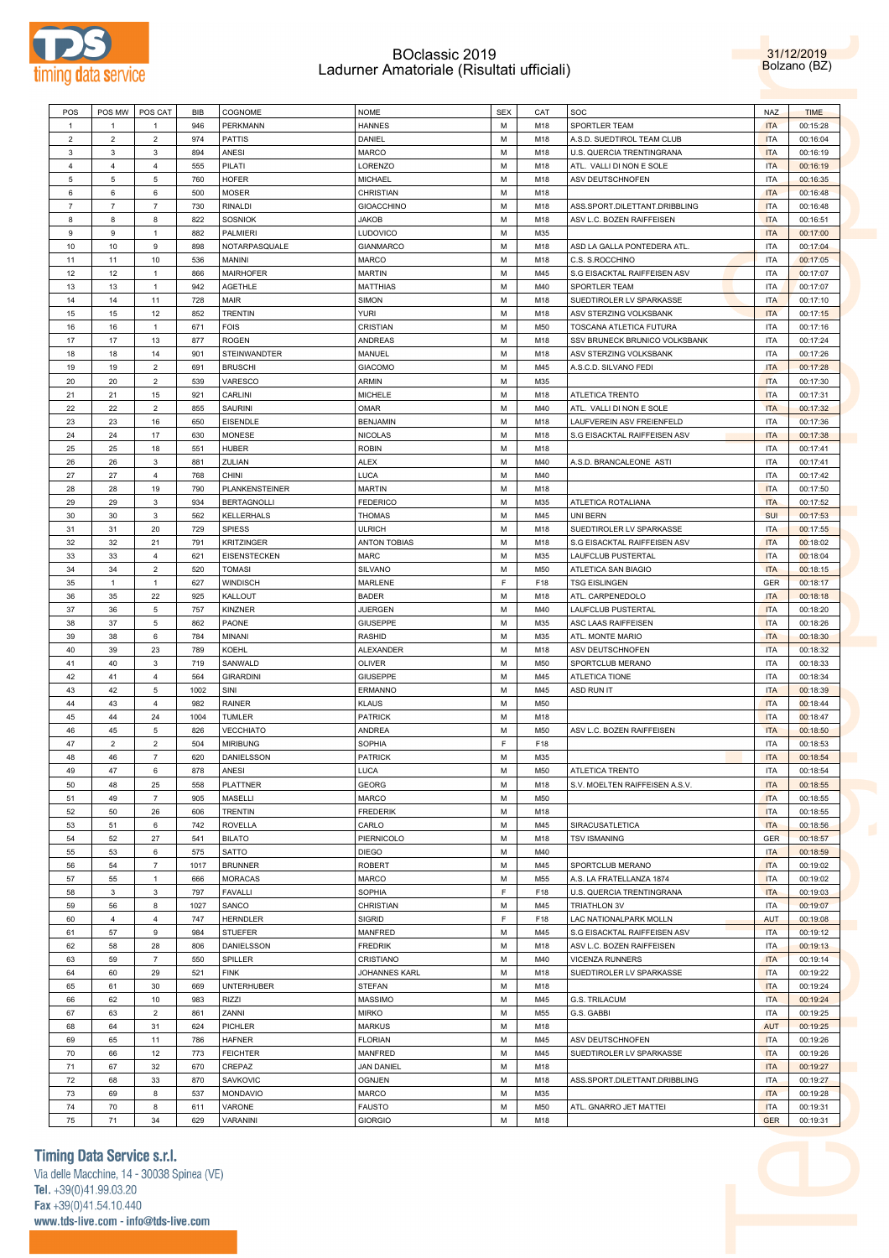



| POS            | POS MW         | POS CAT        | <b>BIB</b> | COGNOME             | <b>NOME</b>                     | <b>SEX</b> | CAT        | <b>SOC</b>                     | <b>NAZ</b>               | <b>TIME</b>          |
|----------------|----------------|----------------|------------|---------------------|---------------------------------|------------|------------|--------------------------------|--------------------------|----------------------|
|                |                |                |            |                     |                                 |            |            |                                |                          |                      |
| 1              | 1              | $\mathbf{1}$   | 946        | PERKMANN            | <b>HANNES</b>                   | М          | M18        | SPORTLER TEAM                  | <b>ITA</b>               | 00:15:28             |
| $\overline{2}$ | $\overline{2}$ | $\overline{2}$ | 974        | <b>PATTIS</b>       | DANIEL                          | М          | M18        | A.S.D. SUEDTIROL TEAM CLUB     | <b>ITA</b>               | 00:16:04             |
|                |                |                |            |                     |                                 |            |            |                                |                          |                      |
| 3              | $\mathbf{3}$   | 3              | 894        | ANESI               | <b>MARCO</b>                    | М          | M18        | U.S. QUERCIA TRENTINGRANA      | <b>ITA</b>               | 00:16:19             |
| 4              | $\overline{4}$ | 4              | 555        | PILATI              | <b>LORENZO</b>                  | М          | M18        | ATL. VALLI DI NON E SOLE       | <b>ITA</b>               | 00:16:19             |
| 5              | 5              | 5              | 760        | <b>HOFER</b>        | <b>MICHAEL</b>                  | М          | M18        | ASV DEUTSCHNOFEN               | <b>ITA</b>               | 00:16:35             |
|                |                |                |            |                     |                                 |            |            |                                |                          |                      |
| 6              | 6              | 6              | 500        | <b>MOSER</b>        | CHRISTIAN                       | М          | M18        |                                | <b>ITA</b>               | 00:16:48             |
| $\overline{7}$ | $\overline{7}$ | $\overline{7}$ | 730        | <b>RINALDI</b>      | <b>GIOACCHINO</b>               | М          | M18        | ASS.SPORT.DILETTANT.DRIBBLING  | <b>ITA</b>               | 00:16:48             |
| 8              | 8              | 8              | 822        |                     |                                 | М          | M18        |                                | <b>ITA</b>               |                      |
|                |                |                |            | <b>SOSNIOK</b>      | <b>JAKOB</b>                    |            |            | ASV L.C. BOZEN RAIFFEISEN      |                          | 00:16:51             |
| 9              | 9              | $\mathbf{1}$   | 882        | PALMIERI            | LUDOVICO                        | М          | M35        |                                | <b>ITA</b>               | 00:17:00             |
| 10             | 10             | 9              | 898        | NOTARPASQUALE       | <b>GIANMARCO</b>                | М          | M18        | ASD LA GALLA PONTEDERA ATL     | ITA                      | 00:17:04             |
| 11             | 11             | 10             | 536        | MANINI              | MARCO                           | М          | M18        | C.S. S.ROCCHINO                | <b>ITA</b>               | 00:17:05             |
|                |                |                |            |                     |                                 |            |            |                                |                          |                      |
| 12             | 12             | $\mathbf{1}$   | 866        | <b>MAIRHOFER</b>    | <b>MARTIN</b>                   | М          | M45        | S.G EISACKTAL RAIFFEISEN ASV   | ITA                      | 00:17:07             |
| 13             | 13             | $\mathbf{1}$   | 942        | AGETHLE             | <b>MATTHIAS</b>                 | М          | M40        | SPORTLER TEAM                  | <b>ITA</b>               | 00:17:07             |
| 14             | 14             | 11             | 728        | MAIR                | SIMON                           | М          | M18        | SUEDTIROLER LV SPARKASSE       | <b>ITA</b>               | 00:17:10             |
|                |                |                |            |                     |                                 |            |            |                                |                          |                      |
| 15             | 15             | 12             | 852        | <b>TRENTIN</b>      | <b>YURI</b>                     | М          | M18        | ASV STERZING VOLKSBANK         | <b>ITA</b>               | 00:17:15             |
| 16             | 16             | $\mathbf{1}$   | 671        | <b>FOIS</b>         | CRISTIAN                        | М          | M50        | <b>TOSCANA ATLETICA FUTURA</b> | <b>ITA</b>               | 00:17:16             |
| 17             | 17             | 13             | 877        | <b>ROGEN</b>        | <b>ANDREAS</b>                  | М          | M18        | SSV BRUNECK BRUNICO VOLKSBANK  | <b>ITA</b>               | 00:17:24             |
|                |                |                |            |                     |                                 |            |            |                                |                          |                      |
| 18             | 18             | 14             | 901        | STEINWANDTER        | MANUEL                          | М          | M18        | ASV STERZING VOLKSBANK         | ITA                      | 00:17:26             |
| 19             | 19             | $\overline{2}$ | 691        | <b>BRUSCHI</b>      | <b>GIACOMO</b>                  | М          | M45        | A.S.C.D. SILVANO FEDI          | <b>ITA</b>               | 00:17:28             |
| 20             | 20             | $\overline{2}$ | 539        | VARESCO             | <b>ARMIN</b>                    | М          | M35        |                                | <b>ITA</b>               | 00:17:30             |
|                |                |                |            |                     |                                 |            |            |                                |                          |                      |
| 21             | 21             | 15             | 921        | CARLINI             | <b>MICHELE</b>                  | М          | M18        | <b>ATLETICA TRENTO</b>         | <b>ITA</b>               | 00:17:31             |
| 22             | 22             | $\overline{2}$ | 855        | SAURINI             | <b>OMAR</b>                     | М          | M40        | ATL. VALLI DI NON E SOLE       | <b>ITA</b>               | 00:17:32             |
| 23             | 23             | 16             | 650        | <b>EISENDLE</b>     | <b>BENJAMIN</b>                 | М          | M18        | LAUFVEREIN ASV FREIENFELD      | <b>ITA</b>               | 00:17:36             |
| 24             | 24             | 17             | 630        |                     |                                 | М          | M18        | S.G EISACKTAL RAIFFEISEN ASV   | <b>ITA</b>               |                      |
|                |                |                |            | <b>MONESE</b>       | <b>NICOLAS</b>                  |            |            |                                |                          | 00:17:38             |
| 25             | 25             | 18             | 551        | <b>HUBER</b>        | <b>ROBIN</b>                    | М          | M18        |                                | <b>ITA</b>               | 00:17:41             |
| 26             | 26             | 3              | 881        | ZULIAN              | <b>ALEX</b>                     | М          | M40        | A.S.D. BRANCALEONE ASTI        | <b>ITA</b>               | 00:17:41             |
| 27             | 27             | $\overline{4}$ | 768        | CHINI               | LUCA                            | М          | M40        |                                | <b>ITA</b>               |                      |
|                |                |                |            |                     |                                 |            |            |                                |                          | 00:17:42             |
| 28             | 28             | 19             | 790        | PLANKENSTEINER      | <b>MARTIN</b>                   | М          | M18        |                                | <b>ITA</b>               | 00:17:50             |
| 29             | 29             | 3              | 934        | <b>BERTAGNOLLI</b>  | <b>FEDERICO</b>                 | М          | M35        | ATLETICA ROTALIANA             | <b>ITA</b>               | 00:17:52             |
| 30             | 30             | 3              | 562        | KELLERHALS          | <b>THOMAS</b>                   | М          | M45        | UNI BERN                       | <b>SUI</b>               | 00:17:53             |
|                |                |                |            |                     |                                 |            |            |                                |                          |                      |
| 31             | 31             | 20             | 729        | <b>SPIESS</b>       | <b>ULRICH</b>                   | М          | M18        | SUEDTIROLER LV SPARKASSE       | <b>ITA</b>               | 00:17:55             |
| 32             | 32             | 21             | 791        | <b>KRITZINGER</b>   | <b>ANTON TOBIAS</b>             | М          | M18        | S.G EISACKTAL RAIFFEISEN ASV   | <b>ITA</b>               | 00:18:02             |
| 33             | 33             | $\overline{4}$ | 621        | <b>EISENSTECKEN</b> | MARC                            | М          | M35        | <b>LAUFCLUB PUSTERTAL</b>      | <b>ITA</b>               | 00:18:04             |
|                |                |                |            |                     |                                 |            |            |                                |                          |                      |
| 34             | 34             | $\overline{2}$ | 520        | <b>TOMASI</b>       | SILVANO                         | М          | M50        | ATLETICA SAN BIAGIO            | <b>ITA</b>               | 00:18:15             |
| 35             | $\mathbf{1}$   | 1              | 627        | WINDISCH            | MARLENE                         | F          | F18        | <b>TSG EISLINGEN</b>           | GER                      | 00:18:17             |
| 36             | 35             | 22             | 925        | <b>KALLOUT</b>      | <b>BADER</b>                    | М          | M18        | ATL. CARPENEDOLO               | <b>ITA</b>               | 00:18:18             |
|                |                |                |            |                     |                                 |            |            |                                |                          |                      |
| 37             | 36             | 5              | 757        | KINZNER             | <b>JUERGEN</b>                  | М          | M40        | <b>LAUFCLUB PUSTERTAL</b>      | <b>ITA</b>               | 00:18:20             |
| 38             | 37             | 5              | 862        | PAONE               | <b>GIUSEPPE</b>                 | М          | M35        | ASC LAAS RAIFFEISEN            | <b>ITA</b>               | 00:18:26             |
| 39             | 38             | 6              | 784        | MINANI              | <b>RASHID</b>                   | М          | M35        | ATL. MONTE MARIO               | <b>ITA</b>               | 00:18:30             |
|                |                |                |            |                     |                                 |            |            |                                |                          |                      |
| 40             | 39             | 23             | 789        | KOEHL               | ALEXANDER                       | М          | M18        | ASV DEUTSCHNOFEN               | <b>ITA</b>               | 00:18:32             |
| 41             | 40             | 3              | 719        | SANWALD             | OLIVER                          | М          | M50        | SPORTCLUB MERANO               | <b>ITA</b>               | 00:18:33             |
| 42             | 41             | $\overline{4}$ | 564        | <b>GIRARDINI</b>    | <b>GIUSEPPE</b>                 | М          | M45        | ATLETICA TIONE                 | ITA                      | 00:18:34             |
| 43             | 42             | 5              | 1002       | SINI                | ERMANNO                         | М          | M45        | ASD RUN IT                     | <b>ITA</b>               |                      |
|                |                |                |            |                     |                                 |            |            |                                |                          | 00:18:39             |
| 44             | 43             | $\overline{4}$ | 982        | RAINER              | <b>KLAUS</b>                    | М          | M50        |                                | <b>ITA</b>               | 00:18:44             |
| 45             | 44             | 24             | 1004       | <b>TUMLER</b>       | <b>PATRICK</b>                  | М          | M18        |                                | <b>ITA</b>               | 00:18:47             |
| 46             | 45             | 5              | 826        | <b>VECCHIATO</b>    | <b>ANDREA</b>                   | М          | M50        | ASV L.C. BOZEN RAIFFEISEN      | <b>ITA</b>               | 00:18:50             |
|                |                |                |            |                     |                                 |            |            |                                |                          |                      |
| 47             | $\overline{2}$ | $\overline{2}$ | 504        | <b>MIRIBUNG</b>     | SOPHIA                          | F          | F18        |                                | <b>ITA</b>               | 00:18:53             |
| 48             | 46             | $\overline{7}$ | 620        | DANIELSSON          | <b>PATRICK</b>                  | М          | M35        |                                | <b>ITA</b>               | 00:18:54             |
| 49             | 47             | 6              | 878        | ANESI               | LUCA                            | М          | M50        | <b>ATLETICA TRENTO</b>         | <b>ITA</b>               | 00:18:54             |
|                |                |                |            |                     |                                 | М          |            |                                |                          |                      |
| 50             | 48             | 25             | 558        | <b>PLATTNER</b>     | <b>GEORG</b>                    |            |            |                                |                          |                      |
| 51             | 49             | $\overline{7}$ |            |                     |                                 |            | M18        | S.V. MOELTEN RAIFFEISEN A.S.V. | <b>ITA</b>               | 00:18:55             |
| 52             |                |                | 905        | MASELLI             | MARCO                           | М          | M50        |                                | <b>ITA</b>               | 00:18:55             |
|                | 50             | 26             | 606        | <b>TRENTIN</b>      | <b>FREDERIK</b>                 | М          | M18        |                                | <b>ITA</b>               | 00:18:55             |
|                |                |                |            |                     |                                 |            |            |                                |                          |                      |
| 53             | 51             | 6              | 742        | <b>ROVELLA</b>      | CARLO                           | М          | M45        | SIRACUSATLETICA                | <b>ITA</b>               | 00:18:56             |
| 54             | 52             | 27             | 541        | <b>BILATO</b>       | PIERNICOLO                      | М          | M18        | <b>TSV ISMANING</b>            | <b>GER</b>               | 00:18:57             |
| 55             | 53             | 6              | 575        | SATTO               | <b>DIEGO</b>                    | М          | M40        |                                | <b>ITA</b>               | 00:18:59             |
|                |                |                |            |                     |                                 |            |            |                                |                          |                      |
| 56             | 54             | $\overline{7}$ | 1017       | <b>BRUNNER</b>      | <b>ROBERT</b>                   | М          | M45        | SPORTCLUB MERANO               | <b>ITA</b>               | 00:19:02             |
| 57             | 55             | $\mathbf{1}$   | 666        | <b>MORACAS</b>      | MARCO                           | М          | M55        | A.S. LA FRATELLANZA 1874       | <b>ITA</b>               | 00:19:02             |
| 58             | 3              | $\mathbf{3}$   | 797        | <b>FAVALLI</b>      | SOPHIA                          | F          | F18        | U.S. QUERCIA TRENTINGRANA      | <b>ITA</b>               | 00:19:03             |
|                |                |                |            |                     |                                 |            |            |                                |                          |                      |
| 59             | 56             | 8              | 1027       | SANCO               | CHRISTIAN                       | М          | M45        | <b>TRIATHLON 3V</b>            | <b>ITA</b>               | 00:19:07             |
| 60             | $\overline{4}$ | $\overline{4}$ | 747        | <b>HERNDLER</b>     | SIGRID                          | F          | F18        | LAC NATIONALPARK MOLLN         | <b>AUT</b>               | 00:19:08             |
| 61             | 57             | 9              | 984        | <b>STUEFER</b>      | MANFRED                         | М          | M45        | S.G EISACKTAL RAIFFEISEN ASV   | <b>ITA</b>               | 00:19:12             |
|                |                |                |            | <b>DANIELSSON</b>   | <b>FREDRIK</b>                  | М          |            | ASV L.C. BOZEN RAIFFEISEN      | <b>ITA</b>               |                      |
| 62             | 58             | 28             | 806        |                     |                                 |            | M18        |                                |                          | 00:19:13             |
| 63             | 59             | $\overline{7}$ | 550        | SPILLER             | CRISTIANO                       | М          | M40        | <b>VICENZA RUNNERS</b>         | <b>ITA</b>               | 00:19:14             |
| 64             | 60             | 29             | 521        | <b>FINK</b>         | JOHANNES KARL                   | М          | M18        | SUEDTIROLER LV SPARKASSE       | <b>ITA</b>               | 00:19:22             |
|                |                | 30             |            |                     |                                 | М          |            |                                |                          |                      |
| 65             | 61             |                | 669        | <b>UNTERHUBER</b>   | <b>STEFAN</b>                   |            | M18        |                                | <b>ITA</b>               | 00:19:24             |
| 66             | 62             | 10             | 983        | <b>RIZZI</b>        | <b>MASSIMO</b>                  | М          | M45        | G.S. TRILACUM                  | <b>ITA</b>               | 00:19:24             |
| 67             | 63             | $\overline{2}$ | 861        | ZANNI               | <b>MIRKO</b>                    | М          | M55        | G.S. GABBI                     | <b>ITA</b>               | 00:19:25             |
|                |                |                | 624        |                     |                                 | М          |            |                                | <b>AUT</b>               |                      |
| 68             | 64             | 31             |            | PICHLER             | <b>MARKUS</b>                   |            | M18        |                                |                          | 00:19:25             |
| 69             | 65             | 11             | 786        | <b>HAFNER</b>       | <b>FLORIAN</b>                  | М          | M45        | ASV DEUTSCHNOFEN               | <b>ITA</b>               | 00:19:26             |
| 70             | 66             | 12             | 773        | <b>FEICHTER</b>     | MANFRED                         | М          | M45        | SUEDTIROLER LV SPARKASSE       | <b>ITA</b>               | 00:19:26             |
|                |                |                |            |                     |                                 |            |            |                                |                          |                      |
| 71             | 67             | 32             | 670        | CREPAZ              | <b>JAN DANIEL</b>               | М          | M18        |                                | <b>ITA</b>               | 00:19:27             |
| 72             | 68             | 33             | 870        | SAVKOVIC            | <b>OGNJEN</b>                   | М          | M18        | ASS.SPORT.DILETTANT.DRIBBLING  | <b>ITA</b>               | 00:19:27             |
| 73             | 69             | 8              | 537        | MONDAVIO            | MARCO                           | М          | M35        |                                | <b>ITA</b>               | 00:19:28             |
|                |                |                |            |                     |                                 |            |            |                                |                          |                      |
| 74<br>75       | 70<br>71       | 8<br>34        | 611<br>629 | VARONE<br>VARANINI  | <b>FAUSTO</b><br><b>GIORGIO</b> | М<br>М     | M50<br>M18 | ATL. GNARRO JET MATTEI         | <b>ITA</b><br><b>GER</b> | 00:19:31<br>00:19:31 |

### **Timing Data Service s.r.l.**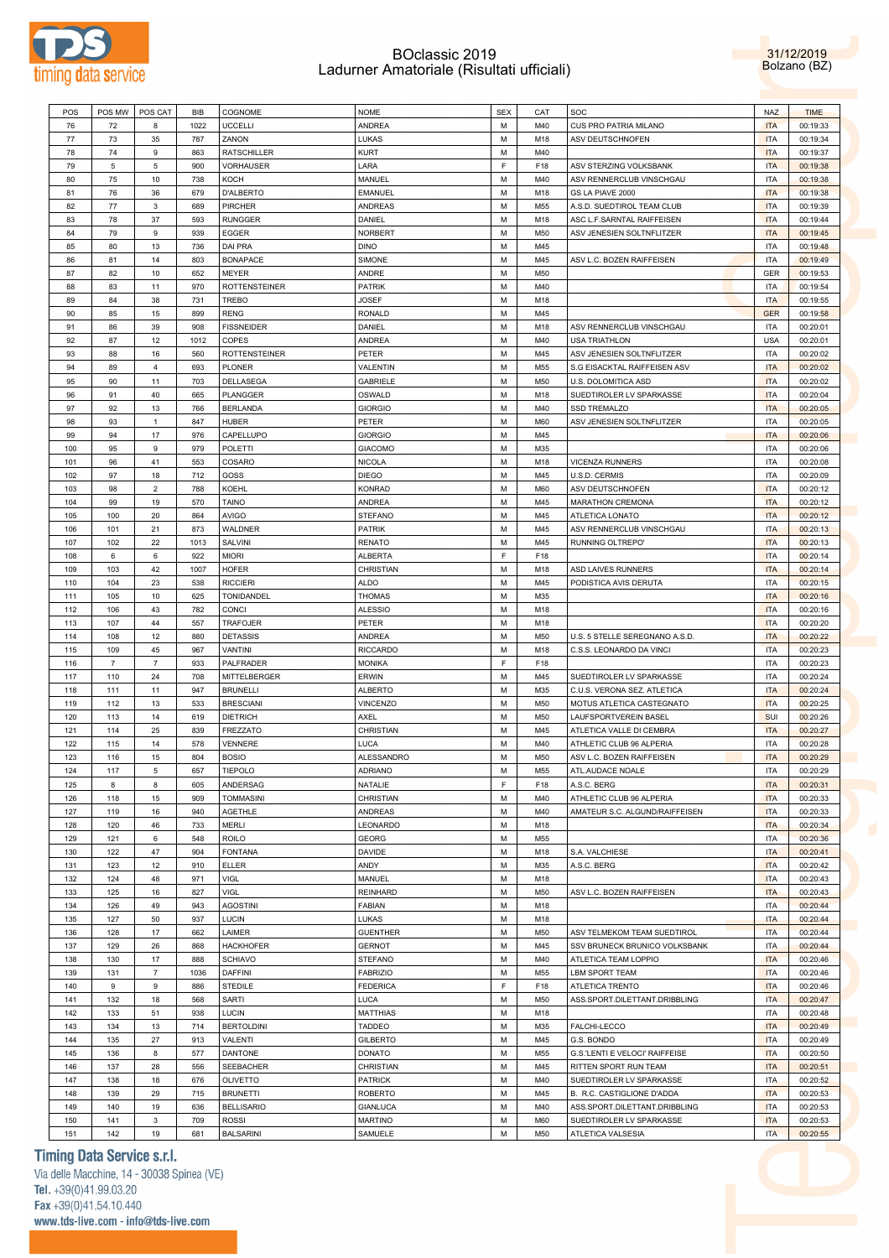

31/12/2019 Bolzano (BZ)

| 76<br>1022<br><b>UCCELLI</b><br><b>ANDREA</b><br>М<br>M40<br>CUS PRO PATRIA MILANO<br><b>ITA</b><br>00:19:33<br>72<br>8<br>LUKAS<br>77<br>35<br>787<br>ZANON<br>М<br>M18<br>ASV DEUTSCHNOFEN<br><b>ITA</b><br>00:19:34<br>73<br><b>RATSCHILLER</b><br>KURT<br>78<br>74<br>9<br>863<br>М<br>M40<br><b>ITA</b><br>00:19:37<br>F<br>5<br>5<br>900<br>VORHAUSER<br>LARA<br>F18<br>ASV STERZING VOLKSBANK<br><b>ITA</b><br>79<br>00:19:38<br>80<br>10<br>738<br>MANUEL<br>М<br>ASV RENNERCLUB VINSCHGAU<br><b>ITA</b><br>00:19:38<br>75<br>KOCH<br>M40<br>81<br>76<br>36<br>679<br><b>D'ALBERTO</b><br>EMANUEL<br>М<br>M18<br>GS LA PIAVE 2000<br><b>ITA</b><br>00:19:38<br>82<br>77<br><b>PIRCHER</b><br>ANDREAS<br>A.S.D. SUEDTIROL TEAM CLUB<br><b>ITA</b><br>3<br>689<br>М<br>M55<br>00:19:39<br>83<br>78<br>37<br>593<br><b>RUNGGER</b><br>DANIEL<br>М<br>ASC L.F.SARNTAL RAIFFEISEN<br><b>ITA</b><br>00:19:44<br>M18<br>84<br>9<br>939<br>EGGER<br>NORBERT<br>ASV JENESIEN SOLTNFLITZER<br>00:19:45<br>79<br>М<br>M50<br><b>ITA</b><br>85<br>80<br>13<br>736<br>DAI PRA<br><b>DINO</b><br>М<br>M45<br><b>ITA</b><br>00:19:48<br><b>BONAPACE</b><br>SIMONE<br>ASV L.C. BOZEN RAIFFEISEN<br>00:19:49<br>86<br>81<br>14<br>803<br>М<br>M45<br>ITA<br>87<br>82<br>10<br>652<br><b>MEYER</b><br>ANDRE<br>М<br>M50<br>GER<br>00:19:53<br>970<br><b>ROTTENSTEINER</b><br><b>PATRIK</b><br>88<br>83<br>11<br>М<br>M40<br>ITA<br>00:19:54<br>89<br>38<br>731<br>TREBO<br>JOSEF<br>М<br><b>ITA</b><br>00:19:55<br>84<br>M18<br>899<br><b>RENG</b><br><b>RONALD</b><br>90<br>85<br>15<br>М<br>M45<br><b>GER</b><br>00:19:58<br>39<br>908<br><b>FISSNEIDER</b><br>DANIEL<br>М<br>ASV RENNERCLUB VINSCHGAU<br><b>ITA</b><br>91<br>86<br>M18<br>00:20:01<br>92<br>87<br>COPES<br>ANDREA<br><b>USA</b><br>12<br>1012<br>М<br>M40<br>USA TRIATHLON<br>00:20:01<br>93<br>16<br><b>ROTTENSTEINER</b><br>PETER<br>М<br>M45<br>ASV JENESIEN SOLTNFLITZER<br><b>ITA</b><br>00:20:02<br>88<br>560<br>94<br>693<br>VALENTIN<br>S.G EISACKTAL RAIFFEISEN ASV<br>00:20:02<br>89<br>4<br>PLONER<br>М<br>M55<br><b>ITA</b><br>703<br>DELLASEGA<br>GABRIELE<br>М<br>M50<br>U.S. DOLOMITICA ASD<br><b>ITA</b><br>00:20:02<br>95<br>90<br>11<br>40<br><b>PLANGGER</b><br>OSWALD<br>SUEDTIROLER LV SPARKASSE<br>00:20:04<br>96<br>91<br>665<br>М<br>M18<br><b>ITA</b><br>97<br>92<br>13<br>766<br><b>BERLANDA</b><br><b>GIORGIO</b><br>М<br>M40<br>SSD TREMALZO<br><b>ITA</b><br>00:20:05<br><b>HUBER</b><br>ASV JENESIEN SOLTNFLITZER<br><b>ITA</b><br>98<br>93<br>847<br>PETER<br>М<br>M60<br>00:20:05<br>-1<br>17<br>976<br>CAPELLUPO<br><b>GIORGIO</b><br>М<br><b>ITA</b><br>00:20:06<br>99<br>94<br>M45<br>100<br>9<br>979<br>POLETTI<br><b>GIACOMO</b><br>M35<br><b>ITA</b><br>95<br>М<br>00:20:06<br>41<br>553<br>COSARO<br>NICOLA<br>М<br><b>VICENZA RUNNERS</b><br><b>ITA</b><br>00:20:08<br>101<br>96<br>M18<br>102<br>712<br>GOSS<br>97<br>18<br><b>DIEGO</b><br>М<br>M45<br>U.S.D. CERMIS<br>ITA<br>00:20:09<br>103<br>$\overline{2}$<br>788<br>KOEHL<br><b>KONRAD</b><br>М<br>M60<br>ASV DEUTSCHNOFEN<br><b>ITA</b><br>98<br>00:20:12<br>104<br><b>TAINO</b><br><b>ANDREA</b><br>99<br>19<br>570<br>М<br>M45<br><b>MARATHON CREMONA</b><br><b>ITA</b><br>00:20:12<br>100<br>20<br>864<br><b>AVIGO</b><br><b>STEFANO</b><br>М<br>M45<br>ATLETICA LONATO<br><b>ITA</b><br>00:20:12<br>105<br>21<br>873<br>WALDNER<br><b>PATRIK</b><br>ASV RENNERCLUB VINSCHGAU<br><b>ITA</b><br>106<br>101<br>М<br>M45<br>00:20:13<br>107<br>22<br>1013<br><b>RENATO</b><br>М<br>M45<br>RUNNING OLTREPO'<br><b>ITA</b><br>102<br>SALVINI<br>00:20:13<br>F<br>6<br>922<br><b>MIORI</b><br>ALBERTA<br>F18<br><b>ITA</b><br>00:20:14<br>108<br>6<br>103<br>42<br>1007<br><b>HOFER</b><br>CHRISTIAN<br>М<br>ASD LAIVES RUNNERS<br><b>ITA</b><br>00:20:14<br>109<br>M18<br>23<br><b>RICCIERI</b><br>110<br>104<br>538<br>ALDO<br>М<br>M45<br>PODISTICA AVIS DERUTA<br>ITA<br>00:20:15<br>10<br>625<br>TONIDANDEL<br>THOMAS<br>M35<br><b>ITA</b><br>00:20:16<br>111<br>105<br>М<br>782<br><b>ALESSIO</b><br>112<br>106<br>43<br><b>CONCI</b><br>М<br>M18<br><b>ITA</b><br>00:20:16<br>44<br><b>TRAFOJER</b><br>PETER<br>М<br><b>ITA</b><br>00:20:20<br>113<br>107<br>557<br>M18<br><b>DETASSIS</b><br>ANDREA<br>M50<br><b>ITA</b><br>00:20:22<br>114<br>108<br>12<br>880<br>М<br>U.S. 5 STELLE SEREGNANO A.S.D<br>45<br>967<br>VANTINI<br><b>RICCARDO</b><br>М<br>M18<br>C.S.S. LEONARDO DA VINCI<br><b>ITA</b><br>115<br>109<br>00:20:23<br>F<br>933<br>PALFRADER<br><b>MONIKA</b><br>F18<br><b>ITA</b><br>00:20:23<br>116<br>$\overline{7}$<br>7<br>110<br>24<br>708<br>MITTELBERGER<br>ERWIN<br>М<br>M45<br>SUEDTIROLER LV SPARKASSE<br><b>ITA</b><br>00:20:24<br>117<br>947<br><b>ALBERTO</b><br>118<br>111<br>11<br><b>BRUNELLI</b><br>М<br>M35<br>C.U.S. VERONA SEZ. ATLETICA<br><b>ITA</b><br>00:20:24<br>533<br><b>BRESCIANI</b><br>VINCENZO<br>М<br>M50<br>MOTUS ATLETICA CASTEGNATO<br><b>ITA</b><br>00:20:25<br>119<br>112<br>13<br><b>DIETRICH</b><br>AXEL<br>LAUFSPORTVEREIN BASEL<br>00:20:26<br>120<br>113<br>14<br>619<br>М<br>M50<br><b>SUI</b><br>25<br>839<br><b>FREZZATO</b><br>CHRISTIAN<br>М<br>ATLETICA VALLE DI CEMBRA<br><b>ITA</b><br>00:20:27<br>121<br>114<br>M45<br>122<br>115<br>14<br>578<br>VENNERE<br>LUCA<br>М<br>M40<br>ATHLETIC CLUB 96 ALPERIA<br>ITA<br>00:20:28<br>123<br>804<br><b>BOSIO</b><br>ALESSANDRO<br>M50<br>ASV L.C. BOZEN RAIFFEISEN<br><b>ITA</b><br>00:20:29<br>116<br>15<br>М<br>657<br>TIEPOLO<br><b>ADRIANO</b><br>М<br>ATL.AUDACE NOALE<br><b>ITA</b><br>124<br>117<br>5<br>M55<br>00:20:29<br>F<br>ANDERSAG<br>NATALIE<br>A.S.C. BERG<br><b>ITA</b><br>00:20:31<br>125<br>8<br>8<br>605<br>F18<br>CHRISTIAN<br>М<br>126<br>118<br>15<br>909<br><b>TOMMASINI</b><br>M40<br>ATHLETIC CLUB 96 ALPERIA<br><b>ITA</b><br>00:20:33<br>AGETHLE<br>ANDREAS<br>М<br>AMATEUR S.C. ALGUND/RAIFFEISEN<br><b>ITA</b><br>00:20:33<br>127<br>119<br>16<br>940<br>M40<br>120<br>733<br>LEONARDO<br>128<br>46<br><b>MERLI</b><br>М<br>M18<br><b>ITA</b><br>00:20:34<br>$\,6\,$<br><b>ROILO</b><br><b>GEORG</b><br>М<br><b>ITA</b><br>00:20:36<br>129<br>121<br>548<br>M55<br><b>FONTANA</b><br>S.A. VALCHIESE<br>130<br>122<br>47<br>904<br>DAVIDE<br>М<br>M18<br><b>ITA</b><br>00:20:41<br>910<br><b>ELLER</b><br>ANDY<br>М<br>A.S.C. BERG<br><b>ITA</b><br>131<br>123<br>12<br>M35<br>00:20:42<br>VIGL<br>MANUEL<br><b>ITA</b><br>132<br>124<br>48<br>971<br>М<br>M18<br>00:20:43<br>VIGL<br><b>REINHARD</b><br>М<br>ASV L.C. BOZEN RAIFFEISEN<br><b>ITA</b><br>00:20:43<br>133<br>125<br>16<br>827<br>M50<br><b>AGOSTINI</b><br><b>ITA</b><br>134<br>126<br>49<br>943<br>FABIAN<br>М<br>M18<br>00:20:44<br>937<br>LUCIN<br>LUKAS<br>М<br><b>ITA</b><br>00:20:44<br>135<br>127<br>50<br>M18<br>LAIMER<br><b>GUENTHER</b><br><b>ITA</b><br>136<br>128<br>17<br>662<br>М<br>M50<br>ASV TELMEKOM TEAM SUEDTIROL<br>00:20:44<br>129<br>26<br><b>HACKHOFER</b><br><b>GERNOT</b><br>М<br><b>ITA</b><br>137<br>868<br>M45<br>SSV BRUNECK BRUNICO VOLKSBANK<br>00:20:44<br><b>SCHIAVO</b><br>138<br>130<br>17<br>888<br><b>STEFANO</b><br>М<br>M40<br>ATLETICA TEAM LOPPIO<br><b>ITA</b><br>00:20:46<br>$\overline{\mathfrak{z}}$<br><b>DAFFINI</b><br><b>FABRIZIO</b><br>М<br><b>LBM SPORT TEAM</b><br><b>ITA</b><br>139<br>131<br>1036<br>M55<br>00:20:46<br>F<br><b>STEDILE</b><br><b>FEDERICA</b><br><b>ITA</b><br>140<br>9<br>9<br>886<br>F18<br>ATLETICA TRENTO<br>00:20:46<br>132<br>18<br>SARTI<br>LUCA<br>М<br>M50<br>ASS.SPORT.DILETTANT.DRIBBLING<br><b>ITA</b><br>141<br>568<br>00:20:47<br>LUCIN<br>142<br>133<br>51<br>938<br><b>MATTHIAS</b><br>М<br>M18<br>ITA<br>00:20:48<br><b>BERTOLDINI</b><br>TADDEO<br>М<br>M35<br>FALCHI-LECCO<br><b>ITA</b><br>00:20:49<br>143<br>134<br>13<br>714<br>VALENTI<br><b>ITA</b><br>144<br>135<br>27<br>913<br><b>GILBERTO</b><br>М<br>M45<br>G.S. BONDO<br>00:20:49<br>8<br><b>DANTONE</b><br><b>DONATO</b><br>М<br>G.S.'LENTI E VELOCI' RAIFFEISE<br><b>ITA</b><br>00:20:50<br>145<br>136<br>577<br>M55<br><b>SEEBACHER</b><br>CHRISTIAN<br>146<br>137<br>28<br>556<br>М<br>M45<br>RITTEN SPORT RUN TEAM<br><b>ITA</b><br>00:20:51<br><b>PATRICK</b><br>М<br>SUEDTIROLER LV SPARKASSE<br><b>ITA</b><br>147<br>138<br>18<br>676<br>OLIVETTO<br>M40<br><b>ITA</b><br>148<br>139<br>29<br>715<br><b>BRUNETTI</b><br><b>ROBERTO</b><br>М<br>M45<br>B. R.C. CASTIGLIONE D'ADDA<br>00:20:53<br><b>BELLISARIO</b><br><b>GIANLUCA</b><br>М<br>ASS.SPORT.DILETTANT.DRIBBLING<br><b>ITA</b><br>149<br>140<br>19<br>636<br>M40<br>00:20:53<br><b>MARTINO</b><br>150<br>141<br>3<br>709<br><b>ROSSI</b><br>М<br>M60<br>SUEDTIROLER LV SPARKASSE<br><b>ITA</b><br>00:20:53<br>19<br><b>BALSARINI</b><br>SAMUELE<br>М<br>M50<br>ATLETICA VALSESIA<br><b>ITA</b><br>151<br>142<br>681<br>00:20:55 | POS MW | POS CAT | BIB | COGNOME | <b>NOME</b> | <b>SEX</b> | CAT | SOC | <b>NAZ</b> | <b>TIME</b> |
|----------------------------------------------------------------------------------------------------------------------------------------------------------------------------------------------------------------------------------------------------------------------------------------------------------------------------------------------------------------------------------------------------------------------------------------------------------------------------------------------------------------------------------------------------------------------------------------------------------------------------------------------------------------------------------------------------------------------------------------------------------------------------------------------------------------------------------------------------------------------------------------------------------------------------------------------------------------------------------------------------------------------------------------------------------------------------------------------------------------------------------------------------------------------------------------------------------------------------------------------------------------------------------------------------------------------------------------------------------------------------------------------------------------------------------------------------------------------------------------------------------------------------------------------------------------------------------------------------------------------------------------------------------------------------------------------------------------------------------------------------------------------------------------------------------------------------------------------------------------------------------------------------------------------------------------------------------------------------------------------------------------------------------------------------------------------------------------------------------------------------------------------------------------------------------------------------------------------------------------------------------------------------------------------------------------------------------------------------------------------------------------------------------------------------------------------------------------------------------------------------------------------------------------------------------------------------------------------------------------------------------------------------------------------------------------------------------------------------------------------------------------------------------------------------------------------------------------------------------------------------------------------------------------------------------------------------------------------------------------------------------------------------------------------------------------------------------------------------------------------------------------------------------------------------------------------------------------------------------------------------------------------------------------------------------------------------------------------------------------------------------------------------------------------------------------------------------------------------------------------------------------------------------------------------------------------------------------------------------------------------------------------------------------------------------------------------------------------------------------------------------------------------------------------------------------------------------------------------------------------------------------------------------------------------------------------------------------------------------------------------------------------------------------------------------------------------------------------------------------------------------------------------------------------------------------------------------------------------------------------------------------------------------------------------------------------------------------------------------------------------------------------------------------------------------------------------------------------------------------------------------------------------------------------------------------------------------------------------------------------------------------------------------------------------------------------------------------------------------------------------------------------------------------------------------------------------------------------------------------------------------------------------------------------------------------------------------------------------------------------------------------------------------------------------------------------------------------------------------------------------------------------------------------------------------------------------------------------------------------------------------------------------------------------------------------------------------------------------------------------------------------------------------------------------------------------------------------------------------------------------------------------------------------------------------------------------------------------------------------------------------------------------------------------------------------------------------------------------------------------------------------------------------------------------------------------------------------------------------------------------------------------------------------------------------------------------------------------------------------------------------------------------------------------------------------------------------------------------------------------------------------------------------------------------------------------------------------------------------------------------------------------------------------------------------------------------------------------------------------------------------------------------------------------------------------------------------------------------------------------------------------------------------------------------------------------------------------------------------------------------------------------------------------------------------------------------------------------------------------------------------------------------------------------------------------------------------------------------------------------------------------------------------------------------------------------------------------------------------------------------------------------------------------------------------------------------------------------------------------------------------------------------------------------------------------------------------------------------------------------------------------------------------------------------------------------------------------------------------------------------------------------------------------------------------------------------------------------------------------------------------------------------------------------------------------------------------------------------------------------------------------------------------------------------------------------------------------------------------------------------------------------------------------------------------------------------------------------------------------------------------------------------------------------------------------------------------------------------------------------------------------------------------------------------------------------------------------------------------------------------------------------------------------------------------------------------------------------------------------------------------------------------------------------------------------------------------------------------------------------------------------------------------------------------------------------------------------------------------------------------------------------------------------------------------------------------------------------------------------------------------------------------------------------------------------------------------------------------------------------------------------------------------------------------------------------------------|--------|---------|-----|---------|-------------|------------|-----|-----|------------|-------------|
|                                                                                                                                                                                                                                                                                                                                                                                                                                                                                                                                                                                                                                                                                                                                                                                                                                                                                                                                                                                                                                                                                                                                                                                                                                                                                                                                                                                                                                                                                                                                                                                                                                                                                                                                                                                                                                                                                                                                                                                                                                                                                                                                                                                                                                                                                                                                                                                                                                                                                                                                                                                                                                                                                                                                                                                                                                                                                                                                                                                                                                                                                                                                                                                                                                                                                                                                                                                                                                                                                                                                                                                                                                                                                                                                                                                                                                                                                                                                                                                                                                                                                                                                                                                                                                                                                                                                                                                                                                                                                                                                                                                                                                                                                                                                                                                                                                                                                                                                                                                                                                                                                                                                                                                                                                                                                                                                                                                                                                                                                                                                                                                                                                                                                                                                                                                                                                                                                                                                                                                                                                                                                                                                                                                                                                                                                                                                                                                                                                                                                                                                                                                                                                                                                                                                                                                                                                                                                                                                                                                                                                                                                                                                                                                                                                                                                                                                                                                                                                                                                                                                                                                                                                                                                                                                                                                                                                                                                                                                                                                                                                                                                                                                                                                                                                                                                                                                                                                                                                                                                                                                                                                                                                                                                                                                                                                                                                  |        |         |     |         |             |            |     |     |            |             |
|                                                                                                                                                                                                                                                                                                                                                                                                                                                                                                                                                                                                                                                                                                                                                                                                                                                                                                                                                                                                                                                                                                                                                                                                                                                                                                                                                                                                                                                                                                                                                                                                                                                                                                                                                                                                                                                                                                                                                                                                                                                                                                                                                                                                                                                                                                                                                                                                                                                                                                                                                                                                                                                                                                                                                                                                                                                                                                                                                                                                                                                                                                                                                                                                                                                                                                                                                                                                                                                                                                                                                                                                                                                                                                                                                                                                                                                                                                                                                                                                                                                                                                                                                                                                                                                                                                                                                                                                                                                                                                                                                                                                                                                                                                                                                                                                                                                                                                                                                                                                                                                                                                                                                                                                                                                                                                                                                                                                                                                                                                                                                                                                                                                                                                                                                                                                                                                                                                                                                                                                                                                                                                                                                                                                                                                                                                                                                                                                                                                                                                                                                                                                                                                                                                                                                                                                                                                                                                                                                                                                                                                                                                                                                                                                                                                                                                                                                                                                                                                                                                                                                                                                                                                                                                                                                                                                                                                                                                                                                                                                                                                                                                                                                                                                                                                                                                                                                                                                                                                                                                                                                                                                                                                                                                                                                                                                                                  |        |         |     |         |             |            |     |     |            |             |
|                                                                                                                                                                                                                                                                                                                                                                                                                                                                                                                                                                                                                                                                                                                                                                                                                                                                                                                                                                                                                                                                                                                                                                                                                                                                                                                                                                                                                                                                                                                                                                                                                                                                                                                                                                                                                                                                                                                                                                                                                                                                                                                                                                                                                                                                                                                                                                                                                                                                                                                                                                                                                                                                                                                                                                                                                                                                                                                                                                                                                                                                                                                                                                                                                                                                                                                                                                                                                                                                                                                                                                                                                                                                                                                                                                                                                                                                                                                                                                                                                                                                                                                                                                                                                                                                                                                                                                                                                                                                                                                                                                                                                                                                                                                                                                                                                                                                                                                                                                                                                                                                                                                                                                                                                                                                                                                                                                                                                                                                                                                                                                                                                                                                                                                                                                                                                                                                                                                                                                                                                                                                                                                                                                                                                                                                                                                                                                                                                                                                                                                                                                                                                                                                                                                                                                                                                                                                                                                                                                                                                                                                                                                                                                                                                                                                                                                                                                                                                                                                                                                                                                                                                                                                                                                                                                                                                                                                                                                                                                                                                                                                                                                                                                                                                                                                                                                                                                                                                                                                                                                                                                                                                                                                                                                                                                                                                                  |        |         |     |         |             |            |     |     |            |             |
|                                                                                                                                                                                                                                                                                                                                                                                                                                                                                                                                                                                                                                                                                                                                                                                                                                                                                                                                                                                                                                                                                                                                                                                                                                                                                                                                                                                                                                                                                                                                                                                                                                                                                                                                                                                                                                                                                                                                                                                                                                                                                                                                                                                                                                                                                                                                                                                                                                                                                                                                                                                                                                                                                                                                                                                                                                                                                                                                                                                                                                                                                                                                                                                                                                                                                                                                                                                                                                                                                                                                                                                                                                                                                                                                                                                                                                                                                                                                                                                                                                                                                                                                                                                                                                                                                                                                                                                                                                                                                                                                                                                                                                                                                                                                                                                                                                                                                                                                                                                                                                                                                                                                                                                                                                                                                                                                                                                                                                                                                                                                                                                                                                                                                                                                                                                                                                                                                                                                                                                                                                                                                                                                                                                                                                                                                                                                                                                                                                                                                                                                                                                                                                                                                                                                                                                                                                                                                                                                                                                                                                                                                                                                                                                                                                                                                                                                                                                                                                                                                                                                                                                                                                                                                                                                                                                                                                                                                                                                                                                                                                                                                                                                                                                                                                                                                                                                                                                                                                                                                                                                                                                                                                                                                                                                                                                                                                  |        |         |     |         |             |            |     |     |            |             |
|                                                                                                                                                                                                                                                                                                                                                                                                                                                                                                                                                                                                                                                                                                                                                                                                                                                                                                                                                                                                                                                                                                                                                                                                                                                                                                                                                                                                                                                                                                                                                                                                                                                                                                                                                                                                                                                                                                                                                                                                                                                                                                                                                                                                                                                                                                                                                                                                                                                                                                                                                                                                                                                                                                                                                                                                                                                                                                                                                                                                                                                                                                                                                                                                                                                                                                                                                                                                                                                                                                                                                                                                                                                                                                                                                                                                                                                                                                                                                                                                                                                                                                                                                                                                                                                                                                                                                                                                                                                                                                                                                                                                                                                                                                                                                                                                                                                                                                                                                                                                                                                                                                                                                                                                                                                                                                                                                                                                                                                                                                                                                                                                                                                                                                                                                                                                                                                                                                                                                                                                                                                                                                                                                                                                                                                                                                                                                                                                                                                                                                                                                                                                                                                                                                                                                                                                                                                                                                                                                                                                                                                                                                                                                                                                                                                                                                                                                                                                                                                                                                                                                                                                                                                                                                                                                                                                                                                                                                                                                                                                                                                                                                                                                                                                                                                                                                                                                                                                                                                                                                                                                                                                                                                                                                                                                                                                                                  |        |         |     |         |             |            |     |     |            |             |
|                                                                                                                                                                                                                                                                                                                                                                                                                                                                                                                                                                                                                                                                                                                                                                                                                                                                                                                                                                                                                                                                                                                                                                                                                                                                                                                                                                                                                                                                                                                                                                                                                                                                                                                                                                                                                                                                                                                                                                                                                                                                                                                                                                                                                                                                                                                                                                                                                                                                                                                                                                                                                                                                                                                                                                                                                                                                                                                                                                                                                                                                                                                                                                                                                                                                                                                                                                                                                                                                                                                                                                                                                                                                                                                                                                                                                                                                                                                                                                                                                                                                                                                                                                                                                                                                                                                                                                                                                                                                                                                                                                                                                                                                                                                                                                                                                                                                                                                                                                                                                                                                                                                                                                                                                                                                                                                                                                                                                                                                                                                                                                                                                                                                                                                                                                                                                                                                                                                                                                                                                                                                                                                                                                                                                                                                                                                                                                                                                                                                                                                                                                                                                                                                                                                                                                                                                                                                                                                                                                                                                                                                                                                                                                                                                                                                                                                                                                                                                                                                                                                                                                                                                                                                                                                                                                                                                                                                                                                                                                                                                                                                                                                                                                                                                                                                                                                                                                                                                                                                                                                                                                                                                                                                                                                                                                                                                                  |        |         |     |         |             |            |     |     |            |             |
|                                                                                                                                                                                                                                                                                                                                                                                                                                                                                                                                                                                                                                                                                                                                                                                                                                                                                                                                                                                                                                                                                                                                                                                                                                                                                                                                                                                                                                                                                                                                                                                                                                                                                                                                                                                                                                                                                                                                                                                                                                                                                                                                                                                                                                                                                                                                                                                                                                                                                                                                                                                                                                                                                                                                                                                                                                                                                                                                                                                                                                                                                                                                                                                                                                                                                                                                                                                                                                                                                                                                                                                                                                                                                                                                                                                                                                                                                                                                                                                                                                                                                                                                                                                                                                                                                                                                                                                                                                                                                                                                                                                                                                                                                                                                                                                                                                                                                                                                                                                                                                                                                                                                                                                                                                                                                                                                                                                                                                                                                                                                                                                                                                                                                                                                                                                                                                                                                                                                                                                                                                                                                                                                                                                                                                                                                                                                                                                                                                                                                                                                                                                                                                                                                                                                                                                                                                                                                                                                                                                                                                                                                                                                                                                                                                                                                                                                                                                                                                                                                                                                                                                                                                                                                                                                                                                                                                                                                                                                                                                                                                                                                                                                                                                                                                                                                                                                                                                                                                                                                                                                                                                                                                                                                                                                                                                                                                  |        |         |     |         |             |            |     |     |            |             |
|                                                                                                                                                                                                                                                                                                                                                                                                                                                                                                                                                                                                                                                                                                                                                                                                                                                                                                                                                                                                                                                                                                                                                                                                                                                                                                                                                                                                                                                                                                                                                                                                                                                                                                                                                                                                                                                                                                                                                                                                                                                                                                                                                                                                                                                                                                                                                                                                                                                                                                                                                                                                                                                                                                                                                                                                                                                                                                                                                                                                                                                                                                                                                                                                                                                                                                                                                                                                                                                                                                                                                                                                                                                                                                                                                                                                                                                                                                                                                                                                                                                                                                                                                                                                                                                                                                                                                                                                                                                                                                                                                                                                                                                                                                                                                                                                                                                                                                                                                                                                                                                                                                                                                                                                                                                                                                                                                                                                                                                                                                                                                                                                                                                                                                                                                                                                                                                                                                                                                                                                                                                                                                                                                                                                                                                                                                                                                                                                                                                                                                                                                                                                                                                                                                                                                                                                                                                                                                                                                                                                                                                                                                                                                                                                                                                                                                                                                                                                                                                                                                                                                                                                                                                                                                                                                                                                                                                                                                                                                                                                                                                                                                                                                                                                                                                                                                                                                                                                                                                                                                                                                                                                                                                                                                                                                                                                                                  |        |         |     |         |             |            |     |     |            |             |
|                                                                                                                                                                                                                                                                                                                                                                                                                                                                                                                                                                                                                                                                                                                                                                                                                                                                                                                                                                                                                                                                                                                                                                                                                                                                                                                                                                                                                                                                                                                                                                                                                                                                                                                                                                                                                                                                                                                                                                                                                                                                                                                                                                                                                                                                                                                                                                                                                                                                                                                                                                                                                                                                                                                                                                                                                                                                                                                                                                                                                                                                                                                                                                                                                                                                                                                                                                                                                                                                                                                                                                                                                                                                                                                                                                                                                                                                                                                                                                                                                                                                                                                                                                                                                                                                                                                                                                                                                                                                                                                                                                                                                                                                                                                                                                                                                                                                                                                                                                                                                                                                                                                                                                                                                                                                                                                                                                                                                                                                                                                                                                                                                                                                                                                                                                                                                                                                                                                                                                                                                                                                                                                                                                                                                                                                                                                                                                                                                                                                                                                                                                                                                                                                                                                                                                                                                                                                                                                                                                                                                                                                                                                                                                                                                                                                                                                                                                                                                                                                                                                                                                                                                                                                                                                                                                                                                                                                                                                                                                                                                                                                                                                                                                                                                                                                                                                                                                                                                                                                                                                                                                                                                                                                                                                                                                                                                                  |        |         |     |         |             |            |     |     |            |             |
|                                                                                                                                                                                                                                                                                                                                                                                                                                                                                                                                                                                                                                                                                                                                                                                                                                                                                                                                                                                                                                                                                                                                                                                                                                                                                                                                                                                                                                                                                                                                                                                                                                                                                                                                                                                                                                                                                                                                                                                                                                                                                                                                                                                                                                                                                                                                                                                                                                                                                                                                                                                                                                                                                                                                                                                                                                                                                                                                                                                                                                                                                                                                                                                                                                                                                                                                                                                                                                                                                                                                                                                                                                                                                                                                                                                                                                                                                                                                                                                                                                                                                                                                                                                                                                                                                                                                                                                                                                                                                                                                                                                                                                                                                                                                                                                                                                                                                                                                                                                                                                                                                                                                                                                                                                                                                                                                                                                                                                                                                                                                                                                                                                                                                                                                                                                                                                                                                                                                                                                                                                                                                                                                                                                                                                                                                                                                                                                                                                                                                                                                                                                                                                                                                                                                                                                                                                                                                                                                                                                                                                                                                                                                                                                                                                                                                                                                                                                                                                                                                                                                                                                                                                                                                                                                                                                                                                                                                                                                                                                                                                                                                                                                                                                                                                                                                                                                                                                                                                                                                                                                                                                                                                                                                                                                                                                                                                  |        |         |     |         |             |            |     |     |            |             |
|                                                                                                                                                                                                                                                                                                                                                                                                                                                                                                                                                                                                                                                                                                                                                                                                                                                                                                                                                                                                                                                                                                                                                                                                                                                                                                                                                                                                                                                                                                                                                                                                                                                                                                                                                                                                                                                                                                                                                                                                                                                                                                                                                                                                                                                                                                                                                                                                                                                                                                                                                                                                                                                                                                                                                                                                                                                                                                                                                                                                                                                                                                                                                                                                                                                                                                                                                                                                                                                                                                                                                                                                                                                                                                                                                                                                                                                                                                                                                                                                                                                                                                                                                                                                                                                                                                                                                                                                                                                                                                                                                                                                                                                                                                                                                                                                                                                                                                                                                                                                                                                                                                                                                                                                                                                                                                                                                                                                                                                                                                                                                                                                                                                                                                                                                                                                                                                                                                                                                                                                                                                                                                                                                                                                                                                                                                                                                                                                                                                                                                                                                                                                                                                                                                                                                                                                                                                                                                                                                                                                                                                                                                                                                                                                                                                                                                                                                                                                                                                                                                                                                                                                                                                                                                                                                                                                                                                                                                                                                                                                                                                                                                                                                                                                                                                                                                                                                                                                                                                                                                                                                                                                                                                                                                                                                                                                                                  |        |         |     |         |             |            |     |     |            |             |
|                                                                                                                                                                                                                                                                                                                                                                                                                                                                                                                                                                                                                                                                                                                                                                                                                                                                                                                                                                                                                                                                                                                                                                                                                                                                                                                                                                                                                                                                                                                                                                                                                                                                                                                                                                                                                                                                                                                                                                                                                                                                                                                                                                                                                                                                                                                                                                                                                                                                                                                                                                                                                                                                                                                                                                                                                                                                                                                                                                                                                                                                                                                                                                                                                                                                                                                                                                                                                                                                                                                                                                                                                                                                                                                                                                                                                                                                                                                                                                                                                                                                                                                                                                                                                                                                                                                                                                                                                                                                                                                                                                                                                                                                                                                                                                                                                                                                                                                                                                                                                                                                                                                                                                                                                                                                                                                                                                                                                                                                                                                                                                                                                                                                                                                                                                                                                                                                                                                                                                                                                                                                                                                                                                                                                                                                                                                                                                                                                                                                                                                                                                                                                                                                                                                                                                                                                                                                                                                                                                                                                                                                                                                                                                                                                                                                                                                                                                                                                                                                                                                                                                                                                                                                                                                                                                                                                                                                                                                                                                                                                                                                                                                                                                                                                                                                                                                                                                                                                                                                                                                                                                                                                                                                                                                                                                                                                                  |        |         |     |         |             |            |     |     |            |             |
|                                                                                                                                                                                                                                                                                                                                                                                                                                                                                                                                                                                                                                                                                                                                                                                                                                                                                                                                                                                                                                                                                                                                                                                                                                                                                                                                                                                                                                                                                                                                                                                                                                                                                                                                                                                                                                                                                                                                                                                                                                                                                                                                                                                                                                                                                                                                                                                                                                                                                                                                                                                                                                                                                                                                                                                                                                                                                                                                                                                                                                                                                                                                                                                                                                                                                                                                                                                                                                                                                                                                                                                                                                                                                                                                                                                                                                                                                                                                                                                                                                                                                                                                                                                                                                                                                                                                                                                                                                                                                                                                                                                                                                                                                                                                                                                                                                                                                                                                                                                                                                                                                                                                                                                                                                                                                                                                                                                                                                                                                                                                                                                                                                                                                                                                                                                                                                                                                                                                                                                                                                                                                                                                                                                                                                                                                                                                                                                                                                                                                                                                                                                                                                                                                                                                                                                                                                                                                                                                                                                                                                                                                                                                                                                                                                                                                                                                                                                                                                                                                                                                                                                                                                                                                                                                                                                                                                                                                                                                                                                                                                                                                                                                                                                                                                                                                                                                                                                                                                                                                                                                                                                                                                                                                                                                                                                                                                  |        |         |     |         |             |            |     |     |            |             |
|                                                                                                                                                                                                                                                                                                                                                                                                                                                                                                                                                                                                                                                                                                                                                                                                                                                                                                                                                                                                                                                                                                                                                                                                                                                                                                                                                                                                                                                                                                                                                                                                                                                                                                                                                                                                                                                                                                                                                                                                                                                                                                                                                                                                                                                                                                                                                                                                                                                                                                                                                                                                                                                                                                                                                                                                                                                                                                                                                                                                                                                                                                                                                                                                                                                                                                                                                                                                                                                                                                                                                                                                                                                                                                                                                                                                                                                                                                                                                                                                                                                                                                                                                                                                                                                                                                                                                                                                                                                                                                                                                                                                                                                                                                                                                                                                                                                                                                                                                                                                                                                                                                                                                                                                                                                                                                                                                                                                                                                                                                                                                                                                                                                                                                                                                                                                                                                                                                                                                                                                                                                                                                                                                                                                                                                                                                                                                                                                                                                                                                                                                                                                                                                                                                                                                                                                                                                                                                                                                                                                                                                                                                                                                                                                                                                                                                                                                                                                                                                                                                                                                                                                                                                                                                                                                                                                                                                                                                                                                                                                                                                                                                                                                                                                                                                                                                                                                                                                                                                                                                                                                                                                                                                                                                                                                                                                                                  |        |         |     |         |             |            |     |     |            |             |
|                                                                                                                                                                                                                                                                                                                                                                                                                                                                                                                                                                                                                                                                                                                                                                                                                                                                                                                                                                                                                                                                                                                                                                                                                                                                                                                                                                                                                                                                                                                                                                                                                                                                                                                                                                                                                                                                                                                                                                                                                                                                                                                                                                                                                                                                                                                                                                                                                                                                                                                                                                                                                                                                                                                                                                                                                                                                                                                                                                                                                                                                                                                                                                                                                                                                                                                                                                                                                                                                                                                                                                                                                                                                                                                                                                                                                                                                                                                                                                                                                                                                                                                                                                                                                                                                                                                                                                                                                                                                                                                                                                                                                                                                                                                                                                                                                                                                                                                                                                                                                                                                                                                                                                                                                                                                                                                                                                                                                                                                                                                                                                                                                                                                                                                                                                                                                                                                                                                                                                                                                                                                                                                                                                                                                                                                                                                                                                                                                                                                                                                                                                                                                                                                                                                                                                                                                                                                                                                                                                                                                                                                                                                                                                                                                                                                                                                                                                                                                                                                                                                                                                                                                                                                                                                                                                                                                                                                                                                                                                                                                                                                                                                                                                                                                                                                                                                                                                                                                                                                                                                                                                                                                                                                                                                                                                                                                                  |        |         |     |         |             |            |     |     |            |             |
|                                                                                                                                                                                                                                                                                                                                                                                                                                                                                                                                                                                                                                                                                                                                                                                                                                                                                                                                                                                                                                                                                                                                                                                                                                                                                                                                                                                                                                                                                                                                                                                                                                                                                                                                                                                                                                                                                                                                                                                                                                                                                                                                                                                                                                                                                                                                                                                                                                                                                                                                                                                                                                                                                                                                                                                                                                                                                                                                                                                                                                                                                                                                                                                                                                                                                                                                                                                                                                                                                                                                                                                                                                                                                                                                                                                                                                                                                                                                                                                                                                                                                                                                                                                                                                                                                                                                                                                                                                                                                                                                                                                                                                                                                                                                                                                                                                                                                                                                                                                                                                                                                                                                                                                                                                                                                                                                                                                                                                                                                                                                                                                                                                                                                                                                                                                                                                                                                                                                                                                                                                                                                                                                                                                                                                                                                                                                                                                                                                                                                                                                                                                                                                                                                                                                                                                                                                                                                                                                                                                                                                                                                                                                                                                                                                                                                                                                                                                                                                                                                                                                                                                                                                                                                                                                                                                                                                                                                                                                                                                                                                                                                                                                                                                                                                                                                                                                                                                                                                                                                                                                                                                                                                                                                                                                                                                                                                  |        |         |     |         |             |            |     |     |            |             |
|                                                                                                                                                                                                                                                                                                                                                                                                                                                                                                                                                                                                                                                                                                                                                                                                                                                                                                                                                                                                                                                                                                                                                                                                                                                                                                                                                                                                                                                                                                                                                                                                                                                                                                                                                                                                                                                                                                                                                                                                                                                                                                                                                                                                                                                                                                                                                                                                                                                                                                                                                                                                                                                                                                                                                                                                                                                                                                                                                                                                                                                                                                                                                                                                                                                                                                                                                                                                                                                                                                                                                                                                                                                                                                                                                                                                                                                                                                                                                                                                                                                                                                                                                                                                                                                                                                                                                                                                                                                                                                                                                                                                                                                                                                                                                                                                                                                                                                                                                                                                                                                                                                                                                                                                                                                                                                                                                                                                                                                                                                                                                                                                                                                                                                                                                                                                                                                                                                                                                                                                                                                                                                                                                                                                                                                                                                                                                                                                                                                                                                                                                                                                                                                                                                                                                                                                                                                                                                                                                                                                                                                                                                                                                                                                                                                                                                                                                                                                                                                                                                                                                                                                                                                                                                                                                                                                                                                                                                                                                                                                                                                                                                                                                                                                                                                                                                                                                                                                                                                                                                                                                                                                                                                                                                                                                                                                                                  |        |         |     |         |             |            |     |     |            |             |
|                                                                                                                                                                                                                                                                                                                                                                                                                                                                                                                                                                                                                                                                                                                                                                                                                                                                                                                                                                                                                                                                                                                                                                                                                                                                                                                                                                                                                                                                                                                                                                                                                                                                                                                                                                                                                                                                                                                                                                                                                                                                                                                                                                                                                                                                                                                                                                                                                                                                                                                                                                                                                                                                                                                                                                                                                                                                                                                                                                                                                                                                                                                                                                                                                                                                                                                                                                                                                                                                                                                                                                                                                                                                                                                                                                                                                                                                                                                                                                                                                                                                                                                                                                                                                                                                                                                                                                                                                                                                                                                                                                                                                                                                                                                                                                                                                                                                                                                                                                                                                                                                                                                                                                                                                                                                                                                                                                                                                                                                                                                                                                                                                                                                                                                                                                                                                                                                                                                                                                                                                                                                                                                                                                                                                                                                                                                                                                                                                                                                                                                                                                                                                                                                                                                                                                                                                                                                                                                                                                                                                                                                                                                                                                                                                                                                                                                                                                                                                                                                                                                                                                                                                                                                                                                                                                                                                                                                                                                                                                                                                                                                                                                                                                                                                                                                                                                                                                                                                                                                                                                                                                                                                                                                                                                                                                                                                                  |        |         |     |         |             |            |     |     |            |             |
|                                                                                                                                                                                                                                                                                                                                                                                                                                                                                                                                                                                                                                                                                                                                                                                                                                                                                                                                                                                                                                                                                                                                                                                                                                                                                                                                                                                                                                                                                                                                                                                                                                                                                                                                                                                                                                                                                                                                                                                                                                                                                                                                                                                                                                                                                                                                                                                                                                                                                                                                                                                                                                                                                                                                                                                                                                                                                                                                                                                                                                                                                                                                                                                                                                                                                                                                                                                                                                                                                                                                                                                                                                                                                                                                                                                                                                                                                                                                                                                                                                                                                                                                                                                                                                                                                                                                                                                                                                                                                                                                                                                                                                                                                                                                                                                                                                                                                                                                                                                                                                                                                                                                                                                                                                                                                                                                                                                                                                                                                                                                                                                                                                                                                                                                                                                                                                                                                                                                                                                                                                                                                                                                                                                                                                                                                                                                                                                                                                                                                                                                                                                                                                                                                                                                                                                                                                                                                                                                                                                                                                                                                                                                                                                                                                                                                                                                                                                                                                                                                                                                                                                                                                                                                                                                                                                                                                                                                                                                                                                                                                                                                                                                                                                                                                                                                                                                                                                                                                                                                                                                                                                                                                                                                                                                                                                                                                  |        |         |     |         |             |            |     |     |            |             |
|                                                                                                                                                                                                                                                                                                                                                                                                                                                                                                                                                                                                                                                                                                                                                                                                                                                                                                                                                                                                                                                                                                                                                                                                                                                                                                                                                                                                                                                                                                                                                                                                                                                                                                                                                                                                                                                                                                                                                                                                                                                                                                                                                                                                                                                                                                                                                                                                                                                                                                                                                                                                                                                                                                                                                                                                                                                                                                                                                                                                                                                                                                                                                                                                                                                                                                                                                                                                                                                                                                                                                                                                                                                                                                                                                                                                                                                                                                                                                                                                                                                                                                                                                                                                                                                                                                                                                                                                                                                                                                                                                                                                                                                                                                                                                                                                                                                                                                                                                                                                                                                                                                                                                                                                                                                                                                                                                                                                                                                                                                                                                                                                                                                                                                                                                                                                                                                                                                                                                                                                                                                                                                                                                                                                                                                                                                                                                                                                                                                                                                                                                                                                                                                                                                                                                                                                                                                                                                                                                                                                                                                                                                                                                                                                                                                                                                                                                                                                                                                                                                                                                                                                                                                                                                                                                                                                                                                                                                                                                                                                                                                                                                                                                                                                                                                                                                                                                                                                                                                                                                                                                                                                                                                                                                                                                                                                                                  |        |         |     |         |             |            |     |     |            |             |
|                                                                                                                                                                                                                                                                                                                                                                                                                                                                                                                                                                                                                                                                                                                                                                                                                                                                                                                                                                                                                                                                                                                                                                                                                                                                                                                                                                                                                                                                                                                                                                                                                                                                                                                                                                                                                                                                                                                                                                                                                                                                                                                                                                                                                                                                                                                                                                                                                                                                                                                                                                                                                                                                                                                                                                                                                                                                                                                                                                                                                                                                                                                                                                                                                                                                                                                                                                                                                                                                                                                                                                                                                                                                                                                                                                                                                                                                                                                                                                                                                                                                                                                                                                                                                                                                                                                                                                                                                                                                                                                                                                                                                                                                                                                                                                                                                                                                                                                                                                                                                                                                                                                                                                                                                                                                                                                                                                                                                                                                                                                                                                                                                                                                                                                                                                                                                                                                                                                                                                                                                                                                                                                                                                                                                                                                                                                                                                                                                                                                                                                                                                                                                                                                                                                                                                                                                                                                                                                                                                                                                                                                                                                                                                                                                                                                                                                                                                                                                                                                                                                                                                                                                                                                                                                                                                                                                                                                                                                                                                                                                                                                                                                                                                                                                                                                                                                                                                                                                                                                                                                                                                                                                                                                                                                                                                                                                                  |        |         |     |         |             |            |     |     |            |             |
|                                                                                                                                                                                                                                                                                                                                                                                                                                                                                                                                                                                                                                                                                                                                                                                                                                                                                                                                                                                                                                                                                                                                                                                                                                                                                                                                                                                                                                                                                                                                                                                                                                                                                                                                                                                                                                                                                                                                                                                                                                                                                                                                                                                                                                                                                                                                                                                                                                                                                                                                                                                                                                                                                                                                                                                                                                                                                                                                                                                                                                                                                                                                                                                                                                                                                                                                                                                                                                                                                                                                                                                                                                                                                                                                                                                                                                                                                                                                                                                                                                                                                                                                                                                                                                                                                                                                                                                                                                                                                                                                                                                                                                                                                                                                                                                                                                                                                                                                                                                                                                                                                                                                                                                                                                                                                                                                                                                                                                                                                                                                                                                                                                                                                                                                                                                                                                                                                                                                                                                                                                                                                                                                                                                                                                                                                                                                                                                                                                                                                                                                                                                                                                                                                                                                                                                                                                                                                                                                                                                                                                                                                                                                                                                                                                                                                                                                                                                                                                                                                                                                                                                                                                                                                                                                                                                                                                                                                                                                                                                                                                                                                                                                                                                                                                                                                                                                                                                                                                                                                                                                                                                                                                                                                                                                                                                                                                  |        |         |     |         |             |            |     |     |            |             |
|                                                                                                                                                                                                                                                                                                                                                                                                                                                                                                                                                                                                                                                                                                                                                                                                                                                                                                                                                                                                                                                                                                                                                                                                                                                                                                                                                                                                                                                                                                                                                                                                                                                                                                                                                                                                                                                                                                                                                                                                                                                                                                                                                                                                                                                                                                                                                                                                                                                                                                                                                                                                                                                                                                                                                                                                                                                                                                                                                                                                                                                                                                                                                                                                                                                                                                                                                                                                                                                                                                                                                                                                                                                                                                                                                                                                                                                                                                                                                                                                                                                                                                                                                                                                                                                                                                                                                                                                                                                                                                                                                                                                                                                                                                                                                                                                                                                                                                                                                                                                                                                                                                                                                                                                                                                                                                                                                                                                                                                                                                                                                                                                                                                                                                                                                                                                                                                                                                                                                                                                                                                                                                                                                                                                                                                                                                                                                                                                                                                                                                                                                                                                                                                                                                                                                                                                                                                                                                                                                                                                                                                                                                                                                                                                                                                                                                                                                                                                                                                                                                                                                                                                                                                                                                                                                                                                                                                                                                                                                                                                                                                                                                                                                                                                                                                                                                                                                                                                                                                                                                                                                                                                                                                                                                                                                                                                                                  |        |         |     |         |             |            |     |     |            |             |
|                                                                                                                                                                                                                                                                                                                                                                                                                                                                                                                                                                                                                                                                                                                                                                                                                                                                                                                                                                                                                                                                                                                                                                                                                                                                                                                                                                                                                                                                                                                                                                                                                                                                                                                                                                                                                                                                                                                                                                                                                                                                                                                                                                                                                                                                                                                                                                                                                                                                                                                                                                                                                                                                                                                                                                                                                                                                                                                                                                                                                                                                                                                                                                                                                                                                                                                                                                                                                                                                                                                                                                                                                                                                                                                                                                                                                                                                                                                                                                                                                                                                                                                                                                                                                                                                                                                                                                                                                                                                                                                                                                                                                                                                                                                                                                                                                                                                                                                                                                                                                                                                                                                                                                                                                                                                                                                                                                                                                                                                                                                                                                                                                                                                                                                                                                                                                                                                                                                                                                                                                                                                                                                                                                                                                                                                                                                                                                                                                                                                                                                                                                                                                                                                                                                                                                                                                                                                                                                                                                                                                                                                                                                                                                                                                                                                                                                                                                                                                                                                                                                                                                                                                                                                                                                                                                                                                                                                                                                                                                                                                                                                                                                                                                                                                                                                                                                                                                                                                                                                                                                                                                                                                                                                                                                                                                                                                                  |        |         |     |         |             |            |     |     |            |             |
|                                                                                                                                                                                                                                                                                                                                                                                                                                                                                                                                                                                                                                                                                                                                                                                                                                                                                                                                                                                                                                                                                                                                                                                                                                                                                                                                                                                                                                                                                                                                                                                                                                                                                                                                                                                                                                                                                                                                                                                                                                                                                                                                                                                                                                                                                                                                                                                                                                                                                                                                                                                                                                                                                                                                                                                                                                                                                                                                                                                                                                                                                                                                                                                                                                                                                                                                                                                                                                                                                                                                                                                                                                                                                                                                                                                                                                                                                                                                                                                                                                                                                                                                                                                                                                                                                                                                                                                                                                                                                                                                                                                                                                                                                                                                                                                                                                                                                                                                                                                                                                                                                                                                                                                                                                                                                                                                                                                                                                                                                                                                                                                                                                                                                                                                                                                                                                                                                                                                                                                                                                                                                                                                                                                                                                                                                                                                                                                                                                                                                                                                                                                                                                                                                                                                                                                                                                                                                                                                                                                                                                                                                                                                                                                                                                                                                                                                                                                                                                                                                                                                                                                                                                                                                                                                                                                                                                                                                                                                                                                                                                                                                                                                                                                                                                                                                                                                                                                                                                                                                                                                                                                                                                                                                                                                                                                                                                  |        |         |     |         |             |            |     |     |            |             |
|                                                                                                                                                                                                                                                                                                                                                                                                                                                                                                                                                                                                                                                                                                                                                                                                                                                                                                                                                                                                                                                                                                                                                                                                                                                                                                                                                                                                                                                                                                                                                                                                                                                                                                                                                                                                                                                                                                                                                                                                                                                                                                                                                                                                                                                                                                                                                                                                                                                                                                                                                                                                                                                                                                                                                                                                                                                                                                                                                                                                                                                                                                                                                                                                                                                                                                                                                                                                                                                                                                                                                                                                                                                                                                                                                                                                                                                                                                                                                                                                                                                                                                                                                                                                                                                                                                                                                                                                                                                                                                                                                                                                                                                                                                                                                                                                                                                                                                                                                                                                                                                                                                                                                                                                                                                                                                                                                                                                                                                                                                                                                                                                                                                                                                                                                                                                                                                                                                                                                                                                                                                                                                                                                                                                                                                                                                                                                                                                                                                                                                                                                                                                                                                                                                                                                                                                                                                                                                                                                                                                                                                                                                                                                                                                                                                                                                                                                                                                                                                                                                                                                                                                                                                                                                                                                                                                                                                                                                                                                                                                                                                                                                                                                                                                                                                                                                                                                                                                                                                                                                                                                                                                                                                                                                                                                                                                                                  |        |         |     |         |             |            |     |     |            |             |
|                                                                                                                                                                                                                                                                                                                                                                                                                                                                                                                                                                                                                                                                                                                                                                                                                                                                                                                                                                                                                                                                                                                                                                                                                                                                                                                                                                                                                                                                                                                                                                                                                                                                                                                                                                                                                                                                                                                                                                                                                                                                                                                                                                                                                                                                                                                                                                                                                                                                                                                                                                                                                                                                                                                                                                                                                                                                                                                                                                                                                                                                                                                                                                                                                                                                                                                                                                                                                                                                                                                                                                                                                                                                                                                                                                                                                                                                                                                                                                                                                                                                                                                                                                                                                                                                                                                                                                                                                                                                                                                                                                                                                                                                                                                                                                                                                                                                                                                                                                                                                                                                                                                                                                                                                                                                                                                                                                                                                                                                                                                                                                                                                                                                                                                                                                                                                                                                                                                                                                                                                                                                                                                                                                                                                                                                                                                                                                                                                                                                                                                                                                                                                                                                                                                                                                                                                                                                                                                                                                                                                                                                                                                                                                                                                                                                                                                                                                                                                                                                                                                                                                                                                                                                                                                                                                                                                                                                                                                                                                                                                                                                                                                                                                                                                                                                                                                                                                                                                                                                                                                                                                                                                                                                                                                                                                                                                                  |        |         |     |         |             |            |     |     |            |             |
|                                                                                                                                                                                                                                                                                                                                                                                                                                                                                                                                                                                                                                                                                                                                                                                                                                                                                                                                                                                                                                                                                                                                                                                                                                                                                                                                                                                                                                                                                                                                                                                                                                                                                                                                                                                                                                                                                                                                                                                                                                                                                                                                                                                                                                                                                                                                                                                                                                                                                                                                                                                                                                                                                                                                                                                                                                                                                                                                                                                                                                                                                                                                                                                                                                                                                                                                                                                                                                                                                                                                                                                                                                                                                                                                                                                                                                                                                                                                                                                                                                                                                                                                                                                                                                                                                                                                                                                                                                                                                                                                                                                                                                                                                                                                                                                                                                                                                                                                                                                                                                                                                                                                                                                                                                                                                                                                                                                                                                                                                                                                                                                                                                                                                                                                                                                                                                                                                                                                                                                                                                                                                                                                                                                                                                                                                                                                                                                                                                                                                                                                                                                                                                                                                                                                                                                                                                                                                                                                                                                                                                                                                                                                                                                                                                                                                                                                                                                                                                                                                                                                                                                                                                                                                                                                                                                                                                                                                                                                                                                                                                                                                                                                                                                                                                                                                                                                                                                                                                                                                                                                                                                                                                                                                                                                                                                                                                  |        |         |     |         |             |            |     |     |            |             |
|                                                                                                                                                                                                                                                                                                                                                                                                                                                                                                                                                                                                                                                                                                                                                                                                                                                                                                                                                                                                                                                                                                                                                                                                                                                                                                                                                                                                                                                                                                                                                                                                                                                                                                                                                                                                                                                                                                                                                                                                                                                                                                                                                                                                                                                                                                                                                                                                                                                                                                                                                                                                                                                                                                                                                                                                                                                                                                                                                                                                                                                                                                                                                                                                                                                                                                                                                                                                                                                                                                                                                                                                                                                                                                                                                                                                                                                                                                                                                                                                                                                                                                                                                                                                                                                                                                                                                                                                                                                                                                                                                                                                                                                                                                                                                                                                                                                                                                                                                                                                                                                                                                                                                                                                                                                                                                                                                                                                                                                                                                                                                                                                                                                                                                                                                                                                                                                                                                                                                                                                                                                                                                                                                                                                                                                                                                                                                                                                                                                                                                                                                                                                                                                                                                                                                                                                                                                                                                                                                                                                                                                                                                                                                                                                                                                                                                                                                                                                                                                                                                                                                                                                                                                                                                                                                                                                                                                                                                                                                                                                                                                                                                                                                                                                                                                                                                                                                                                                                                                                                                                                                                                                                                                                                                                                                                                                                                  |        |         |     |         |             |            |     |     |            |             |
|                                                                                                                                                                                                                                                                                                                                                                                                                                                                                                                                                                                                                                                                                                                                                                                                                                                                                                                                                                                                                                                                                                                                                                                                                                                                                                                                                                                                                                                                                                                                                                                                                                                                                                                                                                                                                                                                                                                                                                                                                                                                                                                                                                                                                                                                                                                                                                                                                                                                                                                                                                                                                                                                                                                                                                                                                                                                                                                                                                                                                                                                                                                                                                                                                                                                                                                                                                                                                                                                                                                                                                                                                                                                                                                                                                                                                                                                                                                                                                                                                                                                                                                                                                                                                                                                                                                                                                                                                                                                                                                                                                                                                                                                                                                                                                                                                                                                                                                                                                                                                                                                                                                                                                                                                                                                                                                                                                                                                                                                                                                                                                                                                                                                                                                                                                                                                                                                                                                                                                                                                                                                                                                                                                                                                                                                                                                                                                                                                                                                                                                                                                                                                                                                                                                                                                                                                                                                                                                                                                                                                                                                                                                                                                                                                                                                                                                                                                                                                                                                                                                                                                                                                                                                                                                                                                                                                                                                                                                                                                                                                                                                                                                                                                                                                                                                                                                                                                                                                                                                                                                                                                                                                                                                                                                                                                                                                                  |        |         |     |         |             |            |     |     |            |             |
|                                                                                                                                                                                                                                                                                                                                                                                                                                                                                                                                                                                                                                                                                                                                                                                                                                                                                                                                                                                                                                                                                                                                                                                                                                                                                                                                                                                                                                                                                                                                                                                                                                                                                                                                                                                                                                                                                                                                                                                                                                                                                                                                                                                                                                                                                                                                                                                                                                                                                                                                                                                                                                                                                                                                                                                                                                                                                                                                                                                                                                                                                                                                                                                                                                                                                                                                                                                                                                                                                                                                                                                                                                                                                                                                                                                                                                                                                                                                                                                                                                                                                                                                                                                                                                                                                                                                                                                                                                                                                                                                                                                                                                                                                                                                                                                                                                                                                                                                                                                                                                                                                                                                                                                                                                                                                                                                                                                                                                                                                                                                                                                                                                                                                                                                                                                                                                                                                                                                                                                                                                                                                                                                                                                                                                                                                                                                                                                                                                                                                                                                                                                                                                                                                                                                                                                                                                                                                                                                                                                                                                                                                                                                                                                                                                                                                                                                                                                                                                                                                                                                                                                                                                                                                                                                                                                                                                                                                                                                                                                                                                                                                                                                                                                                                                                                                                                                                                                                                                                                                                                                                                                                                                                                                                                                                                                                                                  |        |         |     |         |             |            |     |     |            |             |
|                                                                                                                                                                                                                                                                                                                                                                                                                                                                                                                                                                                                                                                                                                                                                                                                                                                                                                                                                                                                                                                                                                                                                                                                                                                                                                                                                                                                                                                                                                                                                                                                                                                                                                                                                                                                                                                                                                                                                                                                                                                                                                                                                                                                                                                                                                                                                                                                                                                                                                                                                                                                                                                                                                                                                                                                                                                                                                                                                                                                                                                                                                                                                                                                                                                                                                                                                                                                                                                                                                                                                                                                                                                                                                                                                                                                                                                                                                                                                                                                                                                                                                                                                                                                                                                                                                                                                                                                                                                                                                                                                                                                                                                                                                                                                                                                                                                                                                                                                                                                                                                                                                                                                                                                                                                                                                                                                                                                                                                                                                                                                                                                                                                                                                                                                                                                                                                                                                                                                                                                                                                                                                                                                                                                                                                                                                                                                                                                                                                                                                                                                                                                                                                                                                                                                                                                                                                                                                                                                                                                                                                                                                                                                                                                                                                                                                                                                                                                                                                                                                                                                                                                                                                                                                                                                                                                                                                                                                                                                                                                                                                                                                                                                                                                                                                                                                                                                                                                                                                                                                                                                                                                                                                                                                                                                                                                                                  |        |         |     |         |             |            |     |     |            |             |
|                                                                                                                                                                                                                                                                                                                                                                                                                                                                                                                                                                                                                                                                                                                                                                                                                                                                                                                                                                                                                                                                                                                                                                                                                                                                                                                                                                                                                                                                                                                                                                                                                                                                                                                                                                                                                                                                                                                                                                                                                                                                                                                                                                                                                                                                                                                                                                                                                                                                                                                                                                                                                                                                                                                                                                                                                                                                                                                                                                                                                                                                                                                                                                                                                                                                                                                                                                                                                                                                                                                                                                                                                                                                                                                                                                                                                                                                                                                                                                                                                                                                                                                                                                                                                                                                                                                                                                                                                                                                                                                                                                                                                                                                                                                                                                                                                                                                                                                                                                                                                                                                                                                                                                                                                                                                                                                                                                                                                                                                                                                                                                                                                                                                                                                                                                                                                                                                                                                                                                                                                                                                                                                                                                                                                                                                                                                                                                                                                                                                                                                                                                                                                                                                                                                                                                                                                                                                                                                                                                                                                                                                                                                                                                                                                                                                                                                                                                                                                                                                                                                                                                                                                                                                                                                                                                                                                                                                                                                                                                                                                                                                                                                                                                                                                                                                                                                                                                                                                                                                                                                                                                                                                                                                                                                                                                                                                                  |        |         |     |         |             |            |     |     |            |             |
|                                                                                                                                                                                                                                                                                                                                                                                                                                                                                                                                                                                                                                                                                                                                                                                                                                                                                                                                                                                                                                                                                                                                                                                                                                                                                                                                                                                                                                                                                                                                                                                                                                                                                                                                                                                                                                                                                                                                                                                                                                                                                                                                                                                                                                                                                                                                                                                                                                                                                                                                                                                                                                                                                                                                                                                                                                                                                                                                                                                                                                                                                                                                                                                                                                                                                                                                                                                                                                                                                                                                                                                                                                                                                                                                                                                                                                                                                                                                                                                                                                                                                                                                                                                                                                                                                                                                                                                                                                                                                                                                                                                                                                                                                                                                                                                                                                                                                                                                                                                                                                                                                                                                                                                                                                                                                                                                                                                                                                                                                                                                                                                                                                                                                                                                                                                                                                                                                                                                                                                                                                                                                                                                                                                                                                                                                                                                                                                                                                                                                                                                                                                                                                                                                                                                                                                                                                                                                                                                                                                                                                                                                                                                                                                                                                                                                                                                                                                                                                                                                                                                                                                                                                                                                                                                                                                                                                                                                                                                                                                                                                                                                                                                                                                                                                                                                                                                                                                                                                                                                                                                                                                                                                                                                                                                                                                                                                  |        |         |     |         |             |            |     |     |            |             |
|                                                                                                                                                                                                                                                                                                                                                                                                                                                                                                                                                                                                                                                                                                                                                                                                                                                                                                                                                                                                                                                                                                                                                                                                                                                                                                                                                                                                                                                                                                                                                                                                                                                                                                                                                                                                                                                                                                                                                                                                                                                                                                                                                                                                                                                                                                                                                                                                                                                                                                                                                                                                                                                                                                                                                                                                                                                                                                                                                                                                                                                                                                                                                                                                                                                                                                                                                                                                                                                                                                                                                                                                                                                                                                                                                                                                                                                                                                                                                                                                                                                                                                                                                                                                                                                                                                                                                                                                                                                                                                                                                                                                                                                                                                                                                                                                                                                                                                                                                                                                                                                                                                                                                                                                                                                                                                                                                                                                                                                                                                                                                                                                                                                                                                                                                                                                                                                                                                                                                                                                                                                                                                                                                                                                                                                                                                                                                                                                                                                                                                                                                                                                                                                                                                                                                                                                                                                                                                                                                                                                                                                                                                                                                                                                                                                                                                                                                                                                                                                                                                                                                                                                                                                                                                                                                                                                                                                                                                                                                                                                                                                                                                                                                                                                                                                                                                                                                                                                                                                                                                                                                                                                                                                                                                                                                                                                                                  |        |         |     |         |             |            |     |     |            |             |
|                                                                                                                                                                                                                                                                                                                                                                                                                                                                                                                                                                                                                                                                                                                                                                                                                                                                                                                                                                                                                                                                                                                                                                                                                                                                                                                                                                                                                                                                                                                                                                                                                                                                                                                                                                                                                                                                                                                                                                                                                                                                                                                                                                                                                                                                                                                                                                                                                                                                                                                                                                                                                                                                                                                                                                                                                                                                                                                                                                                                                                                                                                                                                                                                                                                                                                                                                                                                                                                                                                                                                                                                                                                                                                                                                                                                                                                                                                                                                                                                                                                                                                                                                                                                                                                                                                                                                                                                                                                                                                                                                                                                                                                                                                                                                                                                                                                                                                                                                                                                                                                                                                                                                                                                                                                                                                                                                                                                                                                                                                                                                                                                                                                                                                                                                                                                                                                                                                                                                                                                                                                                                                                                                                                                                                                                                                                                                                                                                                                                                                                                                                                                                                                                                                                                                                                                                                                                                                                                                                                                                                                                                                                                                                                                                                                                                                                                                                                                                                                                                                                                                                                                                                                                                                                                                                                                                                                                                                                                                                                                                                                                                                                                                                                                                                                                                                                                                                                                                                                                                                                                                                                                                                                                                                                                                                                                                                  |        |         |     |         |             |            |     |     |            |             |
|                                                                                                                                                                                                                                                                                                                                                                                                                                                                                                                                                                                                                                                                                                                                                                                                                                                                                                                                                                                                                                                                                                                                                                                                                                                                                                                                                                                                                                                                                                                                                                                                                                                                                                                                                                                                                                                                                                                                                                                                                                                                                                                                                                                                                                                                                                                                                                                                                                                                                                                                                                                                                                                                                                                                                                                                                                                                                                                                                                                                                                                                                                                                                                                                                                                                                                                                                                                                                                                                                                                                                                                                                                                                                                                                                                                                                                                                                                                                                                                                                                                                                                                                                                                                                                                                                                                                                                                                                                                                                                                                                                                                                                                                                                                                                                                                                                                                                                                                                                                                                                                                                                                                                                                                                                                                                                                                                                                                                                                                                                                                                                                                                                                                                                                                                                                                                                                                                                                                                                                                                                                                                                                                                                                                                                                                                                                                                                                                                                                                                                                                                                                                                                                                                                                                                                                                                                                                                                                                                                                                                                                                                                                                                                                                                                                                                                                                                                                                                                                                                                                                                                                                                                                                                                                                                                                                                                                                                                                                                                                                                                                                                                                                                                                                                                                                                                                                                                                                                                                                                                                                                                                                                                                                                                                                                                                                                                  |        |         |     |         |             |            |     |     |            |             |
|                                                                                                                                                                                                                                                                                                                                                                                                                                                                                                                                                                                                                                                                                                                                                                                                                                                                                                                                                                                                                                                                                                                                                                                                                                                                                                                                                                                                                                                                                                                                                                                                                                                                                                                                                                                                                                                                                                                                                                                                                                                                                                                                                                                                                                                                                                                                                                                                                                                                                                                                                                                                                                                                                                                                                                                                                                                                                                                                                                                                                                                                                                                                                                                                                                                                                                                                                                                                                                                                                                                                                                                                                                                                                                                                                                                                                                                                                                                                                                                                                                                                                                                                                                                                                                                                                                                                                                                                                                                                                                                                                                                                                                                                                                                                                                                                                                                                                                                                                                                                                                                                                                                                                                                                                                                                                                                                                                                                                                                                                                                                                                                                                                                                                                                                                                                                                                                                                                                                                                                                                                                                                                                                                                                                                                                                                                                                                                                                                                                                                                                                                                                                                                                                                                                                                                                                                                                                                                                                                                                                                                                                                                                                                                                                                                                                                                                                                                                                                                                                                                                                                                                                                                                                                                                                                                                                                                                                                                                                                                                                                                                                                                                                                                                                                                                                                                                                                                                                                                                                                                                                                                                                                                                                                                                                                                                                                                  |        |         |     |         |             |            |     |     |            |             |
|                                                                                                                                                                                                                                                                                                                                                                                                                                                                                                                                                                                                                                                                                                                                                                                                                                                                                                                                                                                                                                                                                                                                                                                                                                                                                                                                                                                                                                                                                                                                                                                                                                                                                                                                                                                                                                                                                                                                                                                                                                                                                                                                                                                                                                                                                                                                                                                                                                                                                                                                                                                                                                                                                                                                                                                                                                                                                                                                                                                                                                                                                                                                                                                                                                                                                                                                                                                                                                                                                                                                                                                                                                                                                                                                                                                                                                                                                                                                                                                                                                                                                                                                                                                                                                                                                                                                                                                                                                                                                                                                                                                                                                                                                                                                                                                                                                                                                                                                                                                                                                                                                                                                                                                                                                                                                                                                                                                                                                                                                                                                                                                                                                                                                                                                                                                                                                                                                                                                                                                                                                                                                                                                                                                                                                                                                                                                                                                                                                                                                                                                                                                                                                                                                                                                                                                                                                                                                                                                                                                                                                                                                                                                                                                                                                                                                                                                                                                                                                                                                                                                                                                                                                                                                                                                                                                                                                                                                                                                                                                                                                                                                                                                                                                                                                                                                                                                                                                                                                                                                                                                                                                                                                                                                                                                                                                                                                  |        |         |     |         |             |            |     |     |            |             |
|                                                                                                                                                                                                                                                                                                                                                                                                                                                                                                                                                                                                                                                                                                                                                                                                                                                                                                                                                                                                                                                                                                                                                                                                                                                                                                                                                                                                                                                                                                                                                                                                                                                                                                                                                                                                                                                                                                                                                                                                                                                                                                                                                                                                                                                                                                                                                                                                                                                                                                                                                                                                                                                                                                                                                                                                                                                                                                                                                                                                                                                                                                                                                                                                                                                                                                                                                                                                                                                                                                                                                                                                                                                                                                                                                                                                                                                                                                                                                                                                                                                                                                                                                                                                                                                                                                                                                                                                                                                                                                                                                                                                                                                                                                                                                                                                                                                                                                                                                                                                                                                                                                                                                                                                                                                                                                                                                                                                                                                                                                                                                                                                                                                                                                                                                                                                                                                                                                                                                                                                                                                                                                                                                                                                                                                                                                                                                                                                                                                                                                                                                                                                                                                                                                                                                                                                                                                                                                                                                                                                                                                                                                                                                                                                                                                                                                                                                                                                                                                                                                                                                                                                                                                                                                                                                                                                                                                                                                                                                                                                                                                                                                                                                                                                                                                                                                                                                                                                                                                                                                                                                                                                                                                                                                                                                                                                                                  |        |         |     |         |             |            |     |     |            |             |
|                                                                                                                                                                                                                                                                                                                                                                                                                                                                                                                                                                                                                                                                                                                                                                                                                                                                                                                                                                                                                                                                                                                                                                                                                                                                                                                                                                                                                                                                                                                                                                                                                                                                                                                                                                                                                                                                                                                                                                                                                                                                                                                                                                                                                                                                                                                                                                                                                                                                                                                                                                                                                                                                                                                                                                                                                                                                                                                                                                                                                                                                                                                                                                                                                                                                                                                                                                                                                                                                                                                                                                                                                                                                                                                                                                                                                                                                                                                                                                                                                                                                                                                                                                                                                                                                                                                                                                                                                                                                                                                                                                                                                                                                                                                                                                                                                                                                                                                                                                                                                                                                                                                                                                                                                                                                                                                                                                                                                                                                                                                                                                                                                                                                                                                                                                                                                                                                                                                                                                                                                                                                                                                                                                                                                                                                                                                                                                                                                                                                                                                                                                                                                                                                                                                                                                                                                                                                                                                                                                                                                                                                                                                                                                                                                                                                                                                                                                                                                                                                                                                                                                                                                                                                                                                                                                                                                                                                                                                                                                                                                                                                                                                                                                                                                                                                                                                                                                                                                                                                                                                                                                                                                                                                                                                                                                                                                                  |        |         |     |         |             |            |     |     |            |             |
|                                                                                                                                                                                                                                                                                                                                                                                                                                                                                                                                                                                                                                                                                                                                                                                                                                                                                                                                                                                                                                                                                                                                                                                                                                                                                                                                                                                                                                                                                                                                                                                                                                                                                                                                                                                                                                                                                                                                                                                                                                                                                                                                                                                                                                                                                                                                                                                                                                                                                                                                                                                                                                                                                                                                                                                                                                                                                                                                                                                                                                                                                                                                                                                                                                                                                                                                                                                                                                                                                                                                                                                                                                                                                                                                                                                                                                                                                                                                                                                                                                                                                                                                                                                                                                                                                                                                                                                                                                                                                                                                                                                                                                                                                                                                                                                                                                                                                                                                                                                                                                                                                                                                                                                                                                                                                                                                                                                                                                                                                                                                                                                                                                                                                                                                                                                                                                                                                                                                                                                                                                                                                                                                                                                                                                                                                                                                                                                                                                                                                                                                                                                                                                                                                                                                                                                                                                                                                                                                                                                                                                                                                                                                                                                                                                                                                                                                                                                                                                                                                                                                                                                                                                                                                                                                                                                                                                                                                                                                                                                                                                                                                                                                                                                                                                                                                                                                                                                                                                                                                                                                                                                                                                                                                                                                                                                                                                  |        |         |     |         |             |            |     |     |            |             |
|                                                                                                                                                                                                                                                                                                                                                                                                                                                                                                                                                                                                                                                                                                                                                                                                                                                                                                                                                                                                                                                                                                                                                                                                                                                                                                                                                                                                                                                                                                                                                                                                                                                                                                                                                                                                                                                                                                                                                                                                                                                                                                                                                                                                                                                                                                                                                                                                                                                                                                                                                                                                                                                                                                                                                                                                                                                                                                                                                                                                                                                                                                                                                                                                                                                                                                                                                                                                                                                                                                                                                                                                                                                                                                                                                                                                                                                                                                                                                                                                                                                                                                                                                                                                                                                                                                                                                                                                                                                                                                                                                                                                                                                                                                                                                                                                                                                                                                                                                                                                                                                                                                                                                                                                                                                                                                                                                                                                                                                                                                                                                                                                                                                                                                                                                                                                                                                                                                                                                                                                                                                                                                                                                                                                                                                                                                                                                                                                                                                                                                                                                                                                                                                                                                                                                                                                                                                                                                                                                                                                                                                                                                                                                                                                                                                                                                                                                                                                                                                                                                                                                                                                                                                                                                                                                                                                                                                                                                                                                                                                                                                                                                                                                                                                                                                                                                                                                                                                                                                                                                                                                                                                                                                                                                                                                                                                                                  |        |         |     |         |             |            |     |     |            |             |
|                                                                                                                                                                                                                                                                                                                                                                                                                                                                                                                                                                                                                                                                                                                                                                                                                                                                                                                                                                                                                                                                                                                                                                                                                                                                                                                                                                                                                                                                                                                                                                                                                                                                                                                                                                                                                                                                                                                                                                                                                                                                                                                                                                                                                                                                                                                                                                                                                                                                                                                                                                                                                                                                                                                                                                                                                                                                                                                                                                                                                                                                                                                                                                                                                                                                                                                                                                                                                                                                                                                                                                                                                                                                                                                                                                                                                                                                                                                                                                                                                                                                                                                                                                                                                                                                                                                                                                                                                                                                                                                                                                                                                                                                                                                                                                                                                                                                                                                                                                                                                                                                                                                                                                                                                                                                                                                                                                                                                                                                                                                                                                                                                                                                                                                                                                                                                                                                                                                                                                                                                                                                                                                                                                                                                                                                                                                                                                                                                                                                                                                                                                                                                                                                                                                                                                                                                                                                                                                                                                                                                                                                                                                                                                                                                                                                                                                                                                                                                                                                                                                                                                                                                                                                                                                                                                                                                                                                                                                                                                                                                                                                                                                                                                                                                                                                                                                                                                                                                                                                                                                                                                                                                                                                                                                                                                                                                                  |        |         |     |         |             |            |     |     |            |             |
|                                                                                                                                                                                                                                                                                                                                                                                                                                                                                                                                                                                                                                                                                                                                                                                                                                                                                                                                                                                                                                                                                                                                                                                                                                                                                                                                                                                                                                                                                                                                                                                                                                                                                                                                                                                                                                                                                                                                                                                                                                                                                                                                                                                                                                                                                                                                                                                                                                                                                                                                                                                                                                                                                                                                                                                                                                                                                                                                                                                                                                                                                                                                                                                                                                                                                                                                                                                                                                                                                                                                                                                                                                                                                                                                                                                                                                                                                                                                                                                                                                                                                                                                                                                                                                                                                                                                                                                                                                                                                                                                                                                                                                                                                                                                                                                                                                                                                                                                                                                                                                                                                                                                                                                                                                                                                                                                                                                                                                                                                                                                                                                                                                                                                                                                                                                                                                                                                                                                                                                                                                                                                                                                                                                                                                                                                                                                                                                                                                                                                                                                                                                                                                                                                                                                                                                                                                                                                                                                                                                                                                                                                                                                                                                                                                                                                                                                                                                                                                                                                                                                                                                                                                                                                                                                                                                                                                                                                                                                                                                                                                                                                                                                                                                                                                                                                                                                                                                                                                                                                                                                                                                                                                                                                                                                                                                                                                  |        |         |     |         |             |            |     |     |            |             |
|                                                                                                                                                                                                                                                                                                                                                                                                                                                                                                                                                                                                                                                                                                                                                                                                                                                                                                                                                                                                                                                                                                                                                                                                                                                                                                                                                                                                                                                                                                                                                                                                                                                                                                                                                                                                                                                                                                                                                                                                                                                                                                                                                                                                                                                                                                                                                                                                                                                                                                                                                                                                                                                                                                                                                                                                                                                                                                                                                                                                                                                                                                                                                                                                                                                                                                                                                                                                                                                                                                                                                                                                                                                                                                                                                                                                                                                                                                                                                                                                                                                                                                                                                                                                                                                                                                                                                                                                                                                                                                                                                                                                                                                                                                                                                                                                                                                                                                                                                                                                                                                                                                                                                                                                                                                                                                                                                                                                                                                                                                                                                                                                                                                                                                                                                                                                                                                                                                                                                                                                                                                                                                                                                                                                                                                                                                                                                                                                                                                                                                                                                                                                                                                                                                                                                                                                                                                                                                                                                                                                                                                                                                                                                                                                                                                                                                                                                                                                                                                                                                                                                                                                                                                                                                                                                                                                                                                                                                                                                                                                                                                                                                                                                                                                                                                                                                                                                                                                                                                                                                                                                                                                                                                                                                                                                                                                                                  |        |         |     |         |             |            |     |     |            |             |
|                                                                                                                                                                                                                                                                                                                                                                                                                                                                                                                                                                                                                                                                                                                                                                                                                                                                                                                                                                                                                                                                                                                                                                                                                                                                                                                                                                                                                                                                                                                                                                                                                                                                                                                                                                                                                                                                                                                                                                                                                                                                                                                                                                                                                                                                                                                                                                                                                                                                                                                                                                                                                                                                                                                                                                                                                                                                                                                                                                                                                                                                                                                                                                                                                                                                                                                                                                                                                                                                                                                                                                                                                                                                                                                                                                                                                                                                                                                                                                                                                                                                                                                                                                                                                                                                                                                                                                                                                                                                                                                                                                                                                                                                                                                                                                                                                                                                                                                                                                                                                                                                                                                                                                                                                                                                                                                                                                                                                                                                                                                                                                                                                                                                                                                                                                                                                                                                                                                                                                                                                                                                                                                                                                                                                                                                                                                                                                                                                                                                                                                                                                                                                                                                                                                                                                                                                                                                                                                                                                                                                                                                                                                                                                                                                                                                                                                                                                                                                                                                                                                                                                                                                                                                                                                                                                                                                                                                                                                                                                                                                                                                                                                                                                                                                                                                                                                                                                                                                                                                                                                                                                                                                                                                                                                                                                                                                                  |        |         |     |         |             |            |     |     |            |             |
|                                                                                                                                                                                                                                                                                                                                                                                                                                                                                                                                                                                                                                                                                                                                                                                                                                                                                                                                                                                                                                                                                                                                                                                                                                                                                                                                                                                                                                                                                                                                                                                                                                                                                                                                                                                                                                                                                                                                                                                                                                                                                                                                                                                                                                                                                                                                                                                                                                                                                                                                                                                                                                                                                                                                                                                                                                                                                                                                                                                                                                                                                                                                                                                                                                                                                                                                                                                                                                                                                                                                                                                                                                                                                                                                                                                                                                                                                                                                                                                                                                                                                                                                                                                                                                                                                                                                                                                                                                                                                                                                                                                                                                                                                                                                                                                                                                                                                                                                                                                                                                                                                                                                                                                                                                                                                                                                                                                                                                                                                                                                                                                                                                                                                                                                                                                                                                                                                                                                                                                                                                                                                                                                                                                                                                                                                                                                                                                                                                                                                                                                                                                                                                                                                                                                                                                                                                                                                                                                                                                                                                                                                                                                                                                                                                                                                                                                                                                                                                                                                                                                                                                                                                                                                                                                                                                                                                                                                                                                                                                                                                                                                                                                                                                                                                                                                                                                                                                                                                                                                                                                                                                                                                                                                                                                                                                                                                  |        |         |     |         |             |            |     |     |            |             |
|                                                                                                                                                                                                                                                                                                                                                                                                                                                                                                                                                                                                                                                                                                                                                                                                                                                                                                                                                                                                                                                                                                                                                                                                                                                                                                                                                                                                                                                                                                                                                                                                                                                                                                                                                                                                                                                                                                                                                                                                                                                                                                                                                                                                                                                                                                                                                                                                                                                                                                                                                                                                                                                                                                                                                                                                                                                                                                                                                                                                                                                                                                                                                                                                                                                                                                                                                                                                                                                                                                                                                                                                                                                                                                                                                                                                                                                                                                                                                                                                                                                                                                                                                                                                                                                                                                                                                                                                                                                                                                                                                                                                                                                                                                                                                                                                                                                                                                                                                                                                                                                                                                                                                                                                                                                                                                                                                                                                                                                                                                                                                                                                                                                                                                                                                                                                                                                                                                                                                                                                                                                                                                                                                                                                                                                                                                                                                                                                                                                                                                                                                                                                                                                                                                                                                                                                                                                                                                                                                                                                                                                                                                                                                                                                                                                                                                                                                                                                                                                                                                                                                                                                                                                                                                                                                                                                                                                                                                                                                                                                                                                                                                                                                                                                                                                                                                                                                                                                                                                                                                                                                                                                                                                                                                                                                                                                                                  |        |         |     |         |             |            |     |     |            |             |
|                                                                                                                                                                                                                                                                                                                                                                                                                                                                                                                                                                                                                                                                                                                                                                                                                                                                                                                                                                                                                                                                                                                                                                                                                                                                                                                                                                                                                                                                                                                                                                                                                                                                                                                                                                                                                                                                                                                                                                                                                                                                                                                                                                                                                                                                                                                                                                                                                                                                                                                                                                                                                                                                                                                                                                                                                                                                                                                                                                                                                                                                                                                                                                                                                                                                                                                                                                                                                                                                                                                                                                                                                                                                                                                                                                                                                                                                                                                                                                                                                                                                                                                                                                                                                                                                                                                                                                                                                                                                                                                                                                                                                                                                                                                                                                                                                                                                                                                                                                                                                                                                                                                                                                                                                                                                                                                                                                                                                                                                                                                                                                                                                                                                                                                                                                                                                                                                                                                                                                                                                                                                                                                                                                                                                                                                                                                                                                                                                                                                                                                                                                                                                                                                                                                                                                                                                                                                                                                                                                                                                                                                                                                                                                                                                                                                                                                                                                                                                                                                                                                                                                                                                                                                                                                                                                                                                                                                                                                                                                                                                                                                                                                                                                                                                                                                                                                                                                                                                                                                                                                                                                                                                                                                                                                                                                                                                                  |        |         |     |         |             |            |     |     |            |             |
|                                                                                                                                                                                                                                                                                                                                                                                                                                                                                                                                                                                                                                                                                                                                                                                                                                                                                                                                                                                                                                                                                                                                                                                                                                                                                                                                                                                                                                                                                                                                                                                                                                                                                                                                                                                                                                                                                                                                                                                                                                                                                                                                                                                                                                                                                                                                                                                                                                                                                                                                                                                                                                                                                                                                                                                                                                                                                                                                                                                                                                                                                                                                                                                                                                                                                                                                                                                                                                                                                                                                                                                                                                                                                                                                                                                                                                                                                                                                                                                                                                                                                                                                                                                                                                                                                                                                                                                                                                                                                                                                                                                                                                                                                                                                                                                                                                                                                                                                                                                                                                                                                                                                                                                                                                                                                                                                                                                                                                                                                                                                                                                                                                                                                                                                                                                                                                                                                                                                                                                                                                                                                                                                                                                                                                                                                                                                                                                                                                                                                                                                                                                                                                                                                                                                                                                                                                                                                                                                                                                                                                                                                                                                                                                                                                                                                                                                                                                                                                                                                                                                                                                                                                                                                                                                                                                                                                                                                                                                                                                                                                                                                                                                                                                                                                                                                                                                                                                                                                                                                                                                                                                                                                                                                                                                                                                                                                  |        |         |     |         |             |            |     |     |            |             |
|                                                                                                                                                                                                                                                                                                                                                                                                                                                                                                                                                                                                                                                                                                                                                                                                                                                                                                                                                                                                                                                                                                                                                                                                                                                                                                                                                                                                                                                                                                                                                                                                                                                                                                                                                                                                                                                                                                                                                                                                                                                                                                                                                                                                                                                                                                                                                                                                                                                                                                                                                                                                                                                                                                                                                                                                                                                                                                                                                                                                                                                                                                                                                                                                                                                                                                                                                                                                                                                                                                                                                                                                                                                                                                                                                                                                                                                                                                                                                                                                                                                                                                                                                                                                                                                                                                                                                                                                                                                                                                                                                                                                                                                                                                                                                                                                                                                                                                                                                                                                                                                                                                                                                                                                                                                                                                                                                                                                                                                                                                                                                                                                                                                                                                                                                                                                                                                                                                                                                                                                                                                                                                                                                                                                                                                                                                                                                                                                                                                                                                                                                                                                                                                                                                                                                                                                                                                                                                                                                                                                                                                                                                                                                                                                                                                                                                                                                                                                                                                                                                                                                                                                                                                                                                                                                                                                                                                                                                                                                                                                                                                                                                                                                                                                                                                                                                                                                                                                                                                                                                                                                                                                                                                                                                                                                                                                                                  |        |         |     |         |             |            |     |     |            |             |
|                                                                                                                                                                                                                                                                                                                                                                                                                                                                                                                                                                                                                                                                                                                                                                                                                                                                                                                                                                                                                                                                                                                                                                                                                                                                                                                                                                                                                                                                                                                                                                                                                                                                                                                                                                                                                                                                                                                                                                                                                                                                                                                                                                                                                                                                                                                                                                                                                                                                                                                                                                                                                                                                                                                                                                                                                                                                                                                                                                                                                                                                                                                                                                                                                                                                                                                                                                                                                                                                                                                                                                                                                                                                                                                                                                                                                                                                                                                                                                                                                                                                                                                                                                                                                                                                                                                                                                                                                                                                                                                                                                                                                                                                                                                                                                                                                                                                                                                                                                                                                                                                                                                                                                                                                                                                                                                                                                                                                                                                                                                                                                                                                                                                                                                                                                                                                                                                                                                                                                                                                                                                                                                                                                                                                                                                                                                                                                                                                                                                                                                                                                                                                                                                                                                                                                                                                                                                                                                                                                                                                                                                                                                                                                                                                                                                                                                                                                                                                                                                                                                                                                                                                                                                                                                                                                                                                                                                                                                                                                                                                                                                                                                                                                                                                                                                                                                                                                                                                                                                                                                                                                                                                                                                                                                                                                                                                                  |        |         |     |         |             |            |     |     |            |             |
|                                                                                                                                                                                                                                                                                                                                                                                                                                                                                                                                                                                                                                                                                                                                                                                                                                                                                                                                                                                                                                                                                                                                                                                                                                                                                                                                                                                                                                                                                                                                                                                                                                                                                                                                                                                                                                                                                                                                                                                                                                                                                                                                                                                                                                                                                                                                                                                                                                                                                                                                                                                                                                                                                                                                                                                                                                                                                                                                                                                                                                                                                                                                                                                                                                                                                                                                                                                                                                                                                                                                                                                                                                                                                                                                                                                                                                                                                                                                                                                                                                                                                                                                                                                                                                                                                                                                                                                                                                                                                                                                                                                                                                                                                                                                                                                                                                                                                                                                                                                                                                                                                                                                                                                                                                                                                                                                                                                                                                                                                                                                                                                                                                                                                                                                                                                                                                                                                                                                                                                                                                                                                                                                                                                                                                                                                                                                                                                                                                                                                                                                                                                                                                                                                                                                                                                                                                                                                                                                                                                                                                                                                                                                                                                                                                                                                                                                                                                                                                                                                                                                                                                                                                                                                                                                                                                                                                                                                                                                                                                                                                                                                                                                                                                                                                                                                                                                                                                                                                                                                                                                                                                                                                                                                                                                                                                                                                  |        |         |     |         |             |            |     |     |            |             |
|                                                                                                                                                                                                                                                                                                                                                                                                                                                                                                                                                                                                                                                                                                                                                                                                                                                                                                                                                                                                                                                                                                                                                                                                                                                                                                                                                                                                                                                                                                                                                                                                                                                                                                                                                                                                                                                                                                                                                                                                                                                                                                                                                                                                                                                                                                                                                                                                                                                                                                                                                                                                                                                                                                                                                                                                                                                                                                                                                                                                                                                                                                                                                                                                                                                                                                                                                                                                                                                                                                                                                                                                                                                                                                                                                                                                                                                                                                                                                                                                                                                                                                                                                                                                                                                                                                                                                                                                                                                                                                                                                                                                                                                                                                                                                                                                                                                                                                                                                                                                                                                                                                                                                                                                                                                                                                                                                                                                                                                                                                                                                                                                                                                                                                                                                                                                                                                                                                                                                                                                                                                                                                                                                                                                                                                                                                                                                                                                                                                                                                                                                                                                                                                                                                                                                                                                                                                                                                                                                                                                                                                                                                                                                                                                                                                                                                                                                                                                                                                                                                                                                                                                                                                                                                                                                                                                                                                                                                                                                                                                                                                                                                                                                                                                                                                                                                                                                                                                                                                                                                                                                                                                                                                                                                                                                                                                                                  |        |         |     |         |             |            |     |     |            |             |
|                                                                                                                                                                                                                                                                                                                                                                                                                                                                                                                                                                                                                                                                                                                                                                                                                                                                                                                                                                                                                                                                                                                                                                                                                                                                                                                                                                                                                                                                                                                                                                                                                                                                                                                                                                                                                                                                                                                                                                                                                                                                                                                                                                                                                                                                                                                                                                                                                                                                                                                                                                                                                                                                                                                                                                                                                                                                                                                                                                                                                                                                                                                                                                                                                                                                                                                                                                                                                                                                                                                                                                                                                                                                                                                                                                                                                                                                                                                                                                                                                                                                                                                                                                                                                                                                                                                                                                                                                                                                                                                                                                                                                                                                                                                                                                                                                                                                                                                                                                                                                                                                                                                                                                                                                                                                                                                                                                                                                                                                                                                                                                                                                                                                                                                                                                                                                                                                                                                                                                                                                                                                                                                                                                                                                                                                                                                                                                                                                                                                                                                                                                                                                                                                                                                                                                                                                                                                                                                                                                                                                                                                                                                                                                                                                                                                                                                                                                                                                                                                                                                                                                                                                                                                                                                                                                                                                                                                                                                                                                                                                                                                                                                                                                                                                                                                                                                                                                                                                                                                                                                                                                                                                                                                                                                                                                                                                                  |        |         |     |         |             |            |     |     |            |             |
|                                                                                                                                                                                                                                                                                                                                                                                                                                                                                                                                                                                                                                                                                                                                                                                                                                                                                                                                                                                                                                                                                                                                                                                                                                                                                                                                                                                                                                                                                                                                                                                                                                                                                                                                                                                                                                                                                                                                                                                                                                                                                                                                                                                                                                                                                                                                                                                                                                                                                                                                                                                                                                                                                                                                                                                                                                                                                                                                                                                                                                                                                                                                                                                                                                                                                                                                                                                                                                                                                                                                                                                                                                                                                                                                                                                                                                                                                                                                                                                                                                                                                                                                                                                                                                                                                                                                                                                                                                                                                                                                                                                                                                                                                                                                                                                                                                                                                                                                                                                                                                                                                                                                                                                                                                                                                                                                                                                                                                                                                                                                                                                                                                                                                                                                                                                                                                                                                                                                                                                                                                                                                                                                                                                                                                                                                                                                                                                                                                                                                                                                                                                                                                                                                                                                                                                                                                                                                                                                                                                                                                                                                                                                                                                                                                                                                                                                                                                                                                                                                                                                                                                                                                                                                                                                                                                                                                                                                                                                                                                                                                                                                                                                                                                                                                                                                                                                                                                                                                                                                                                                                                                                                                                                                                                                                                                                                                  |        |         |     |         |             |            |     |     |            |             |
|                                                                                                                                                                                                                                                                                                                                                                                                                                                                                                                                                                                                                                                                                                                                                                                                                                                                                                                                                                                                                                                                                                                                                                                                                                                                                                                                                                                                                                                                                                                                                                                                                                                                                                                                                                                                                                                                                                                                                                                                                                                                                                                                                                                                                                                                                                                                                                                                                                                                                                                                                                                                                                                                                                                                                                                                                                                                                                                                                                                                                                                                                                                                                                                                                                                                                                                                                                                                                                                                                                                                                                                                                                                                                                                                                                                                                                                                                                                                                                                                                                                                                                                                                                                                                                                                                                                                                                                                                                                                                                                                                                                                                                                                                                                                                                                                                                                                                                                                                                                                                                                                                                                                                                                                                                                                                                                                                                                                                                                                                                                                                                                                                                                                                                                                                                                                                                                                                                                                                                                                                                                                                                                                                                                                                                                                                                                                                                                                                                                                                                                                                                                                                                                                                                                                                                                                                                                                                                                                                                                                                                                                                                                                                                                                                                                                                                                                                                                                                                                                                                                                                                                                                                                                                                                                                                                                                                                                                                                                                                                                                                                                                                                                                                                                                                                                                                                                                                                                                                                                                                                                                                                                                                                                                                                                                                                                                                  |        |         |     |         |             |            |     |     |            |             |
|                                                                                                                                                                                                                                                                                                                                                                                                                                                                                                                                                                                                                                                                                                                                                                                                                                                                                                                                                                                                                                                                                                                                                                                                                                                                                                                                                                                                                                                                                                                                                                                                                                                                                                                                                                                                                                                                                                                                                                                                                                                                                                                                                                                                                                                                                                                                                                                                                                                                                                                                                                                                                                                                                                                                                                                                                                                                                                                                                                                                                                                                                                                                                                                                                                                                                                                                                                                                                                                                                                                                                                                                                                                                                                                                                                                                                                                                                                                                                                                                                                                                                                                                                                                                                                                                                                                                                                                                                                                                                                                                                                                                                                                                                                                                                                                                                                                                                                                                                                                                                                                                                                                                                                                                                                                                                                                                                                                                                                                                                                                                                                                                                                                                                                                                                                                                                                                                                                                                                                                                                                                                                                                                                                                                                                                                                                                                                                                                                                                                                                                                                                                                                                                                                                                                                                                                                                                                                                                                                                                                                                                                                                                                                                                                                                                                                                                                                                                                                                                                                                                                                                                                                                                                                                                                                                                                                                                                                                                                                                                                                                                                                                                                                                                                                                                                                                                                                                                                                                                                                                                                                                                                                                                                                                                                                                                                                                  |        |         |     |         |             |            |     |     |            |             |
|                                                                                                                                                                                                                                                                                                                                                                                                                                                                                                                                                                                                                                                                                                                                                                                                                                                                                                                                                                                                                                                                                                                                                                                                                                                                                                                                                                                                                                                                                                                                                                                                                                                                                                                                                                                                                                                                                                                                                                                                                                                                                                                                                                                                                                                                                                                                                                                                                                                                                                                                                                                                                                                                                                                                                                                                                                                                                                                                                                                                                                                                                                                                                                                                                                                                                                                                                                                                                                                                                                                                                                                                                                                                                                                                                                                                                                                                                                                                                                                                                                                                                                                                                                                                                                                                                                                                                                                                                                                                                                                                                                                                                                                                                                                                                                                                                                                                                                                                                                                                                                                                                                                                                                                                                                                                                                                                                                                                                                                                                                                                                                                                                                                                                                                                                                                                                                                                                                                                                                                                                                                                                                                                                                                                                                                                                                                                                                                                                                                                                                                                                                                                                                                                                                                                                                                                                                                                                                                                                                                                                                                                                                                                                                                                                                                                                                                                                                                                                                                                                                                                                                                                                                                                                                                                                                                                                                                                                                                                                                                                                                                                                                                                                                                                                                                                                                                                                                                                                                                                                                                                                                                                                                                                                                                                                                                                                                  |        |         |     |         |             |            |     |     |            |             |
|                                                                                                                                                                                                                                                                                                                                                                                                                                                                                                                                                                                                                                                                                                                                                                                                                                                                                                                                                                                                                                                                                                                                                                                                                                                                                                                                                                                                                                                                                                                                                                                                                                                                                                                                                                                                                                                                                                                                                                                                                                                                                                                                                                                                                                                                                                                                                                                                                                                                                                                                                                                                                                                                                                                                                                                                                                                                                                                                                                                                                                                                                                                                                                                                                                                                                                                                                                                                                                                                                                                                                                                                                                                                                                                                                                                                                                                                                                                                                                                                                                                                                                                                                                                                                                                                                                                                                                                                                                                                                                                                                                                                                                                                                                                                                                                                                                                                                                                                                                                                                                                                                                                                                                                                                                                                                                                                                                                                                                                                                                                                                                                                                                                                                                                                                                                                                                                                                                                                                                                                                                                                                                                                                                                                                                                                                                                                                                                                                                                                                                                                                                                                                                                                                                                                                                                                                                                                                                                                                                                                                                                                                                                                                                                                                                                                                                                                                                                                                                                                                                                                                                                                                                                                                                                                                                                                                                                                                                                                                                                                                                                                                                                                                                                                                                                                                                                                                                                                                                                                                                                                                                                                                                                                                                                                                                                                                                  |        |         |     |         |             |            |     |     |            |             |
|                                                                                                                                                                                                                                                                                                                                                                                                                                                                                                                                                                                                                                                                                                                                                                                                                                                                                                                                                                                                                                                                                                                                                                                                                                                                                                                                                                                                                                                                                                                                                                                                                                                                                                                                                                                                                                                                                                                                                                                                                                                                                                                                                                                                                                                                                                                                                                                                                                                                                                                                                                                                                                                                                                                                                                                                                                                                                                                                                                                                                                                                                                                                                                                                                                                                                                                                                                                                                                                                                                                                                                                                                                                                                                                                                                                                                                                                                                                                                                                                                                                                                                                                                                                                                                                                                                                                                                                                                                                                                                                                                                                                                                                                                                                                                                                                                                                                                                                                                                                                                                                                                                                                                                                                                                                                                                                                                                                                                                                                                                                                                                                                                                                                                                                                                                                                                                                                                                                                                                                                                                                                                                                                                                                                                                                                                                                                                                                                                                                                                                                                                                                                                                                                                                                                                                                                                                                                                                                                                                                                                                                                                                                                                                                                                                                                                                                                                                                                                                                                                                                                                                                                                                                                                                                                                                                                                                                                                                                                                                                                                                                                                                                                                                                                                                                                                                                                                                                                                                                                                                                                                                                                                                                                                                                                                                                                                                  |        |         |     |         |             |            |     |     |            |             |
|                                                                                                                                                                                                                                                                                                                                                                                                                                                                                                                                                                                                                                                                                                                                                                                                                                                                                                                                                                                                                                                                                                                                                                                                                                                                                                                                                                                                                                                                                                                                                                                                                                                                                                                                                                                                                                                                                                                                                                                                                                                                                                                                                                                                                                                                                                                                                                                                                                                                                                                                                                                                                                                                                                                                                                                                                                                                                                                                                                                                                                                                                                                                                                                                                                                                                                                                                                                                                                                                                                                                                                                                                                                                                                                                                                                                                                                                                                                                                                                                                                                                                                                                                                                                                                                                                                                                                                                                                                                                                                                                                                                                                                                                                                                                                                                                                                                                                                                                                                                                                                                                                                                                                                                                                                                                                                                                                                                                                                                                                                                                                                                                                                                                                                                                                                                                                                                                                                                                                                                                                                                                                                                                                                                                                                                                                                                                                                                                                                                                                                                                                                                                                                                                                                                                                                                                                                                                                                                                                                                                                                                                                                                                                                                                                                                                                                                                                                                                                                                                                                                                                                                                                                                                                                                                                                                                                                                                                                                                                                                                                                                                                                                                                                                                                                                                                                                                                                                                                                                                                                                                                                                                                                                                                                                                                                                                                                  |        |         |     |         |             |            |     |     |            |             |
|                                                                                                                                                                                                                                                                                                                                                                                                                                                                                                                                                                                                                                                                                                                                                                                                                                                                                                                                                                                                                                                                                                                                                                                                                                                                                                                                                                                                                                                                                                                                                                                                                                                                                                                                                                                                                                                                                                                                                                                                                                                                                                                                                                                                                                                                                                                                                                                                                                                                                                                                                                                                                                                                                                                                                                                                                                                                                                                                                                                                                                                                                                                                                                                                                                                                                                                                                                                                                                                                                                                                                                                                                                                                                                                                                                                                                                                                                                                                                                                                                                                                                                                                                                                                                                                                                                                                                                                                                                                                                                                                                                                                                                                                                                                                                                                                                                                                                                                                                                                                                                                                                                                                                                                                                                                                                                                                                                                                                                                                                                                                                                                                                                                                                                                                                                                                                                                                                                                                                                                                                                                                                                                                                                                                                                                                                                                                                                                                                                                                                                                                                                                                                                                                                                                                                                                                                                                                                                                                                                                                                                                                                                                                                                                                                                                                                                                                                                                                                                                                                                                                                                                                                                                                                                                                                                                                                                                                                                                                                                                                                                                                                                                                                                                                                                                                                                                                                                                                                                                                                                                                                                                                                                                                                                                                                                                                                                  |        |         |     |         |             |            |     |     |            |             |
|                                                                                                                                                                                                                                                                                                                                                                                                                                                                                                                                                                                                                                                                                                                                                                                                                                                                                                                                                                                                                                                                                                                                                                                                                                                                                                                                                                                                                                                                                                                                                                                                                                                                                                                                                                                                                                                                                                                                                                                                                                                                                                                                                                                                                                                                                                                                                                                                                                                                                                                                                                                                                                                                                                                                                                                                                                                                                                                                                                                                                                                                                                                                                                                                                                                                                                                                                                                                                                                                                                                                                                                                                                                                                                                                                                                                                                                                                                                                                                                                                                                                                                                                                                                                                                                                                                                                                                                                                                                                                                                                                                                                                                                                                                                                                                                                                                                                                                                                                                                                                                                                                                                                                                                                                                                                                                                                                                                                                                                                                                                                                                                                                                                                                                                                                                                                                                                                                                                                                                                                                                                                                                                                                                                                                                                                                                                                                                                                                                                                                                                                                                                                                                                                                                                                                                                                                                                                                                                                                                                                                                                                                                                                                                                                                                                                                                                                                                                                                                                                                                                                                                                                                                                                                                                                                                                                                                                                                                                                                                                                                                                                                                                                                                                                                                                                                                                                                                                                                                                                                                                                                                                                                                                                                                                                                                                                                                  |        |         |     |         |             |            |     |     |            |             |
|                                                                                                                                                                                                                                                                                                                                                                                                                                                                                                                                                                                                                                                                                                                                                                                                                                                                                                                                                                                                                                                                                                                                                                                                                                                                                                                                                                                                                                                                                                                                                                                                                                                                                                                                                                                                                                                                                                                                                                                                                                                                                                                                                                                                                                                                                                                                                                                                                                                                                                                                                                                                                                                                                                                                                                                                                                                                                                                                                                                                                                                                                                                                                                                                                                                                                                                                                                                                                                                                                                                                                                                                                                                                                                                                                                                                                                                                                                                                                                                                                                                                                                                                                                                                                                                                                                                                                                                                                                                                                                                                                                                                                                                                                                                                                                                                                                                                                                                                                                                                                                                                                                                                                                                                                                                                                                                                                                                                                                                                                                                                                                                                                                                                                                                                                                                                                                                                                                                                                                                                                                                                                                                                                                                                                                                                                                                                                                                                                                                                                                                                                                                                                                                                                                                                                                                                                                                                                                                                                                                                                                                                                                                                                                                                                                                                                                                                                                                                                                                                                                                                                                                                                                                                                                                                                                                                                                                                                                                                                                                                                                                                                                                                                                                                                                                                                                                                                                                                                                                                                                                                                                                                                                                                                                                                                                                                                                  |        |         |     |         |             |            |     |     |            |             |
|                                                                                                                                                                                                                                                                                                                                                                                                                                                                                                                                                                                                                                                                                                                                                                                                                                                                                                                                                                                                                                                                                                                                                                                                                                                                                                                                                                                                                                                                                                                                                                                                                                                                                                                                                                                                                                                                                                                                                                                                                                                                                                                                                                                                                                                                                                                                                                                                                                                                                                                                                                                                                                                                                                                                                                                                                                                                                                                                                                                                                                                                                                                                                                                                                                                                                                                                                                                                                                                                                                                                                                                                                                                                                                                                                                                                                                                                                                                                                                                                                                                                                                                                                                                                                                                                                                                                                                                                                                                                                                                                                                                                                                                                                                                                                                                                                                                                                                                                                                                                                                                                                                                                                                                                                                                                                                                                                                                                                                                                                                                                                                                                                                                                                                                                                                                                                                                                                                                                                                                                                                                                                                                                                                                                                                                                                                                                                                                                                                                                                                                                                                                                                                                                                                                                                                                                                                                                                                                                                                                                                                                                                                                                                                                                                                                                                                                                                                                                                                                                                                                                                                                                                                                                                                                                                                                                                                                                                                                                                                                                                                                                                                                                                                                                                                                                                                                                                                                                                                                                                                                                                                                                                                                                                                                                                                                                                                  |        |         |     |         |             |            |     |     |            |             |
|                                                                                                                                                                                                                                                                                                                                                                                                                                                                                                                                                                                                                                                                                                                                                                                                                                                                                                                                                                                                                                                                                                                                                                                                                                                                                                                                                                                                                                                                                                                                                                                                                                                                                                                                                                                                                                                                                                                                                                                                                                                                                                                                                                                                                                                                                                                                                                                                                                                                                                                                                                                                                                                                                                                                                                                                                                                                                                                                                                                                                                                                                                                                                                                                                                                                                                                                                                                                                                                                                                                                                                                                                                                                                                                                                                                                                                                                                                                                                                                                                                                                                                                                                                                                                                                                                                                                                                                                                                                                                                                                                                                                                                                                                                                                                                                                                                                                                                                                                                                                                                                                                                                                                                                                                                                                                                                                                                                                                                                                                                                                                                                                                                                                                                                                                                                                                                                                                                                                                                                                                                                                                                                                                                                                                                                                                                                                                                                                                                                                                                                                                                                                                                                                                                                                                                                                                                                                                                                                                                                                                                                                                                                                                                                                                                                                                                                                                                                                                                                                                                                                                                                                                                                                                                                                                                                                                                                                                                                                                                                                                                                                                                                                                                                                                                                                                                                                                                                                                                                                                                                                                                                                                                                                                                                                                                                                                                  |        |         |     |         |             |            |     |     |            |             |
|                                                                                                                                                                                                                                                                                                                                                                                                                                                                                                                                                                                                                                                                                                                                                                                                                                                                                                                                                                                                                                                                                                                                                                                                                                                                                                                                                                                                                                                                                                                                                                                                                                                                                                                                                                                                                                                                                                                                                                                                                                                                                                                                                                                                                                                                                                                                                                                                                                                                                                                                                                                                                                                                                                                                                                                                                                                                                                                                                                                                                                                                                                                                                                                                                                                                                                                                                                                                                                                                                                                                                                                                                                                                                                                                                                                                                                                                                                                                                                                                                                                                                                                                                                                                                                                                                                                                                                                                                                                                                                                                                                                                                                                                                                                                                                                                                                                                                                                                                                                                                                                                                                                                                                                                                                                                                                                                                                                                                                                                                                                                                                                                                                                                                                                                                                                                                                                                                                                                                                                                                                                                                                                                                                                                                                                                                                                                                                                                                                                                                                                                                                                                                                                                                                                                                                                                                                                                                                                                                                                                                                                                                                                                                                                                                                                                                                                                                                                                                                                                                                                                                                                                                                                                                                                                                                                                                                                                                                                                                                                                                                                                                                                                                                                                                                                                                                                                                                                                                                                                                                                                                                                                                                                                                                                                                                                                                                  |        |         |     |         |             |            |     |     |            |             |
|                                                                                                                                                                                                                                                                                                                                                                                                                                                                                                                                                                                                                                                                                                                                                                                                                                                                                                                                                                                                                                                                                                                                                                                                                                                                                                                                                                                                                                                                                                                                                                                                                                                                                                                                                                                                                                                                                                                                                                                                                                                                                                                                                                                                                                                                                                                                                                                                                                                                                                                                                                                                                                                                                                                                                                                                                                                                                                                                                                                                                                                                                                                                                                                                                                                                                                                                                                                                                                                                                                                                                                                                                                                                                                                                                                                                                                                                                                                                                                                                                                                                                                                                                                                                                                                                                                                                                                                                                                                                                                                                                                                                                                                                                                                                                                                                                                                                                                                                                                                                                                                                                                                                                                                                                                                                                                                                                                                                                                                                                                                                                                                                                                                                                                                                                                                                                                                                                                                                                                                                                                                                                                                                                                                                                                                                                                                                                                                                                                                                                                                                                                                                                                                                                                                                                                                                                                                                                                                                                                                                                                                                                                                                                                                                                                                                                                                                                                                                                                                                                                                                                                                                                                                                                                                                                                                                                                                                                                                                                                                                                                                                                                                                                                                                                                                                                                                                                                                                                                                                                                                                                                                                                                                                                                                                                                                                                                  |        |         |     |         |             |            |     |     |            |             |
|                                                                                                                                                                                                                                                                                                                                                                                                                                                                                                                                                                                                                                                                                                                                                                                                                                                                                                                                                                                                                                                                                                                                                                                                                                                                                                                                                                                                                                                                                                                                                                                                                                                                                                                                                                                                                                                                                                                                                                                                                                                                                                                                                                                                                                                                                                                                                                                                                                                                                                                                                                                                                                                                                                                                                                                                                                                                                                                                                                                                                                                                                                                                                                                                                                                                                                                                                                                                                                                                                                                                                                                                                                                                                                                                                                                                                                                                                                                                                                                                                                                                                                                                                                                                                                                                                                                                                                                                                                                                                                                                                                                                                                                                                                                                                                                                                                                                                                                                                                                                                                                                                                                                                                                                                                                                                                                                                                                                                                                                                                                                                                                                                                                                                                                                                                                                                                                                                                                                                                                                                                                                                                                                                                                                                                                                                                                                                                                                                                                                                                                                                                                                                                                                                                                                                                                                                                                                                                                                                                                                                                                                                                                                                                                                                                                                                                                                                                                                                                                                                                                                                                                                                                                                                                                                                                                                                                                                                                                                                                                                                                                                                                                                                                                                                                                                                                                                                                                                                                                                                                                                                                                                                                                                                                                                                                                                                                  |        |         |     |         |             |            |     |     |            |             |
|                                                                                                                                                                                                                                                                                                                                                                                                                                                                                                                                                                                                                                                                                                                                                                                                                                                                                                                                                                                                                                                                                                                                                                                                                                                                                                                                                                                                                                                                                                                                                                                                                                                                                                                                                                                                                                                                                                                                                                                                                                                                                                                                                                                                                                                                                                                                                                                                                                                                                                                                                                                                                                                                                                                                                                                                                                                                                                                                                                                                                                                                                                                                                                                                                                                                                                                                                                                                                                                                                                                                                                                                                                                                                                                                                                                                                                                                                                                                                                                                                                                                                                                                                                                                                                                                                                                                                                                                                                                                                                                                                                                                                                                                                                                                                                                                                                                                                                                                                                                                                                                                                                                                                                                                                                                                                                                                                                                                                                                                                                                                                                                                                                                                                                                                                                                                                                                                                                                                                                                                                                                                                                                                                                                                                                                                                                                                                                                                                                                                                                                                                                                                                                                                                                                                                                                                                                                                                                                                                                                                                                                                                                                                                                                                                                                                                                                                                                                                                                                                                                                                                                                                                                                                                                                                                                                                                                                                                                                                                                                                                                                                                                                                                                                                                                                                                                                                                                                                                                                                                                                                                                                                                                                                                                                                                                                                                                  |        |         |     |         |             |            |     |     |            |             |
|                                                                                                                                                                                                                                                                                                                                                                                                                                                                                                                                                                                                                                                                                                                                                                                                                                                                                                                                                                                                                                                                                                                                                                                                                                                                                                                                                                                                                                                                                                                                                                                                                                                                                                                                                                                                                                                                                                                                                                                                                                                                                                                                                                                                                                                                                                                                                                                                                                                                                                                                                                                                                                                                                                                                                                                                                                                                                                                                                                                                                                                                                                                                                                                                                                                                                                                                                                                                                                                                                                                                                                                                                                                                                                                                                                                                                                                                                                                                                                                                                                                                                                                                                                                                                                                                                                                                                                                                                                                                                                                                                                                                                                                                                                                                                                                                                                                                                                                                                                                                                                                                                                                                                                                                                                                                                                                                                                                                                                                                                                                                                                                                                                                                                                                                                                                                                                                                                                                                                                                                                                                                                                                                                                                                                                                                                                                                                                                                                                                                                                                                                                                                                                                                                                                                                                                                                                                                                                                                                                                                                                                                                                                                                                                                                                                                                                                                                                                                                                                                                                                                                                                                                                                                                                                                                                                                                                                                                                                                                                                                                                                                                                                                                                                                                                                                                                                                                                                                                                                                                                                                                                                                                                                                                                                                                                                                                                  |        |         |     |         |             |            |     |     |            |             |
|                                                                                                                                                                                                                                                                                                                                                                                                                                                                                                                                                                                                                                                                                                                                                                                                                                                                                                                                                                                                                                                                                                                                                                                                                                                                                                                                                                                                                                                                                                                                                                                                                                                                                                                                                                                                                                                                                                                                                                                                                                                                                                                                                                                                                                                                                                                                                                                                                                                                                                                                                                                                                                                                                                                                                                                                                                                                                                                                                                                                                                                                                                                                                                                                                                                                                                                                                                                                                                                                                                                                                                                                                                                                                                                                                                                                                                                                                                                                                                                                                                                                                                                                                                                                                                                                                                                                                                                                                                                                                                                                                                                                                                                                                                                                                                                                                                                                                                                                                                                                                                                                                                                                                                                                                                                                                                                                                                                                                                                                                                                                                                                                                                                                                                                                                                                                                                                                                                                                                                                                                                                                                                                                                                                                                                                                                                                                                                                                                                                                                                                                                                                                                                                                                                                                                                                                                                                                                                                                                                                                                                                                                                                                                                                                                                                                                                                                                                                                                                                                                                                                                                                                                                                                                                                                                                                                                                                                                                                                                                                                                                                                                                                                                                                                                                                                                                                                                                                                                                                                                                                                                                                                                                                                                                                                                                                                                                  |        |         |     |         |             |            |     |     |            |             |
|                                                                                                                                                                                                                                                                                                                                                                                                                                                                                                                                                                                                                                                                                                                                                                                                                                                                                                                                                                                                                                                                                                                                                                                                                                                                                                                                                                                                                                                                                                                                                                                                                                                                                                                                                                                                                                                                                                                                                                                                                                                                                                                                                                                                                                                                                                                                                                                                                                                                                                                                                                                                                                                                                                                                                                                                                                                                                                                                                                                                                                                                                                                                                                                                                                                                                                                                                                                                                                                                                                                                                                                                                                                                                                                                                                                                                                                                                                                                                                                                                                                                                                                                                                                                                                                                                                                                                                                                                                                                                                                                                                                                                                                                                                                                                                                                                                                                                                                                                                                                                                                                                                                                                                                                                                                                                                                                                                                                                                                                                                                                                                                                                                                                                                                                                                                                                                                                                                                                                                                                                                                                                                                                                                                                                                                                                                                                                                                                                                                                                                                                                                                                                                                                                                                                                                                                                                                                                                                                                                                                                                                                                                                                                                                                                                                                                                                                                                                                                                                                                                                                                                                                                                                                                                                                                                                                                                                                                                                                                                                                                                                                                                                                                                                                                                                                                                                                                                                                                                                                                                                                                                                                                                                                                                                                                                                                                                  |        |         |     |         |             |            |     |     |            |             |
|                                                                                                                                                                                                                                                                                                                                                                                                                                                                                                                                                                                                                                                                                                                                                                                                                                                                                                                                                                                                                                                                                                                                                                                                                                                                                                                                                                                                                                                                                                                                                                                                                                                                                                                                                                                                                                                                                                                                                                                                                                                                                                                                                                                                                                                                                                                                                                                                                                                                                                                                                                                                                                                                                                                                                                                                                                                                                                                                                                                                                                                                                                                                                                                                                                                                                                                                                                                                                                                                                                                                                                                                                                                                                                                                                                                                                                                                                                                                                                                                                                                                                                                                                                                                                                                                                                                                                                                                                                                                                                                                                                                                                                                                                                                                                                                                                                                                                                                                                                                                                                                                                                                                                                                                                                                                                                                                                                                                                                                                                                                                                                                                                                                                                                                                                                                                                                                                                                                                                                                                                                                                                                                                                                                                                                                                                                                                                                                                                                                                                                                                                                                                                                                                                                                                                                                                                                                                                                                                                                                                                                                                                                                                                                                                                                                                                                                                                                                                                                                                                                                                                                                                                                                                                                                                                                                                                                                                                                                                                                                                                                                                                                                                                                                                                                                                                                                                                                                                                                                                                                                                                                                                                                                                                                                                                                                                                                  |        |         |     |         |             |            |     |     |            |             |
|                                                                                                                                                                                                                                                                                                                                                                                                                                                                                                                                                                                                                                                                                                                                                                                                                                                                                                                                                                                                                                                                                                                                                                                                                                                                                                                                                                                                                                                                                                                                                                                                                                                                                                                                                                                                                                                                                                                                                                                                                                                                                                                                                                                                                                                                                                                                                                                                                                                                                                                                                                                                                                                                                                                                                                                                                                                                                                                                                                                                                                                                                                                                                                                                                                                                                                                                                                                                                                                                                                                                                                                                                                                                                                                                                                                                                                                                                                                                                                                                                                                                                                                                                                                                                                                                                                                                                                                                                                                                                                                                                                                                                                                                                                                                                                                                                                                                                                                                                                                                                                                                                                                                                                                                                                                                                                                                                                                                                                                                                                                                                                                                                                                                                                                                                                                                                                                                                                                                                                                                                                                                                                                                                                                                                                                                                                                                                                                                                                                                                                                                                                                                                                                                                                                                                                                                                                                                                                                                                                                                                                                                                                                                                                                                                                                                                                                                                                                                                                                                                                                                                                                                                                                                                                                                                                                                                                                                                                                                                                                                                                                                                                                                                                                                                                                                                                                                                                                                                                                                                                                                                                                                                                                                                                                                                                                                                                  |        |         |     |         |             |            |     |     |            |             |
|                                                                                                                                                                                                                                                                                                                                                                                                                                                                                                                                                                                                                                                                                                                                                                                                                                                                                                                                                                                                                                                                                                                                                                                                                                                                                                                                                                                                                                                                                                                                                                                                                                                                                                                                                                                                                                                                                                                                                                                                                                                                                                                                                                                                                                                                                                                                                                                                                                                                                                                                                                                                                                                                                                                                                                                                                                                                                                                                                                                                                                                                                                                                                                                                                                                                                                                                                                                                                                                                                                                                                                                                                                                                                                                                                                                                                                                                                                                                                                                                                                                                                                                                                                                                                                                                                                                                                                                                                                                                                                                                                                                                                                                                                                                                                                                                                                                                                                                                                                                                                                                                                                                                                                                                                                                                                                                                                                                                                                                                                                                                                                                                                                                                                                                                                                                                                                                                                                                                                                                                                                                                                                                                                                                                                                                                                                                                                                                                                                                                                                                                                                                                                                                                                                                                                                                                                                                                                                                                                                                                                                                                                                                                                                                                                                                                                                                                                                                                                                                                                                                                                                                                                                                                                                                                                                                                                                                                                                                                                                                                                                                                                                                                                                                                                                                                                                                                                                                                                                                                                                                                                                                                                                                                                                                                                                                                                                  |        |         |     |         |             |            |     |     |            |             |
|                                                                                                                                                                                                                                                                                                                                                                                                                                                                                                                                                                                                                                                                                                                                                                                                                                                                                                                                                                                                                                                                                                                                                                                                                                                                                                                                                                                                                                                                                                                                                                                                                                                                                                                                                                                                                                                                                                                                                                                                                                                                                                                                                                                                                                                                                                                                                                                                                                                                                                                                                                                                                                                                                                                                                                                                                                                                                                                                                                                                                                                                                                                                                                                                                                                                                                                                                                                                                                                                                                                                                                                                                                                                                                                                                                                                                                                                                                                                                                                                                                                                                                                                                                                                                                                                                                                                                                                                                                                                                                                                                                                                                                                                                                                                                                                                                                                                                                                                                                                                                                                                                                                                                                                                                                                                                                                                                                                                                                                                                                                                                                                                                                                                                                                                                                                                                                                                                                                                                                                                                                                                                                                                                                                                                                                                                                                                                                                                                                                                                                                                                                                                                                                                                                                                                                                                                                                                                                                                                                                                                                                                                                                                                                                                                                                                                                                                                                                                                                                                                                                                                                                                                                                                                                                                                                                                                                                                                                                                                                                                                                                                                                                                                                                                                                                                                                                                                                                                                                                                                                                                                                                                                                                                                                                                                                                                                                  |        |         |     |         |             |            |     |     |            |             |
|                                                                                                                                                                                                                                                                                                                                                                                                                                                                                                                                                                                                                                                                                                                                                                                                                                                                                                                                                                                                                                                                                                                                                                                                                                                                                                                                                                                                                                                                                                                                                                                                                                                                                                                                                                                                                                                                                                                                                                                                                                                                                                                                                                                                                                                                                                                                                                                                                                                                                                                                                                                                                                                                                                                                                                                                                                                                                                                                                                                                                                                                                                                                                                                                                                                                                                                                                                                                                                                                                                                                                                                                                                                                                                                                                                                                                                                                                                                                                                                                                                                                                                                                                                                                                                                                                                                                                                                                                                                                                                                                                                                                                                                                                                                                                                                                                                                                                                                                                                                                                                                                                                                                                                                                                                                                                                                                                                                                                                                                                                                                                                                                                                                                                                                                                                                                                                                                                                                                                                                                                                                                                                                                                                                                                                                                                                                                                                                                                                                                                                                                                                                                                                                                                                                                                                                                                                                                                                                                                                                                                                                                                                                                                                                                                                                                                                                                                                                                                                                                                                                                                                                                                                                                                                                                                                                                                                                                                                                                                                                                                                                                                                                                                                                                                                                                                                                                                                                                                                                                                                                                                                                                                                                                                                                                                                                                                                  |        |         |     |         |             |            |     |     |            |             |
|                                                                                                                                                                                                                                                                                                                                                                                                                                                                                                                                                                                                                                                                                                                                                                                                                                                                                                                                                                                                                                                                                                                                                                                                                                                                                                                                                                                                                                                                                                                                                                                                                                                                                                                                                                                                                                                                                                                                                                                                                                                                                                                                                                                                                                                                                                                                                                                                                                                                                                                                                                                                                                                                                                                                                                                                                                                                                                                                                                                                                                                                                                                                                                                                                                                                                                                                                                                                                                                                                                                                                                                                                                                                                                                                                                                                                                                                                                                                                                                                                                                                                                                                                                                                                                                                                                                                                                                                                                                                                                                                                                                                                                                                                                                                                                                                                                                                                                                                                                                                                                                                                                                                                                                                                                                                                                                                                                                                                                                                                                                                                                                                                                                                                                                                                                                                                                                                                                                                                                                                                                                                                                                                                                                                                                                                                                                                                                                                                                                                                                                                                                                                                                                                                                                                                                                                                                                                                                                                                                                                                                                                                                                                                                                                                                                                                                                                                                                                                                                                                                                                                                                                                                                                                                                                                                                                                                                                                                                                                                                                                                                                                                                                                                                                                                                                                                                                                                                                                                                                                                                                                                                                                                                                                                                                                                                                                                  |        |         |     |         |             |            |     |     |            |             |
|                                                                                                                                                                                                                                                                                                                                                                                                                                                                                                                                                                                                                                                                                                                                                                                                                                                                                                                                                                                                                                                                                                                                                                                                                                                                                                                                                                                                                                                                                                                                                                                                                                                                                                                                                                                                                                                                                                                                                                                                                                                                                                                                                                                                                                                                                                                                                                                                                                                                                                                                                                                                                                                                                                                                                                                                                                                                                                                                                                                                                                                                                                                                                                                                                                                                                                                                                                                                                                                                                                                                                                                                                                                                                                                                                                                                                                                                                                                                                                                                                                                                                                                                                                                                                                                                                                                                                                                                                                                                                                                                                                                                                                                                                                                                                                                                                                                                                                                                                                                                                                                                                                                                                                                                                                                                                                                                                                                                                                                                                                                                                                                                                                                                                                                                                                                                                                                                                                                                                                                                                                                                                                                                                                                                                                                                                                                                                                                                                                                                                                                                                                                                                                                                                                                                                                                                                                                                                                                                                                                                                                                                                                                                                                                                                                                                                                                                                                                                                                                                                                                                                                                                                                                                                                                                                                                                                                                                                                                                                                                                                                                                                                                                                                                                                                                                                                                                                                                                                                                                                                                                                                                                                                                                                                                                                                                                                                  |        |         |     |         |             |            |     |     |            |             |
|                                                                                                                                                                                                                                                                                                                                                                                                                                                                                                                                                                                                                                                                                                                                                                                                                                                                                                                                                                                                                                                                                                                                                                                                                                                                                                                                                                                                                                                                                                                                                                                                                                                                                                                                                                                                                                                                                                                                                                                                                                                                                                                                                                                                                                                                                                                                                                                                                                                                                                                                                                                                                                                                                                                                                                                                                                                                                                                                                                                                                                                                                                                                                                                                                                                                                                                                                                                                                                                                                                                                                                                                                                                                                                                                                                                                                                                                                                                                                                                                                                                                                                                                                                                                                                                                                                                                                                                                                                                                                                                                                                                                                                                                                                                                                                                                                                                                                                                                                                                                                                                                                                                                                                                                                                                                                                                                                                                                                                                                                                                                                                                                                                                                                                                                                                                                                                                                                                                                                                                                                                                                                                                                                                                                                                                                                                                                                                                                                                                                                                                                                                                                                                                                                                                                                                                                                                                                                                                                                                                                                                                                                                                                                                                                                                                                                                                                                                                                                                                                                                                                                                                                                                                                                                                                                                                                                                                                                                                                                                                                                                                                                                                                                                                                                                                                                                                                                                                                                                                                                                                                                                                                                                                                                                                                                                                                                                  |        |         |     |         |             |            |     |     |            |             |
|                                                                                                                                                                                                                                                                                                                                                                                                                                                                                                                                                                                                                                                                                                                                                                                                                                                                                                                                                                                                                                                                                                                                                                                                                                                                                                                                                                                                                                                                                                                                                                                                                                                                                                                                                                                                                                                                                                                                                                                                                                                                                                                                                                                                                                                                                                                                                                                                                                                                                                                                                                                                                                                                                                                                                                                                                                                                                                                                                                                                                                                                                                                                                                                                                                                                                                                                                                                                                                                                                                                                                                                                                                                                                                                                                                                                                                                                                                                                                                                                                                                                                                                                                                                                                                                                                                                                                                                                                                                                                                                                                                                                                                                                                                                                                                                                                                                                                                                                                                                                                                                                                                                                                                                                                                                                                                                                                                                                                                                                                                                                                                                                                                                                                                                                                                                                                                                                                                                                                                                                                                                                                                                                                                                                                                                                                                                                                                                                                                                                                                                                                                                                                                                                                                                                                                                                                                                                                                                                                                                                                                                                                                                                                                                                                                                                                                                                                                                                                                                                                                                                                                                                                                                                                                                                                                                                                                                                                                                                                                                                                                                                                                                                                                                                                                                                                                                                                                                                                                                                                                                                                                                                                                                                                                                                                                                                                                  |        |         |     |         |             |            |     |     |            |             |
|                                                                                                                                                                                                                                                                                                                                                                                                                                                                                                                                                                                                                                                                                                                                                                                                                                                                                                                                                                                                                                                                                                                                                                                                                                                                                                                                                                                                                                                                                                                                                                                                                                                                                                                                                                                                                                                                                                                                                                                                                                                                                                                                                                                                                                                                                                                                                                                                                                                                                                                                                                                                                                                                                                                                                                                                                                                                                                                                                                                                                                                                                                                                                                                                                                                                                                                                                                                                                                                                                                                                                                                                                                                                                                                                                                                                                                                                                                                                                                                                                                                                                                                                                                                                                                                                                                                                                                                                                                                                                                                                                                                                                                                                                                                                                                                                                                                                                                                                                                                                                                                                                                                                                                                                                                                                                                                                                                                                                                                                                                                                                                                                                                                                                                                                                                                                                                                                                                                                                                                                                                                                                                                                                                                                                                                                                                                                                                                                                                                                                                                                                                                                                                                                                                                                                                                                                                                                                                                                                                                                                                                                                                                                                                                                                                                                                                                                                                                                                                                                                                                                                                                                                                                                                                                                                                                                                                                                                                                                                                                                                                                                                                                                                                                                                                                                                                                                                                                                                                                                                                                                                                                                                                                                                                                                                                                                                                  |        |         |     |         |             |            |     |     |            |             |
|                                                                                                                                                                                                                                                                                                                                                                                                                                                                                                                                                                                                                                                                                                                                                                                                                                                                                                                                                                                                                                                                                                                                                                                                                                                                                                                                                                                                                                                                                                                                                                                                                                                                                                                                                                                                                                                                                                                                                                                                                                                                                                                                                                                                                                                                                                                                                                                                                                                                                                                                                                                                                                                                                                                                                                                                                                                                                                                                                                                                                                                                                                                                                                                                                                                                                                                                                                                                                                                                                                                                                                                                                                                                                                                                                                                                                                                                                                                                                                                                                                                                                                                                                                                                                                                                                                                                                                                                                                                                                                                                                                                                                                                                                                                                                                                                                                                                                                                                                                                                                                                                                                                                                                                                                                                                                                                                                                                                                                                                                                                                                                                                                                                                                                                                                                                                                                                                                                                                                                                                                                                                                                                                                                                                                                                                                                                                                                                                                                                                                                                                                                                                                                                                                                                                                                                                                                                                                                                                                                                                                                                                                                                                                                                                                                                                                                                                                                                                                                                                                                                                                                                                                                                                                                                                                                                                                                                                                                                                                                                                                                                                                                                                                                                                                                                                                                                                                                                                                                                                                                                                                                                                                                                                                                                                                                                                                                  |        |         |     |         |             |            |     |     |            |             |
|                                                                                                                                                                                                                                                                                                                                                                                                                                                                                                                                                                                                                                                                                                                                                                                                                                                                                                                                                                                                                                                                                                                                                                                                                                                                                                                                                                                                                                                                                                                                                                                                                                                                                                                                                                                                                                                                                                                                                                                                                                                                                                                                                                                                                                                                                                                                                                                                                                                                                                                                                                                                                                                                                                                                                                                                                                                                                                                                                                                                                                                                                                                                                                                                                                                                                                                                                                                                                                                                                                                                                                                                                                                                                                                                                                                                                                                                                                                                                                                                                                                                                                                                                                                                                                                                                                                                                                                                                                                                                                                                                                                                                                                                                                                                                                                                                                                                                                                                                                                                                                                                                                                                                                                                                                                                                                                                                                                                                                                                                                                                                                                                                                                                                                                                                                                                                                                                                                                                                                                                                                                                                                                                                                                                                                                                                                                                                                                                                                                                                                                                                                                                                                                                                                                                                                                                                                                                                                                                                                                                                                                                                                                                                                                                                                                                                                                                                                                                                                                                                                                                                                                                                                                                                                                                                                                                                                                                                                                                                                                                                                                                                                                                                                                                                                                                                                                                                                                                                                                                                                                                                                                                                                                                                                                                                                                                                                  |        |         |     |         |             |            |     |     |            |             |
|                                                                                                                                                                                                                                                                                                                                                                                                                                                                                                                                                                                                                                                                                                                                                                                                                                                                                                                                                                                                                                                                                                                                                                                                                                                                                                                                                                                                                                                                                                                                                                                                                                                                                                                                                                                                                                                                                                                                                                                                                                                                                                                                                                                                                                                                                                                                                                                                                                                                                                                                                                                                                                                                                                                                                                                                                                                                                                                                                                                                                                                                                                                                                                                                                                                                                                                                                                                                                                                                                                                                                                                                                                                                                                                                                                                                                                                                                                                                                                                                                                                                                                                                                                                                                                                                                                                                                                                                                                                                                                                                                                                                                                                                                                                                                                                                                                                                                                                                                                                                                                                                                                                                                                                                                                                                                                                                                                                                                                                                                                                                                                                                                                                                                                                                                                                                                                                                                                                                                                                                                                                                                                                                                                                                                                                                                                                                                                                                                                                                                                                                                                                                                                                                                                                                                                                                                                                                                                                                                                                                                                                                                                                                                                                                                                                                                                                                                                                                                                                                                                                                                                                                                                                                                                                                                                                                                                                                                                                                                                                                                                                                                                                                                                                                                                                                                                                                                                                                                                                                                                                                                                                                                                                                                                                                                                                                                                  |        |         |     |         |             |            |     |     |            | 00:20:52    |
|                                                                                                                                                                                                                                                                                                                                                                                                                                                                                                                                                                                                                                                                                                                                                                                                                                                                                                                                                                                                                                                                                                                                                                                                                                                                                                                                                                                                                                                                                                                                                                                                                                                                                                                                                                                                                                                                                                                                                                                                                                                                                                                                                                                                                                                                                                                                                                                                                                                                                                                                                                                                                                                                                                                                                                                                                                                                                                                                                                                                                                                                                                                                                                                                                                                                                                                                                                                                                                                                                                                                                                                                                                                                                                                                                                                                                                                                                                                                                                                                                                                                                                                                                                                                                                                                                                                                                                                                                                                                                                                                                                                                                                                                                                                                                                                                                                                                                                                                                                                                                                                                                                                                                                                                                                                                                                                                                                                                                                                                                                                                                                                                                                                                                                                                                                                                                                                                                                                                                                                                                                                                                                                                                                                                                                                                                                                                                                                                                                                                                                                                                                                                                                                                                                                                                                                                                                                                                                                                                                                                                                                                                                                                                                                                                                                                                                                                                                                                                                                                                                                                                                                                                                                                                                                                                                                                                                                                                                                                                                                                                                                                                                                                                                                                                                                                                                                                                                                                                                                                                                                                                                                                                                                                                                                                                                                                                                  |        |         |     |         |             |            |     |     |            |             |
|                                                                                                                                                                                                                                                                                                                                                                                                                                                                                                                                                                                                                                                                                                                                                                                                                                                                                                                                                                                                                                                                                                                                                                                                                                                                                                                                                                                                                                                                                                                                                                                                                                                                                                                                                                                                                                                                                                                                                                                                                                                                                                                                                                                                                                                                                                                                                                                                                                                                                                                                                                                                                                                                                                                                                                                                                                                                                                                                                                                                                                                                                                                                                                                                                                                                                                                                                                                                                                                                                                                                                                                                                                                                                                                                                                                                                                                                                                                                                                                                                                                                                                                                                                                                                                                                                                                                                                                                                                                                                                                                                                                                                                                                                                                                                                                                                                                                                                                                                                                                                                                                                                                                                                                                                                                                                                                                                                                                                                                                                                                                                                                                                                                                                                                                                                                                                                                                                                                                                                                                                                                                                                                                                                                                                                                                                                                                                                                                                                                                                                                                                                                                                                                                                                                                                                                                                                                                                                                                                                                                                                                                                                                                                                                                                                                                                                                                                                                                                                                                                                                                                                                                                                                                                                                                                                                                                                                                                                                                                                                                                                                                                                                                                                                                                                                                                                                                                                                                                                                                                                                                                                                                                                                                                                                                                                                                                                  |        |         |     |         |             |            |     |     |            |             |
|                                                                                                                                                                                                                                                                                                                                                                                                                                                                                                                                                                                                                                                                                                                                                                                                                                                                                                                                                                                                                                                                                                                                                                                                                                                                                                                                                                                                                                                                                                                                                                                                                                                                                                                                                                                                                                                                                                                                                                                                                                                                                                                                                                                                                                                                                                                                                                                                                                                                                                                                                                                                                                                                                                                                                                                                                                                                                                                                                                                                                                                                                                                                                                                                                                                                                                                                                                                                                                                                                                                                                                                                                                                                                                                                                                                                                                                                                                                                                                                                                                                                                                                                                                                                                                                                                                                                                                                                                                                                                                                                                                                                                                                                                                                                                                                                                                                                                                                                                                                                                                                                                                                                                                                                                                                                                                                                                                                                                                                                                                                                                                                                                                                                                                                                                                                                                                                                                                                                                                                                                                                                                                                                                                                                                                                                                                                                                                                                                                                                                                                                                                                                                                                                                                                                                                                                                                                                                                                                                                                                                                                                                                                                                                                                                                                                                                                                                                                                                                                                                                                                                                                                                                                                                                                                                                                                                                                                                                                                                                                                                                                                                                                                                                                                                                                                                                                                                                                                                                                                                                                                                                                                                                                                                                                                                                                                                                  |        |         |     |         |             |            |     |     |            |             |
|                                                                                                                                                                                                                                                                                                                                                                                                                                                                                                                                                                                                                                                                                                                                                                                                                                                                                                                                                                                                                                                                                                                                                                                                                                                                                                                                                                                                                                                                                                                                                                                                                                                                                                                                                                                                                                                                                                                                                                                                                                                                                                                                                                                                                                                                                                                                                                                                                                                                                                                                                                                                                                                                                                                                                                                                                                                                                                                                                                                                                                                                                                                                                                                                                                                                                                                                                                                                                                                                                                                                                                                                                                                                                                                                                                                                                                                                                                                                                                                                                                                                                                                                                                                                                                                                                                                                                                                                                                                                                                                                                                                                                                                                                                                                                                                                                                                                                                                                                                                                                                                                                                                                                                                                                                                                                                                                                                                                                                                                                                                                                                                                                                                                                                                                                                                                                                                                                                                                                                                                                                                                                                                                                                                                                                                                                                                                                                                                                                                                                                                                                                                                                                                                                                                                                                                                                                                                                                                                                                                                                                                                                                                                                                                                                                                                                                                                                                                                                                                                                                                                                                                                                                                                                                                                                                                                                                                                                                                                                                                                                                                                                                                                                                                                                                                                                                                                                                                                                                                                                                                                                                                                                                                                                                                                                                                                                                  |        |         |     |         |             |            |     |     |            |             |

## **Timing Data Service s.r.l.**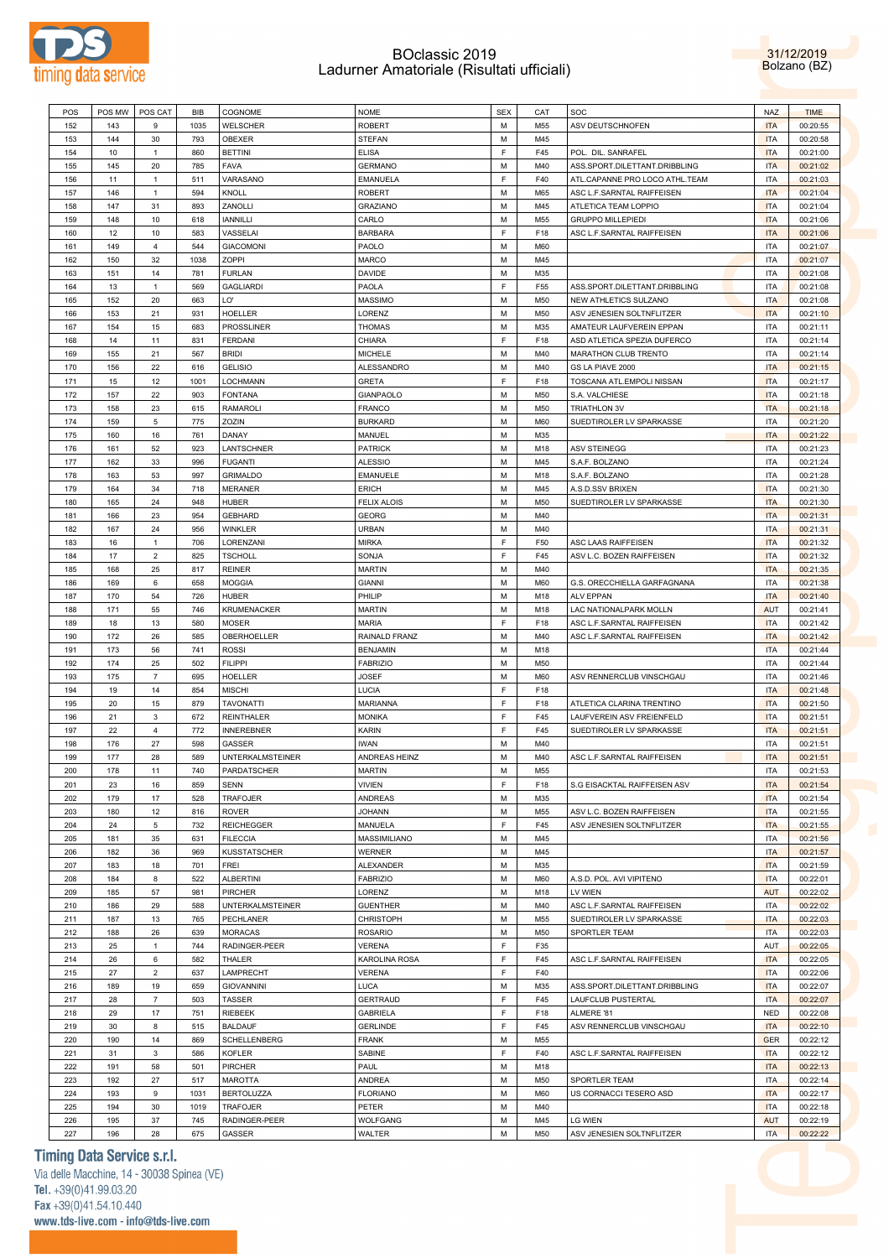

31/12/2019 Bolzano (BZ)

| POS | POS MW | POS CAT        | BIB  | COGNOME                 | <b>NOME</b>        | <b>SEX</b> | CAT | SOC                            | <b>NAZ</b> | <b>TIME</b> |  |
|-----|--------|----------------|------|-------------------------|--------------------|------------|-----|--------------------------------|------------|-------------|--|
|     |        |                |      |                         |                    |            |     |                                |            |             |  |
| 152 | 143    | 9              | 1035 | WELSCHER                | <b>ROBERT</b>      | M          | M55 | ASV DEUTSCHNOFEN               | <b>ITA</b> | 00:20:55    |  |
| 153 | 144    | 30             | 793  | OBEXER                  | <b>STEFAN</b>      | M          | M45 |                                | <b>ITA</b> | 00:20:58    |  |
| 154 | 10     | $\mathbf{1}$   | 860  | <b>BETTINI</b>          | <b>ELISA</b>       | F          | F45 | POL. DIL. SANRAFEL             | <b>ITA</b> | 00:21:00    |  |
|     |        |                |      |                         |                    |            |     |                                |            |             |  |
| 155 | 145    | 20             | 785  | FAVA                    | <b>GERMANO</b>     | M          | M40 | ASS.SPORT.DILETTANT.DRIBBLING  | <b>ITA</b> | 00:21:02    |  |
| 156 | 11     | $\mathbf{1}$   | 511  | VARASANO                | EMANUELA           | F          | F40 | ATL.CAPANNE PRO LOCO ATHL.TEAM | ITA        | 00:21:03    |  |
| 157 | 146    | $\mathbf{1}$   | 594  | KNOLL                   | <b>ROBERT</b>      | M          | M65 | ASC L.F.SARNTAL RAIFFEISEN     | <b>ITA</b> | 00:21:04    |  |
| 158 | 147    | 31             | 893  | ZANOLLI                 | <b>GRAZIANO</b>    | M          | M45 | ATLETICA TEAM LOPPIO           | <b>ITA</b> | 00:21:04    |  |
|     |        |                |      |                         |                    |            |     |                                |            |             |  |
| 159 | 148    | 10             | 618  | <b>IANNILLI</b>         | CARLO              | M          | M55 | <b>GRUPPO MILLEPIEDI</b>       | <b>ITA</b> | 00:21:06    |  |
| 160 | 12     | 10             | 583  | VASSELAI                | <b>BARBARA</b>     | F          | F18 | ASC L.F.SARNTAL RAIFFEISEN     | <b>ITA</b> | 00:21:06    |  |
|     | 149    | $\overline{4}$ | 544  |                         |                    | M          |     |                                |            |             |  |
| 161 |        |                |      | <b>GIACOMONI</b>        | PAOLO              |            | M60 |                                | ITA        | 00:21:07    |  |
| 162 | 150    | 32             | 1038 | ZOPPI                   | MARCO              | M          | M45 |                                | ITA        | 00:21:07    |  |
| 163 | 151    | 14             | 781  | <b>FURLAN</b>           | DAVIDE             | M          | M35 |                                | <b>ITA</b> | 00:21:08    |  |
| 164 | 13     | $\mathbf{1}$   | 569  | <b>GAGLIARDI</b>        | PAOLA              | F          | F55 | ASS.SPORT.DILETTANT.DRIBBLING  | ITA        | 00:21:08    |  |
|     |        |                |      |                         |                    |            |     |                                |            |             |  |
| 165 | 152    | 20             | 663  | LO'                     | MASSIMO            | M          | M50 | NEW ATHLETICS SULZANO          | <b>ITA</b> | 00:21:08    |  |
| 166 | 153    | 21             | 931  | <b>HOELLER</b>          | LORENZ             | M          | M50 | ASV JENESIEN SOLTNFLITZER      | <b>ITA</b> | 00:21:10    |  |
| 167 | 154    | 15             | 683  | PROSSLINER              | <b>THOMAS</b>      | M          | M35 | AMATEUR LAUFVEREIN EPPAN       | <b>ITA</b> | 00:21:11    |  |
|     |        |                |      |                         |                    |            |     |                                |            |             |  |
| 168 | 14     | 11             | 831  | <b>FERDANI</b>          | CHIARA             | F          | F18 | ASD ATLETICA SPEZIA DUFERCO    | ITA        | 00:21:14    |  |
| 169 | 155    | 21             | 567  | <b>BRIDI</b>            | MICHELE            | M          | M40 | MARATHON CLUB TRENTO           | ITA        | 00:21:14    |  |
|     |        |                |      |                         |                    | M          |     |                                |            |             |  |
| 170 | 156    | 22             | 616  | <b>GELISIO</b>          | ALESSANDRO         |            | M40 | GS LA PIAVE 2000               | <b>ITA</b> | 00:21:15    |  |
| 171 | 15     | 12             | 1001 | LOCHMANN                | GRETA              | F          | F18 | TOSCANA ATL.EMPOLI NISSAN      | <b>ITA</b> | 00:21:17    |  |
| 172 | 157    | 22             | 903  | <b>FONTANA</b>          | <b>GIANPAOLO</b>   | M          | M50 | S.A. VALCHIESE                 | <b>ITA</b> | 00:21:18    |  |
|     | 158    | 23             | 615  | <b>RAMAROLI</b>         |                    | M          |     |                                | <b>ITA</b> |             |  |
| 173 |        |                |      |                         | <b>FRANCO</b>      |            | M50 | <b>TRIATHLON 3V</b>            |            | 00:21:18    |  |
| 174 | 159    | 5              | 775  | ZOZIN                   | <b>BURKARD</b>     | M          | M60 | SUEDTIROLER LV SPARKASSE       | ITA        | 00:21:20    |  |
| 175 | 160    | 16             | 761  | DANAY                   | MANUEL             | M          | M35 |                                | <b>ITA</b> | 00:21:22    |  |
|     |        |                |      |                         |                    |            |     |                                |            |             |  |
| 176 | 161    | 52             | 923  | LANTSCHNER              | <b>PATRICK</b>     | M          | M18 | <b>ASV STEINEGG</b>            | ITA        | 00:21:23    |  |
| 177 | 162    | 33             | 996  | <b>FUGANTI</b>          | <b>ALESSIO</b>     | M          | M45 | S.A.F. BOLZANO                 | ITA        | 00:21:24    |  |
| 178 | 163    | 53             | 997  | <b>GRIMALDO</b>         | EMANUELE           | M          | M18 | S.A.F. BOLZANO                 | ITA        | 00:21:28    |  |
|     | 164    | 34             | 718  |                         | <b>ERICH</b>       | M          |     |                                |            |             |  |
| 179 |        |                |      | <b>MERANER</b>          |                    |            | M45 | A.S.D.SSV BRIXEN               | <b>ITA</b> | 00:21:30    |  |
| 180 | 165    | 24             | 948  | <b>HUBER</b>            | <b>FELIX ALOIS</b> | M          | M50 | SUEDTIROLER LV SPARKASSE       | <b>ITA</b> | 00:21:30    |  |
| 181 | 166    | 23             | 954  | <b>GEBHARD</b>          | GEORG              | M          | M40 |                                | <b>ITA</b> | 00:21:31    |  |
|     |        | 24             |      |                         |                    |            |     |                                |            |             |  |
| 182 | 167    |                | 956  | WINKLER                 | <b>URBAN</b>       | M          | M40 |                                | <b>ITA</b> | 00:21:31    |  |
| 183 | 16     | $\mathbf{1}$   | 706  | LORENZANI               | <b>MIRKA</b>       | F          | F50 | ASC LAAS RAIFFEISEN            | <b>ITA</b> | 00:21:32    |  |
| 184 | 17     | $\overline{2}$ | 825  | <b>TSCHOLL</b>          | SONJA              | F          | F45 | ASV L.C. BOZEN RAIFFEISEN      | <b>ITA</b> | 00:21:32    |  |
| 185 | 168    | 25             | 817  | <b>REINER</b>           | <b>MARTIN</b>      | M          | M40 |                                | <b>ITA</b> |             |  |
|     |        |                |      |                         |                    |            |     |                                |            | 00:21:35    |  |
| 186 | 169    | 6              | 658  | <b>MOGGIA</b>           | <b>GIANNI</b>      | M          | M60 | G.S. ORECCHIELLA GARFAGNANA    | ITA        | 00:21:38    |  |
| 187 | 170    | 54             | 726  | <b>HUBER</b>            | PHILIP             | M          | M18 | <b>ALV EPPAN</b>               | <b>ITA</b> | 00:21:40    |  |
|     |        | 55             | 746  |                         | <b>MARTIN</b>      | M          | M18 |                                | <b>AUT</b> |             |  |
| 188 | 171    |                |      | <b>KRUMENACKER</b>      |                    |            |     | LAC NATIONALPARK MOLLN         |            | 00:21:41    |  |
| 189 | 18     | 13             | 580  | <b>MOSER</b>            | <b>MARIA</b>       | F          | F18 | ASC L.F.SARNTAL RAIFFEISEN     | <b>ITA</b> | 00:21:42    |  |
| 190 | 172    | 26             | 585  | OBERHOELLER             | RAINALD FRANZ      | M          | M40 | ASC L.F.SARNTAL RAIFFEISEN     | <b>ITA</b> | 00:21:42    |  |
| 191 | 173    | 56             | 741  | <b>ROSSI</b>            | <b>BENJAMIN</b>    | M          | M18 |                                | <b>ITA</b> | 00:21:44    |  |
|     |        |                |      |                         |                    |            |     |                                |            |             |  |
| 192 | 174    | 25             | 502  | <b>FILIPPI</b>          | <b>FABRIZIO</b>    | M          | M50 |                                | ITA        | 00:21:44    |  |
| 193 | 175    | $\overline{7}$ | 695  | <b>HOELLER</b>          | <b>JOSEF</b>       | M          | M60 | ASV RENNERCLUB VINSCHGAU       | ITA        | 00:21:46    |  |
| 194 | 19     | 14             | 854  | <b>MISCHI</b>           | LUCIA              | F          | F18 |                                | <b>ITA</b> | 00:21:48    |  |
|     |        |                |      |                         |                    |            |     |                                |            |             |  |
| 195 | 20     | 15             | 879  | <b>TAVONATTI</b>        | <b>MARIANNA</b>    | F          | F18 | ATLETICA CLARINA TRENTINO      | <b>ITA</b> | 00:21:50    |  |
| 196 | 21     | 3              | 672  | <b>REINTHALER</b>       | <b>MONIKA</b>      | F          | F45 | LAUFVEREIN ASV FREIENFELD      | <b>ITA</b> | 00:21:51    |  |
| 197 | 22     | $\overline{4}$ | 772  | <b>INNEREBNER</b>       | KARIN              | F          | F45 | SUEDTIROLER LV SPARKASSE       | <b>ITA</b> | 00:21:51    |  |
|     |        |                |      |                         |                    |            |     |                                |            |             |  |
| 198 | 176    | 27             | 598  | GASSER                  | <b>IWAN</b>        | M          | M40 |                                | ITA        | 00:21:51    |  |
| 199 | 177    | 28             | 589  | <b>UNTERKALMSTEINER</b> | ANDREAS HEINZ      | M          | M40 | ASC L.F.SARNTAL RAIFFEISEN     | <b>ITA</b> | 00:21:51    |  |
| 200 | 178    | 11             | 740  | PARDATSCHER             | <b>MARTIN</b>      | M          | M55 |                                | <b>ITA</b> | 00:21:53    |  |
|     |        |                |      |                         |                    |            |     |                                |            |             |  |
| 201 | 23     | 16             | 859  | <b>SENN</b>             | <b>VIVIEN</b>      | F          | F18 | S.G EISACKTAL RAIFFEISEN ASV   | <b>ITA</b> | 00:21:54    |  |
| 202 | 179    | 17             | 528  | TRAFOJER                | ANDREAS            | M          | M35 |                                | <b>ITA</b> | 00:21:54    |  |
| 203 | 180    | 12             | 816  | <b>ROVER</b>            | <b>JOHANN</b>      | М          | M55 | ASV L.C. BOZEN RAIFFEISEN      | <b>ITA</b> | 00:21:55    |  |
|     |        |                |      |                         |                    |            |     |                                |            |             |  |
| 204 | 24     | 5              | 732  | <b>REICHEGGER</b>       | MANUELA            | F          | F45 | ASV JENESIEN SOLTNFLITZER      | <b>ITA</b> | 00:21:55    |  |
| 205 | 181    | 35             | 631  | <b>FILECCIA</b>         | MASSIMILIANO       | M          | M45 |                                | <b>ITA</b> | 00:21:56    |  |
| 206 | 182    | 36             | 969  | <b>KUSSTATSCHER</b>     | WERNER             | M          | M45 |                                | <b>ITA</b> | 00:21:57    |  |
|     |        |                |      |                         |                    |            |     |                                |            |             |  |
| 207 | 183    | 18             | 701  | FREI                    | ALEXANDER          | М          | M35 |                                | <b>ITA</b> | 00:21:59    |  |
| 208 | 184    | 8              | 522  | <b>ALBERTINI</b>        | <b>FABRIZIO</b>    | M          | M60 | A.S.D. POL. AVI VIPITENO       | <b>ITA</b> | 00:22:01    |  |
| 209 | 185    | 57             | 981  | <b>PIRCHER</b>          | LORENZ             | М          | M18 | LV WIEN                        | <b>AUT</b> | 00:22:02    |  |
|     |        |                |      |                         |                    |            |     |                                |            |             |  |
| 210 | 186    | 29             | 588  | <b>UNTERKALMSTEINER</b> | <b>GUENTHER</b>    | M          | M40 | ASC L.F.SARNTAL RAIFFEISEN     | ITA        | 00:22:02    |  |
| 211 | 187    | 13             | 765  | PECHLANER               | <b>CHRISTOPH</b>   | М          | M55 | SUEDTIROLER LV SPARKASSE       | <b>ITA</b> | 00:22:03    |  |
| 212 | 188    | 26             | 639  | <b>MORACAS</b>          | <b>ROSARIO</b>     | M          | M50 | SPORTLER TEAM                  | <b>ITA</b> | 00:22:03    |  |
|     |        |                |      |                         |                    |            |     |                                |            |             |  |
| 213 | 25     | $\mathbf{1}$   | 744  | RADINGER-PEER           | <b>VERENA</b>      | F          | F35 |                                | <b>AUT</b> | 00:22:05    |  |
| 214 | 26     | 6              | 582  | THALER                  | KAROLINA ROSA      | F          | F45 | ASC L.F.SARNTAL RAIFFEISEN     | <b>ITA</b> | 00:22:05    |  |
| 215 | 27     | $\mathbf 2$    | 637  | LAMPRECHT               | VERENA             | F          | F40 |                                | <b>ITA</b> | 00:22:06    |  |
|     |        |                |      |                         |                    |            |     |                                |            |             |  |
| 216 | 189    | 19             | 659  | <b>GIOVANNINI</b>       | LUCA               | М          | M35 | ASS.SPORT.DILETTANT.DRIBBLING  | <b>ITA</b> | 00:22:07    |  |
| 217 | 28     | $\overline{7}$ | 503  | <b>TASSER</b>           | <b>GERTRAUD</b>    | F          | F45 | LAUFCLUB PUSTERTAL             | <b>ITA</b> | 00:22:07    |  |
| 218 | 29     | 17             | 751  | RIEBEEK                 | <b>GABRIELA</b>    | F          | F18 | ALMERE '81                     | <b>NED</b> | 00:22:08    |  |
|     |        |                |      |                         |                    |            |     |                                |            |             |  |
| 219 | 30     | 8              | 515  | <b>BALDAUF</b>          | <b>GERLINDE</b>    | F          | F45 | ASV RENNERCLUB VINSCHGAU       | <b>ITA</b> | 00:22:10    |  |
| 220 | 190    | 14             | 869  | SCHELLENBERG            | <b>FRANK</b>       | М          | M55 |                                | <b>GER</b> | 00:22:12    |  |
| 221 | 31     | $\mathsf 3$    | 586  | <b>KOFLER</b>           | SABINE             | F          | F40 | ASC L.F.SARNTAL RAIFFEISEN     | <b>ITA</b> | 00:22:12    |  |
|     |        |                |      |                         |                    |            |     |                                |            |             |  |
| 222 | 191    | 58             | 501  | PIRCHER                 | PAUL               | М          | M18 |                                | <b>ITA</b> | 00:22:13    |  |
| 223 | 192    | 27             | 517  | <b>MAROTTA</b>          | ANDREA             | М          | M50 | SPORTLER TEAM                  | <b>ITA</b> | 00:22:14    |  |
| 224 | 193    | 9              | 1031 | <b>BERTOLUZZA</b>       | <b>FLORIANO</b>    | М          | M60 | US CORNACCI TESERO ASD         | <b>ITA</b> | 00:22:17    |  |
|     |        |                |      |                         |                    |            |     |                                |            |             |  |
| 225 | 194    | 30             | 1019 | TRAFOJER                | PETER              | М          | M40 |                                | <b>ITA</b> | 00:22:18    |  |
| 226 | 195    | 37             | 745  | RADINGER-PEER           | WOLFGANG           | М          | M45 | <b>LG WIEN</b>                 | <b>AUT</b> | 00:22:19    |  |
| 227 | 196    | 28             | 675  | GASSER                  | WALTER             | М          | M50 | ASV JENESIEN SOLTNFLITZER      | <b>ITA</b> | 00:22:22    |  |
|     |        |                |      |                         |                    |            |     |                                |            |             |  |

### **Timing Data Service s.r.l.**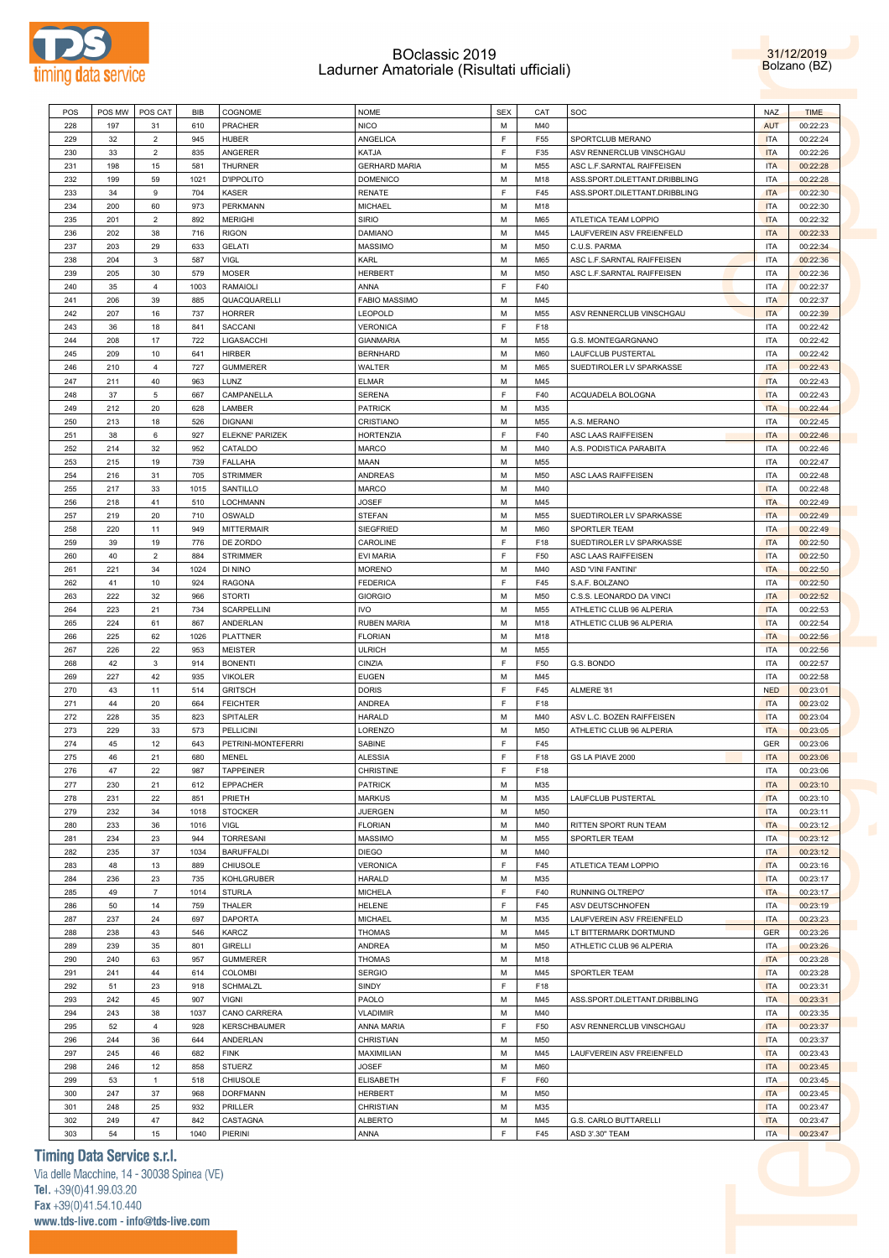

31/12/2019 Bolzano (BZ)

| POS | POS MW | <b>POS CAT</b> | BIB  | COGNOME                | <b>NOME</b>          | <b>SEX</b>  | CAT | SOC                           | <b>NAZ</b> | <b>TIME</b> |
|-----|--------|----------------|------|------------------------|----------------------|-------------|-----|-------------------------------|------------|-------------|
| 228 | 197    | 31             | 610  | PRACHER                | NICO                 | M           | M40 |                               | <b>AUT</b> | 00:22:23    |
| 229 | 32     | $\overline{2}$ | 945  | <b>HUBER</b>           | ANGELICA             | $\mathsf F$ | F55 | SPORTCLUB MERANO              | <b>ITA</b> | 00:22:24    |
| 230 | 33     | $\sqrt{2}$     | 835  | <b>ANGERER</b>         | KATJA                | $\mathsf F$ | F35 | ASV RENNERCLUB VINSCHGAU      | <b>ITA</b> | 00:22:26    |
|     |        |                |      |                        |                      |             |     |                               |            |             |
| 231 | 198    | 15             | 581  | <b>THURNER</b>         | <b>GERHARD MARIA</b> | M           | M55 | ASC L.F.SARNTAL RAIFFEISEN    | <b>ITA</b> | 00:22:28    |
| 232 | 199    | 59             | 1021 | <b>D'IPPOLITO</b>      | <b>DOMENICO</b>      | M           | M18 | ASS.SPORT.DILETTANT.DRIBBLING | <b>ITA</b> | 00:22:28    |
| 233 | 34     | 9              | 704  | KASER                  | RENATE               | E           | F45 | ASS.SPORT.DILETTANT.DRIBBLING | <b>ITA</b> | 00:22:30    |
| 234 | 200    | 60             | 973  | <b>PERKMANN</b>        | MICHAEL              | M           | M18 |                               | <b>ITA</b> | 00:22:30    |
|     |        |                |      |                        |                      |             |     |                               |            |             |
| 235 | 201    | $\overline{2}$ | 892  | <b>MERIGHI</b>         | Sirio                | M           | M65 | ATLETICA TEAM LOPPIO          | <b>ITA</b> | 00:22:32    |
| 236 | 202    | 38             | 716  | <b>RIGON</b>           | DAMIANO              | M           | M45 | LAUFVEREIN ASV FREIENFELD     | <b>ITA</b> | 00:22:33    |
| 237 | 203    | 29             | 633  | <b>GELATI</b>          | MASSIMO              | M           | M50 | C.U.S. PARMA                  | <b>ITA</b> | 00:22:34    |
| 238 | 204    | $\mathbf{3}$   | 587  | <b>VIGL</b>            | KARL                 | M           | M65 | ASC L.F.SARNTAL RAIFFEISEN    | <b>ITA</b> | 00:22:36    |
| 239 | 205    | 30             | 579  | <b>MOSER</b>           | HERBERT              | M           | M50 | ASC L.F.SARNTAL RAIFFEISEN    | <b>ITA</b> | 00:22:36    |
|     |        |                |      |                        |                      | E           |     |                               |            |             |
| 240 | 35     | $\overline{4}$ | 1003 | <b>RAMAIOLI</b>        | ANNA                 |             | F40 |                               | <b>ITA</b> | 00:22:37    |
| 241 | 206    | 39             | 885  | QUACQUARELLI           | <b>FABIO MASSIMO</b> | M           | M45 |                               | <b>ITA</b> | 00:22:37    |
| 242 | 207    | 16             | 737  | <b>HORRER</b>          | LEOPOLD              | M           | M55 | ASV RENNERCLUB VINSCHGAU      | <b>ITA</b> | 00:22:39    |
| 243 | 36     | 18             | 841  | SACCANI                | VERONICA             | $\mathsf F$ | F18 |                               | <b>ITA</b> | 00:22:42    |
| 244 | 208    | 17             | 722  | LIGASACCHI             | <b>GIANMARIA</b>     | M           | M55 | G.S. MONTEGARGNANO            | <b>ITA</b> | 00:22:42    |
| 245 | 209    | 10             | 641  | <b>HIRBER</b>          |                      | M           | M60 |                               | <b>ITA</b> |             |
|     |        |                |      |                        | <b>BERNHARD</b>      |             |     | LAUFCLUB PUSTERTAL            |            | 00:22:42    |
| 246 | 210    | $\overline{4}$ | 727  | <b>GUMMERER</b>        | WALTER               | M           | M65 | SUEDTIROLER LV SPARKASSE      | <b>ITA</b> | 00:22:43    |
| 247 | 211    | 40             | 963  | LUNZ                   | ELMAR                | M           | M45 |                               | <b>ITA</b> | 00:22:43    |
| 248 | 37     | 5              | 667  | CAMPANELLA             | SERENA               | E           | F40 | ACQUADELA BOLOGNA             | <b>ITA</b> | 00:22:43    |
| 249 | 212    | 20             | 628  | LAMBER                 | <b>PATRICK</b>       | M           | M35 |                               | <b>ITA</b> | 00:22:44    |
|     |        |                |      |                        |                      |             |     |                               |            |             |
| 250 | 213    | 18             | 526  | <b>DIGNANI</b>         | CRISTIANO            | M           | M55 | A.S. MERANO                   | <b>ITA</b> | 00:22:45    |
| 251 | 38     | 6              | 927  | <b>ELEKNE' PARIZEK</b> | HORTENZIA            | F           | F40 | ASC LAAS RAIFFEISEN           | <b>ITA</b> | 00:22:46    |
| 252 | 214    | 32             | 952  | CATALDO                | MARCO                | M           | M40 | A.S. PODISTICA PARABITA       | <b>ITA</b> | 00:22:46    |
| 253 | 215    | 19             | 739  | <b>FALLAHA</b>         | MAAN                 | M           | M55 |                               | <b>ITA</b> | 00:22:47    |
| 254 | 216    | 31             | 705  | <b>STRIMMER</b>        | ANDREAS              | M           | M50 | ASC LAAS RAIFFEISEN           | <b>ITA</b> | 00:22:48    |
|     |        |                |      |                        |                      |             |     |                               |            |             |
| 255 | 217    | 33             | 1015 | SANTILLO               | MARCO                | M           | M40 |                               | <b>ITA</b> | 00:22:48    |
| 256 | 218    | 41             | 510  | LOCHMANN               | JOSEF                | M           | M45 |                               | <b>ITA</b> | 00:22:49    |
| 257 | 219    | 20             | 710  | OSWALD                 | STEFAN               | M           | M55 | SUEDTIROLER LV SPARKASSE      | <b>ITA</b> | 00:22:49    |
| 258 | 220    | 11             | 949  | <b>MITTERMAIR</b>      | <b>SIEGFRIED</b>     | M           | M60 | SPORTLER TEAM                 | <b>ITA</b> | 00:22:49    |
| 259 | 39     | 19             | 776  | DE ZORDO               | CAROLINE             | F           | F18 | SUEDTIROLER LV SPARKASSE      | <b>ITA</b> | 00:22:50    |
|     |        |                |      |                        |                      |             |     |                               |            |             |
| 260 | 40     | $\overline{2}$ | 884  | <b>STRIMMER</b>        | EVI MARIA            | $\mathsf F$ | F50 | ASC LAAS RAIFFEISEN           | <b>ITA</b> | 00:22:50    |
| 261 | 221    | 34             | 1024 | DI NINO                | MORENO               | M           | M40 | ASD 'VINI FANTINI'            | <b>ITA</b> | 00:22:50    |
| 262 | 41     | 10             | 924  | <b>RAGONA</b>          | FEDERICA             | F           | F45 | S.A.F. BOLZANO                | <b>ITA</b> | 00:22:50    |
| 263 | 222    | 32             | 966  | <b>STORTI</b>          | GIORGIO              | M           | M50 | C.S.S. LEONARDO DA VINCI      | <b>ITA</b> | 00:22:52    |
| 264 | 223    | 21             | 734  | <b>SCARPELLINI</b>     | IVO                  | M           | M55 | ATHLETIC CLUB 96 ALPERIA      | <b>ITA</b> | 00:22:53    |
|     |        |                |      |                        |                      |             |     |                               |            |             |
| 265 | 224    | 61             | 867  | ANDERLAN               | RUBEN MARIA          | M           | M18 | ATHLETIC CLUB 96 ALPERIA      | <b>ITA</b> | 00:22:54    |
| 266 | 225    | 62             | 1026 | <b>PLATTNER</b>        | <b>FLORIAN</b>       | М           | M18 |                               | <b>ITA</b> | 00:22:56    |
| 267 | 226    | 22             | 953  | <b>MEISTER</b>         | ULRICH               | М           | M55 |                               | <b>ITA</b> | 00:22:56    |
| 268 | 42     | $\mathbf{3}$   | 914  | <b>BONENTI</b>         | CINZIA               | E           | F50 | G.S. BONDO                    | <b>ITA</b> | 00:22:57    |
| 269 | 227    | 42             | 935  | <b>VIKOLER</b>         | <b>EUGEN</b>         | M           | M45 |                               | <b>ITA</b> | 00:22:58    |
|     |        |                |      |                        |                      |             |     |                               |            |             |
| 270 | 43     | 11             | 514  | <b>GRITSCH</b>         | DORIS                | F           | F45 | ALMERE '81                    | <b>NED</b> | 00:23:01    |
| 271 | 44     | 20             | 664  | <b>FEICHTER</b>        | ANDREA               | F           | F18 |                               | <b>ITA</b> | 00:23:02    |
| 272 | 228    | 35             | 823  | SPITALER               | HARALD               | М           | M40 | ASV L.C. BOZEN RAIFFEISEN     | <b>ITA</b> | 00:23:04    |
| 273 | 229    | 33             | 573  | <b>PELLICINI</b>       | LORENZO              | М           | M50 | ATHLETIC CLUB 96 ALPERIA      | <b>ITA</b> | 00:23:05    |
|     |        |                |      |                        |                      |             |     |                               |            |             |
| 274 | 45     | 12             | 643  | PETRINI-MONTEFERRI     | SABINE               | F           | F45 |                               | GER        | 00:23:06    |
| 275 | 46     | 21             | 680  | MENEL                  | ALESSIA              | F           | F18 | GS LA PIAVE 2000              | <b>ITA</b> | 00:23:06    |
| 276 | 47     | 22             | 987  | <b>TAPPEINER</b>       | CHRISTINE            | F           | F18 |                               | <b>ITA</b> | 00:23:06    |
| 277 | 230    | 21             | 612  | <b>EPPACHER</b>        | PATRICK              | М           | M35 |                               | <b>ITA</b> | 00:23:10    |
| 278 | 231    | 22             | 851  | PRIETH                 | <b>MARKUS</b>        | M           | M35 | LAUFCLUB PUSTERTAL            | <b>ITA</b> | 00:23:10    |
|     |        |                |      |                        |                      | М           |     |                               | <b>ITA</b> |             |
| 279 | 232    | 34             | 1018 | <b>STOCKER</b>         | JUERGEN              |             | M50 |                               |            | 00:23:11    |
| 280 | 233    | 36             | 1016 | VIGL                   | <b>FLORIAN</b>       | M           | M40 | RITTEN SPORT RUN TEAM         | <b>ITA</b> | 00:23:12    |
| 281 | 234    | 23             | 944  | <b>TORRESANI</b>       | <b>MASSIMO</b>       | М           | M55 | SPORTLER TEAM                 | <b>ITA</b> | 00:23:12    |
| 282 | 235    | 37             | 1034 | <b>BARUFFALDI</b>      | DIEGO                | M           | M40 |                               | <b>ITA</b> | 00:23:12    |
| 283 | 48     | 13             | 889  | <b>CHIUSOLE</b>        | VERONICA             | F           | F45 | ATLETICA TEAM LOPPIO          | <b>ITA</b> | 00:23:16    |
| 284 | 236    | 23             | 735  | <b>KOHLGRUBER</b>      | HARALD               | М           | M35 |                               | <b>ITA</b> | 00:23:17    |
|     |        |                |      |                        |                      |             |     |                               |            |             |
| 285 | 49     | $\overline{7}$ | 1014 | <b>STURLA</b>          | MICHELA              | F           | F40 | RUNNING OLTREPO'              | <b>ITA</b> | 00:23:17    |
|     |        |                |      | THALER                 | HELENE               | F           | F45 | ASV DEUTSCHNOFEN              | <b>ITA</b> | 00:23:19    |
| 286 | 50     | 14             | 759  |                        |                      |             |     |                               |            |             |
| 287 | 237    | 24             | 697  | <b>DAPORTA</b>         | MICHAEL              | М           | M35 | LAUFVEREIN ASV FREIENFELD     | <b>ITA</b> | 00:23:23    |
| 288 | 238    | 43             | 546  | KARCZ                  | <b>THOMAS</b>        | M           | M45 | LT BITTERMARK DORTMUND        | <b>GER</b> | 00:23:26    |
|     |        |                |      |                        |                      |             |     |                               |            |             |
| 289 | 239    | 35             | 801  | <b>GIRELLI</b>         | ANDREA               | М           | M50 | ATHLETIC CLUB 96 ALPERIA      | <b>ITA</b> | 00:23:26    |
| 290 | 240    | 63             | 957  | <b>GUMMERER</b>        | THOMAS               | M           | M18 |                               | <b>ITA</b> | 00:23:28    |
| 291 | 241    | 44             | 614  | <b>COLOMBI</b>         | <b>SERGIO</b>        | М           | M45 | SPORTLER TEAM                 | <b>ITA</b> | 00:23:28    |
| 292 | 51     | 23             | 918  | SCHMALZL               | SINDY                | F           | F18 |                               | <b>ITA</b> | 00:23:31    |
|     |        |                |      |                        |                      |             |     |                               |            |             |
| 293 | 242    | 45             | 907  | <b>VIGNI</b>           | PAOLO                | М           | M45 | ASS.SPORT.DILETTANT.DRIBBLING | <b>ITA</b> | 00:23:31    |
| 294 | 243    | 38             | 1037 | CANO CARRERA           | <b>VLADIMIR</b>      | М           | M40 |                               | <b>ITA</b> | 00:23:35    |
| 295 | 52     | $\overline{4}$ | 928  | <b>KERSCHBAUMER</b>    | ANNA MARIA           | F           | F50 | ASV RENNERCLUB VINSCHGAU      | <b>ITA</b> | 00:23:37    |
| 296 | 244    | 36             | 644  | ANDERLAN               | CHRISTIAN            | М           | M50 |                               | <b>ITA</b> | 00:23:37    |
| 297 | 245    | 46             | 682  | <b>FINK</b>            | MAXIMILIAN           | М           | M45 | LAUFVEREIN ASV FREIENFELD     | <b>ITA</b> | 00:23:43    |
|     |        |                |      |                        |                      |             |     |                               |            |             |
| 298 | 246    | 12             | 858  | <b>STUERZ</b>          | JOSEF                | M           | M60 |                               | <b>ITA</b> | 00:23:45    |
| 299 | 53     | $\mathbf{1}$   | 518  | CHIUSOLE               | ELISABETH            | F           | F60 |                               | <b>ITA</b> | 00:23:45    |
| 300 | 247    | 37             | 968  | <b>DORFMANN</b>        | <b>HERBERT</b>       | M           | M50 |                               | <b>ITA</b> | 00:23:45    |
| 301 | 248    | 25             | 932  | PRILLER                | CHRISTIAN            | М           | M35 |                               | <b>ITA</b> | 00:23:47    |
| 302 | 249    | 47             | 842  | CASTAGNA               | <b>ALBERTO</b>       | М           | M45 | G.S. CARLO BUTTARELLI         | <b>ITA</b> | 00:23:47    |
| 303 | 54     | 15             | 1040 | PIERINI                | ANNA                 | F           | F45 | ASD 3'.30" TEAM               | <b>ITA</b> | 00:23:47    |

# **Timing Data Service s.r.l.**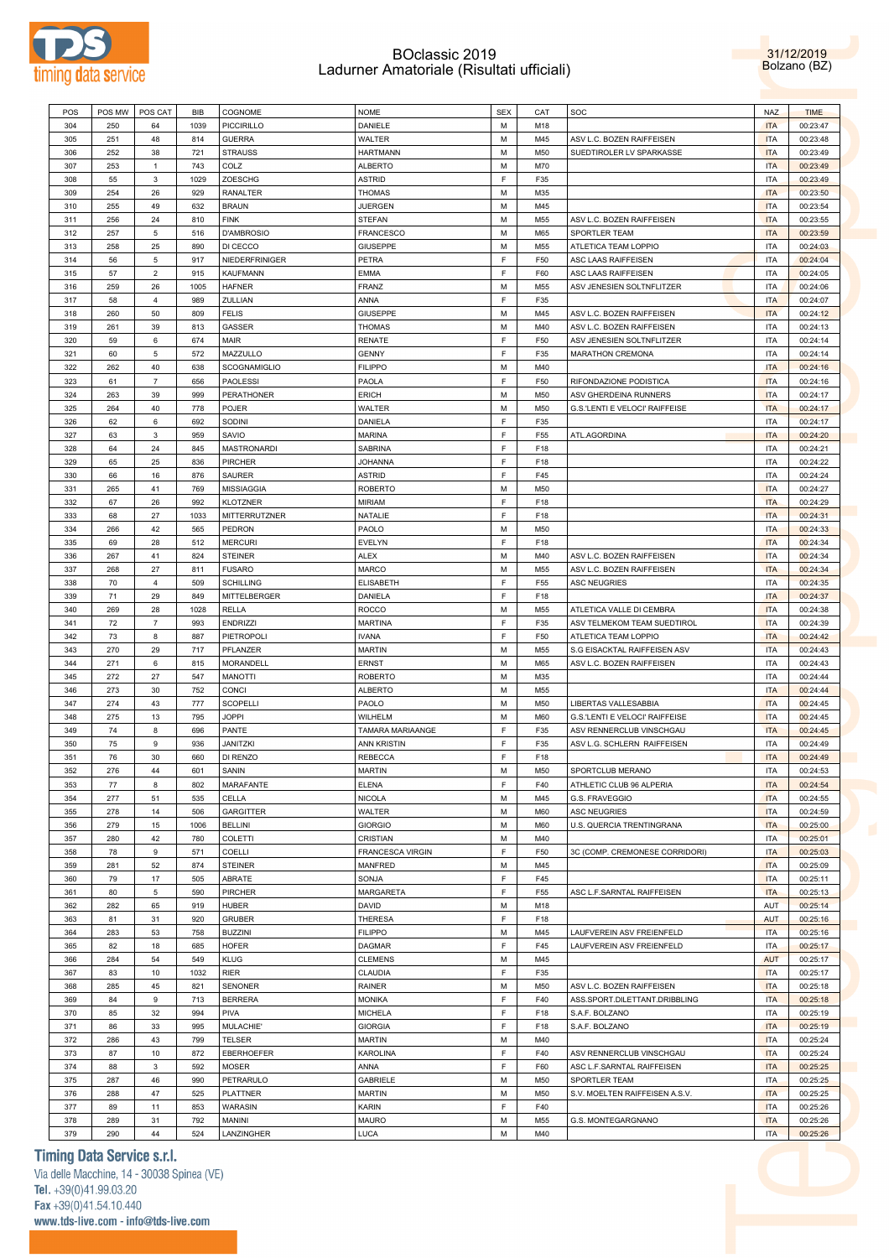

31/12/2019 Bolzano (BZ)

|     | POS MW | POS CAT                   | BIB  | COGNOME              | <b>NOME</b>        | <b>SEX</b> | CAT | SOC                            | <b>NAZ</b> | <b>TIME</b> |
|-----|--------|---------------------------|------|----------------------|--------------------|------------|-----|--------------------------------|------------|-------------|
| 304 | 250    | 64                        | 1039 | <b>PICCIRILLO</b>    | DANIELE            | М          | M18 |                                | <b>ITA</b> | 00:23:47    |
| 305 | 251    | 48                        | 814  | <b>GUERRA</b>        | WALTER             | М          | M45 | ASV L.C. BOZEN RAIFFEISEN      | <b>ITA</b> | 00:23:48    |
| 306 | 252    |                           | 721  |                      | <b>HARTMANN</b>    | М          | M50 |                                | <b>ITA</b> |             |
|     |        | 38                        |      | <b>STRAUSS</b>       |                    |            |     | SUEDTIROLER LV SPARKASSE       |            | 00:23:49    |
| 307 | 253    | $\mathbf{1}$              | 743  | COLZ                 | <b>ALBERTO</b>     | M          | M70 |                                | <b>ITA</b> | 00:23:49    |
| 308 | 55     | 3                         | 1029 | ZOESCHG              | ASTRID             | F          | F35 |                                | <b>ITA</b> | 00:23:49    |
| 309 | 254    | 26                        | 929  | <b>RANALTER</b>      | <b>THOMAS</b>      | M          | M35 |                                | <b>ITA</b> | 00:23:50    |
| 310 | 255    | 49                        | 632  | <b>BRAUN</b>         | <b>JUERGEN</b>     | M          | M45 |                                | <b>ITA</b> | 00:23:54    |
| 311 | 256    | 24                        | 810  | <b>FINK</b>          | <b>STEFAN</b>      | М          | M55 | ASV L.C. BOZEN RAIFFEISEN      | <b>ITA</b> | 00:23:55    |
|     |        |                           |      |                      |                    |            |     |                                |            |             |
| 312 | 257    | $\,$ 5 $\,$               | 516  | D'AMBROSIO           | <b>FRANCESCO</b>   | М          | M65 | SPORTLER TEAM                  | <b>ITA</b> | 00:23:59    |
| 313 | 258    | 25                        | 890  | DI CECCO             | <b>GIUSEPPE</b>    | М          | M55 | ATLETICA TEAM LOPPIO           | <b>ITA</b> | 00:24:03    |
| 314 | 56     | $\,$ 5 $\,$               | 917  | NIEDERFRINIGER       | PETRA              | F          | F50 | ASC LAAS RAIFFEISEN            | <b>ITA</b> | 00:24:04    |
| 315 | 57     | $\mathbf 2$               | 915  | <b>KAUFMANN</b>      | EMMA               | F.         | F60 | ASC LAAS RAIFFEISEN            | <b>ITA</b> | 00:24:05    |
| 316 | 259    | 26                        | 1005 | <b>HAFNER</b>        | FRANZ              | М          | M55 | ASV JENESIEN SOLTNFLITZER      | <b>ITA</b> | 00:24:06    |
|     |        |                           |      |                      |                    | F          |     |                                |            |             |
| 317 | 58     | $\overline{4}$            | 989  | ZULLIAN              | ANNA               |            | F35 |                                | <b>ITA</b> | 00:24:07    |
| 318 | 260    | 50                        | 809  | <b>FELIS</b>         | <b>GIUSEPPE</b>    | М          | M45 | ASV L.C. BOZEN RAIFFEISEN      | <b>ITA</b> | 00:24:12    |
| 319 | 261    | 39                        | 813  | GASSER               | <b>THOMAS</b>      | M          | M40 | ASV L.C. BOZEN RAIFFEISEN      | <b>ITA</b> | 00:24:13    |
| 320 | 59     | 6                         | 674  | MAIR                 | <b>RENATE</b>      | F          | F50 | ASV JENESIEN SOLTNFLITZER      | <b>ITA</b> | 00:24:14    |
| 321 | 60     | 5                         | 572  | MAZZULLO             | <b>GENNY</b>       | F.         | F35 | MARATHON CREMONA               | <b>ITA</b> | 00:24:14    |
|     |        |                           |      |                      |                    |            |     |                                |            |             |
| 322 | 262    | 40                        | 638  | SCOGNAMIGLIO         | <b>FILIPPO</b>     | М          | M40 |                                | <b>ITA</b> | 00:24:16    |
| 323 | 61     | $\overline{7}$            | 656  | <b>PAOLESSI</b>      | PAOLA              | F.         | F50 | RIFONDAZIONE PODISTICA         | <b>ITA</b> | 00:24:16    |
| 324 | 263    | 39                        | 999  | PERATHONER           | ERICH              | М          | M50 | ASV GHERDEINA RUNNERS          | <b>ITA</b> | 00:24:17    |
| 325 | 264    | 40                        | 778  | POJER                | WALTER             | М          | M50 | G.S.'LENTI E VELOCI' RAIFFEISE | <b>ITA</b> | 00:24:17    |
| 326 | 62     | 6                         | 692  | SODINI               | DANIELA            | F          | F35 |                                | <b>ITA</b> | 00:24:17    |
|     |        |                           |      |                      |                    | F          |     |                                |            |             |
| 327 | 63     | $\mathbf{3}$              | 959  | SAVIO                | <b>MARINA</b>      |            | F55 | ATL.AGORDINA                   | <b>ITA</b> | 00:24:20    |
| 328 | 64     | 24                        | 845  | <b>MASTRONARDI</b>   | <b>SABRINA</b>     | F          | F18 |                                | <b>ITA</b> | 00:24:21    |
| 329 | 65     | 25                        | 836  | <b>PIRCHER</b>       | <b>JOHANNA</b>     | F          | F18 |                                | <b>ITA</b> | 00:24:22    |
| 330 | 66     | 16                        | 876  | SAURER               | ASTRID             | F          | F45 |                                | <b>ITA</b> | 00:24:24    |
| 331 | 265    | 41                        | 769  | <b>MISSIAGGIA</b>    | <b>ROBERTO</b>     | М          | M50 |                                | <b>ITA</b> | 00:24:27    |
|     |        |                           |      |                      |                    |            |     |                                |            |             |
| 332 | 67     | 26                        | 992  | <b>KLOTZNER</b>      | MIRIAM             | F          | F18 |                                | <b>ITA</b> | 00:24:29    |
| 333 | 68     | 27                        | 1033 | <b>MITTERRUTZNER</b> | NATALIE            | F.         | F18 |                                | <b>ITA</b> | 00:24:31    |
| 334 | 266    | 42                        | 565  | PEDRON               | PAOLO              | М          | M50 |                                | <b>ITA</b> | 00:24:33    |
| 335 | 69     | 28                        | 512  | <b>MERCURI</b>       | <b>EVELYN</b>      | F.         | F18 |                                | <b>ITA</b> | 00:24:34    |
| 336 | 267    | 41                        | 824  | <b>STEINER</b>       | ALEX               | М          | M40 | ASV L.C. BOZEN RAIFFEISEN      | <b>ITA</b> | 00:24:34    |
|     |        |                           |      |                      |                    |            |     |                                |            |             |
| 337 | 268    | 27                        | 811  | <b>FUSARO</b>        | MARCO              | М          | M55 | ASV L.C. BOZEN RAIFFEISEN      | <b>ITA</b> | 00:24:34    |
| 338 | 70     | $\overline{4}$            | 509  | <b>SCHILLING</b>     | <b>ELISABETH</b>   | F          | F55 | <b>ASC NEUGRIES</b>            | <b>ITA</b> | 00:24:35    |
| 339 | 71     | 29                        | 849  | MITTELBERGER         | DANIELA            | F          | F18 |                                | <b>ITA</b> | 00:24:37    |
| 340 | 269    | 28                        | 1028 | <b>RELLA</b>         | ROCCO              | М          | M55 | ATLETICA VALLE DI CEMBRA       | <b>ITA</b> | 00:24:38    |
| 341 | 72     | $\overline{7}$            | 993  | <b>ENDRIZZI</b>      | <b>MARTINA</b>     | F          | F35 | ASV TELMEKOM TEAM SUEDTIROL    | <b>ITA</b> | 00:24:39    |
|     |        |                           |      |                      |                    |            |     |                                |            |             |
| 342 | 73     | 8                         | 887  | PIETROPOLI           | <b>IVANA</b>       | F          | F50 | ATLETICA TEAM LOPPIO           | <b>ITA</b> | 00:24:42    |
| 343 | 270    | 29                        | 717  | PFLANZER             | <b>MARTIN</b>      | М          | M55 | S.G EISACKTAL RAIFFEISEN ASV   | <b>ITA</b> | 00:24:43    |
| 344 | 271    | 6                         | 815  | MORANDELL            | <b>ERNST</b>       | М          | M65 | ASV L.C. BOZEN RAIFFEISEN      | <b>ITA</b> | 00:24:43    |
| 345 | 272    | 27                        | 547  | <b>MANOTTI</b>       | <b>ROBERTO</b>     | м          | M35 |                                | <b>ITA</b> | 00:24:44    |
| 346 | 273    | 30                        | 752  | CONCI                | ALBERTO            | м          | M55 |                                | <b>ITA</b> | 00:24:44    |
|     |        |                           |      |                      |                    |            |     |                                |            |             |
| 347 | 274    | 43                        | 777  | <b>SCOPELLI</b>      | PAOLO              | M          | M50 | LIBERTAS VALLESABBIA           | <b>ITA</b> | 00:24:45    |
| 348 | 275    | 13                        | 795  | <b>JOPPI</b>         | WILHELM            | M          | M60 | G.S.'LENTI E VELOCI' RAIFFEISE | <b>ITA</b> | 00:24:45    |
| 349 | 74     | 8                         | 696  | PANTE                | TAMARA MARIAANGE   | F          | F35 | ASV RENNERCLUB VINSCHGAU       | <b>ITA</b> | 00:24:45    |
| 350 |        |                           |      |                      |                    |            |     |                                |            |             |
| 351 | 75     | 9                         | 936  | <b>JANITZKI</b>      | <b>ANN KRISTIN</b> | F          | F35 | ASV L.G. SCHLERN RAIFFEISEN    | <b>ITA</b> | 00:24:49    |
|     | 76     | 30                        | 660  | DI RENZO             | <b>REBECCA</b>     | F.         | F18 |                                | <b>ITA</b> | 00:24:49    |
|     |        |                           |      |                      |                    |            |     |                                |            |             |
| 352 | 276    | 44                        | 601  | SANIN                | <b>MARTIN</b>      | M          | M50 | SPORTCLUB MERANO               | <b>ITA</b> | 00:24:53    |
| 353 | 77     | 8                         | 802  | MARAFANTE            | <b>ELENA</b>       | F.         | F40 | ATHLETIC CLUB 96 ALPERIA       | <b>ITA</b> | 00:24:54    |
| 354 | 277    | 51                        | 535  | CELLA                | <b>NICOLA</b>      | М          | M45 | G.S. FRAVEGGIO                 | <b>ITA</b> | 00:24:55    |
| 355 | 278    | 14                        | 506  | <b>GARGITTER</b>     | <b>WALTER</b>      | М          | M60 | <b>ASC NEUGRIES</b>            | <b>ITA</b> | 00:24:59    |
| 356 | 279    | 15                        | 1006 | <b>BELLINI</b>       | <b>GIORGIO</b>     | М          | M60 | U.S. QUERCIA TRENTINGRANA      | <b>ITA</b> | 00:25:00    |
|     |        |                           |      |                      |                    |            |     |                                |            |             |
| 357 | 280    | 42                        | 780  | COLETTI              | CRISTIAN           | М          | M40 |                                | <b>ITA</b> | 00:25:01    |
| 358 | 78     | 9                         | 571  | COELLI               | FRANCESCA VIRGIN   | F          | F50 | 3C (COMP. CREMONESE CORRIDORI) | <b>ITA</b> | 00:25:03    |
| 359 | 281    | 52                        | 874  | <b>STEINER</b>       | <b>MANFRED</b>     | М          | M45 |                                | <b>ITA</b> | 00:25:09    |
| 360 | 79     | 17                        | 505  | ABRATE               | SONJA              | F          | F45 |                                | <b>ITA</b> | 00:25:11    |
| 361 | 80     | 5                         | 590  | PIRCHER              | <b>MARGARETA</b>   | F          | F55 | ASC L.F.SARNTAL RAIFFEISEN     | <b>ITA</b> | 00:25:13    |
| 362 | 282    | 65                        | 919  | <b>HUBER</b>         | DAVID              | М          | M18 |                                | AUT        | 00:25:14    |
|     |        |                           |      |                      |                    |            |     |                                |            |             |
| 363 | 81     | 31                        | 920  | <b>GRUBER</b>        | THERESA            | F          | F18 |                                | <b>AUT</b> | 00:25:16    |
| 364 | 283    | 53                        | 758  | <b>BUZZINI</b>       | <b>FILIPPO</b>     | М          | M45 | LAUFVEREIN ASV FREIENFELD      | <b>ITA</b> | 00:25:16    |
| 365 | 82     | 18                        | 685  | <b>HOFER</b>         | <b>DAGMAR</b>      | F          | F45 | LAUFVEREIN ASV FREIENFELD      | <b>ITA</b> | 00:25:17    |
| 366 | 284    | 54                        | 549  | <b>KLUG</b>          | <b>CLEMENS</b>     | М          | M45 |                                | <b>AUT</b> | 00:25:17    |
| 367 | 83     | 10                        | 1032 | <b>RIER</b>          | CLAUDIA            | F          | F35 |                                | <b>ITA</b> | 00:25:17    |
| 368 | 285    |                           |      | <b>SENONER</b>       |                    | М          | M50 | ASV L.C. BOZEN RAIFFEISEN      | <b>ITA</b> | 00:25:18    |
|     |        | 45                        | 821  |                      | RAINER             |            |     |                                |            |             |
| 369 | 84     | 9                         | 713  | <b>BERRERA</b>       | <b>MONIKA</b>      | F          | F40 | ASS.SPORT.DILETTANT.DRIBBLING  | <b>ITA</b> | 00:25:18    |
| 370 | 85     | 32                        | 994  | PIVA                 | <b>MICHELA</b>     | F          | F18 | S.A.F. BOLZANO                 | <b>ITA</b> | 00:25:19    |
| 371 | 86     | 33                        | 995  | MULACHIE'            | <b>GIORGIA</b>     | F          | F18 | S.A.F. BOLZANO                 | <b>ITA</b> | 00:25:19    |
| 372 | 286    | 43                        | 799  | TELSER               | <b>MARTIN</b>      | М          | M40 |                                | <b>ITA</b> | 00:25:24    |
|     |        |                           |      |                      |                    |            |     |                                |            |             |
| 373 | 87     | 10                        | 872  | EBERHOEFER           | KAROLINA           | F          | F40 | ASV RENNERCLUB VINSCHGAU       | <b>ITA</b> | 00:25:24    |
| 374 | 88     | $\ensuremath{\mathsf{3}}$ | 592  | MOSER                | ANNA               | F          | F60 | ASC L.F.SARNTAL RAIFFEISEN     | <b>ITA</b> | 00:25:25    |
| 375 | 287    | 46                        | 990  | PETRARULO            | <b>GABRIELE</b>    | М          | M50 | SPORTLER TEAM                  | <b>ITA</b> | 00:25:25    |
| 376 | 288    | 47                        | 525  | <b>PLATTNER</b>      | <b>MARTIN</b>      | М          | M50 | S.V. MOELTEN RAIFFEISEN A.S.V. | <b>ITA</b> | 00:25:25    |
| 377 | 89     | 11                        | 853  | WARASIN              | KARIN              | F          | F40 |                                | <b>ITA</b> | 00:25:26    |
| 378 | 289    | 31                        | 792  | MANINI               | MAURO              | М          | M55 | G.S. MONTEGARGNANO             | <b>ITA</b> | 00:25:26    |
| 379 | 290    | 44                        | 524  | LANZINGHER           | LUCA               | М          | M40 |                                | <b>ITA</b> | 00:25:26    |

## **Timing Data Service s.r.l.**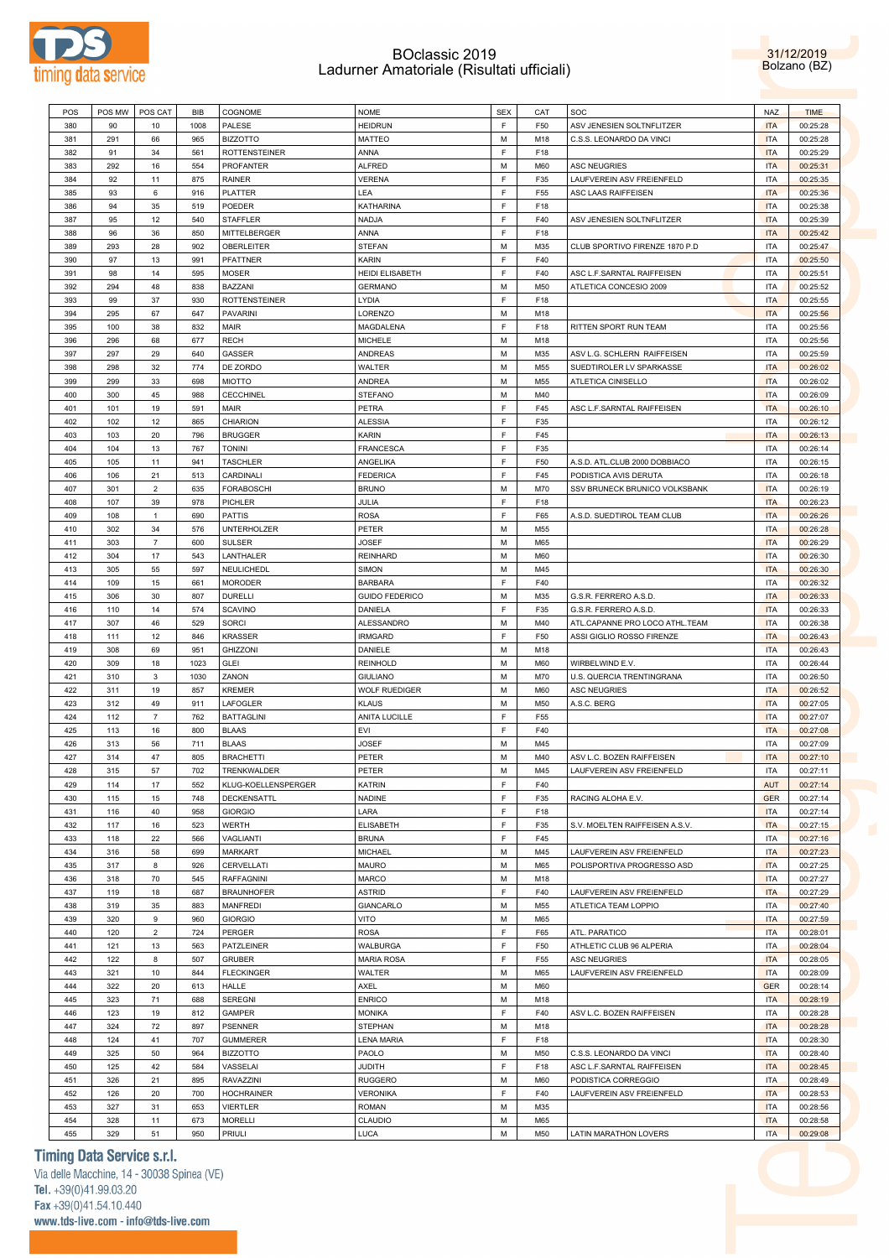

31/12/2019 Bolzano (BZ)

| POS        | POS MW     | POS CAT        | BIB        | COGNOME                  | <b>NOME</b>            | <b>SEX</b>  | CAT        | SOC                            | <b>NAZ</b>               | <b>TIME</b>          |
|------------|------------|----------------|------------|--------------------------|------------------------|-------------|------------|--------------------------------|--------------------------|----------------------|
| 380        | 90         | 10             | 1008       | PALESE                   | <b>HEIDRUN</b>         | F           | F50        | ASV JENESIEN SOLTNFLITZER      | <b>ITA</b>               | 00:25:28             |
| 381        | 291        | 66             | 965        | <b>BIZZOTTO</b>          | MATTEO                 | М           | M18        | C.S.S. LEONARDO DA VINCI       | <b>ITA</b>               | 00:25:28             |
| 382        | 91         | 34             | 561        | <b>ROTTENSTEINER</b>     | ANNA                   | F           | F18        |                                | <b>ITA</b>               | 00:25:29             |
| 383        | 292        | 16             | 554        | PROFANTER                | <b>ALFRED</b>          | М           | M60        | <b>ASC NEUGRIES</b>            | <b>ITA</b>               | 00:25:31             |
| 384        | 92         | 11             | 875        | RAINER                   | <b>VERENA</b>          | F           | F35        | LAUFVEREIN ASV FREIENFELD      | <b>ITA</b>               | 00:25:35             |
|            |            |                |            |                          | LEA                    | F           | F55        |                                | <b>ITA</b>               |                      |
| 385        | 93         | 6              | 916        | PLATTER                  |                        |             |            | ASC LAAS RAIFFEISEN            |                          | 00:25:36             |
| 386        | 94         | 35             | 519        | POEDER                   | KATHARINA              | $\mathsf F$ | F18        |                                | <b>ITA</b>               | 00:25:38             |
| 387        | 95         | 12             | 540        | <b>STAFFLER</b>          | NADJA                  | F           | F40        | ASV JENESIEN SOLTNFLITZER      | <b>ITA</b>               | 00:25:39             |
| 388        | 96         | 36             | 850        | MITTELBERGER             | ANNA                   | E           | F18        |                                | <b>ITA</b>               | 00:25:42             |
| 389        | 293        | 28             | 902        | OBERLEITER               | <b>STEFAN</b>          | М           | M35        | CLUB SPORTIVO FIRENZE 1870 P.D | <b>ITA</b>               | 00:25:47             |
| 390        | 97         | 13             | 991        | PFATTNER                 | KARIN                  | F           | F40        |                                | <b>ITA</b>               | 00:25:50             |
| 391        | 98         | 14             | 595        | <b>MOSER</b>             | <b>HEIDI ELISABETH</b> | F           | F40        | ASC L.F.SARNTAL RAIFFEISEN     | <b>ITA</b>               | 00:25:51             |
| 392        | 294        | 48             | 838        | BAZZANI                  | <b>GERMANO</b>         | М           | M50        | ATLETICA CONCESIO 2009         | <b>ITA</b>               | 00:25:52             |
| 393        | 99         | 37             | 930        | <b>ROTTENSTEINER</b>     | LYDIA                  | F           | F18        |                                | <b>ITA</b>               | 00:25:55             |
| 394        | 295        | 67             | 647        | <b>PAVARINI</b>          | LORENZO                | М           | M18        |                                | <b>ITA</b>               | 00:25:56             |
| 395        | 100        | 38             | 832        | MAIR                     | MAGDALENA              | F.          | F18        | RITTEN SPORT RUN TEAM          | <b>ITA</b>               | 00:25:56             |
| 396        | 296        | 68             | 677        | <b>RECH</b>              | MICHELE                | М           | M18        |                                | <b>ITA</b>               | 00:25:56             |
| 397        | 297        | 29             | 640        | GASSER                   | ANDREAS                | М           | M35        | ASV L.G. SCHLERN RAIFFEISEN    | <b>ITA</b>               | 00:25:59             |
|            |            |                |            |                          |                        |             |            |                                |                          |                      |
| 398        | 298        | 32             | 774        | DE ZORDO                 | WALTER                 | М           | M55        | SUEDTIROLER LV SPARKASSE       | <b>ITA</b>               | 00:26:02             |
| 399        | 299        | 33             | 698        | <b>MIOTTO</b>            | ANDREA                 | М           | M55        | ATLETICA CINISELLO             | <b>ITA</b>               | 00:26:02             |
| 400        | 300        | 45             | 988        | <b>CECCHINEL</b>         | STEFANO                | М           | M40        |                                | <b>ITA</b>               | 00:26:09             |
| 401        | 101        | 19             | 591        | MAIR                     | PETRA                  | F.          | F45        | ASC L.F.SARNTAL RAIFFEISEN     | <b>ITA</b>               | 00:26:10             |
| 402        | 102        | 12             | 865        | CHIARION                 | <b>ALESSIA</b>         | F           | F35        |                                | <b>ITA</b>               | 00:26:12             |
| 403        | 103        | 20             | 796        | <b>BRUGGER</b>           | KARIN                  | F.          | F45        |                                | <b>ITA</b>               | 00:26:13             |
| 404        | 104        | 13             | 767        | <b>TONINI</b>            | FRANCESCA              | F           | F35        |                                | <b>ITA</b>               | 00:26:14             |
| 405        | 105        | 11             | 941        | <b>TASCHLER</b>          | ANGELIKA               | F           | F50        | A.S.D. ATL.CLUB 2000 DOBBIACO  | <b>ITA</b>               | 00:26:15             |
| 406        | 106        | 21             | 513        | CARDINALI                | <b>FEDERICA</b>        | F           | F45        | PODISTICA AVIS DERUTA          | <b>ITA</b>               | 00:26:18             |
| 407        | 301        | $\mathbf 2$    | 635        | <b>FORABOSCHI</b>        | <b>BRUNO</b>           | М           | M70        | SSV BRUNECK BRUNICO VOLKSBANK  | <b>ITA</b>               | 00:26:19             |
| 408        | 107        | 39             | 978        | PICHLER                  | JULIA                  | F           | F18        |                                | <b>ITA</b>               | 00:26:23             |
| 409        | 108        | $\mathbf{1}$   | 690        | PATTIS                   | ROSA                   | F           | F65        | A.S.D. SUEDTIROL TEAM CLUB     | <b>ITA</b>               | 00:26:26             |
| 410        | 302        | 34             | 576        | <b>UNTERHOLZER</b>       | PETER                  | М           | M55        |                                | <b>ITA</b>               | 00:26:28             |
|            |            | $\overline{7}$ |            |                          |                        | М           |            |                                | <b>ITA</b>               |                      |
| 411        | 303        |                | 600        | <b>SULSER</b>            | JOSEF                  |             | M65        |                                |                          | 00:26:29             |
| 412        | 304        | 17             | 543        | LANTHALER                | REINHARD               | М           | M60        |                                | <b>ITA</b>               | 00:26:30             |
| 413        | 305        | 55             | 597        | NEULICHEDL               | <b>SIMON</b>           | М           | M45        |                                | <b>ITA</b>               | 00:26:30             |
| 414        | 109        | 15             | 661        | <b>MORODER</b>           | <b>BARBARA</b>         | F           | F40        |                                | <b>ITA</b>               | 00:26:32             |
| 415        | 306        | 30             | 807        | <b>DURELLI</b>           | <b>GUIDO FEDERICO</b>  | М           | M35        | G.S.R. FERRERO A.S.D.          | <b>ITA</b>               | 00:26:33             |
| 416        | 110        | 14             | 574        | <b>SCAVINO</b>           | DANIELA                | F           | F35        | G.S.R. FERRERO A.S.D.          | <b>ITA</b>               | 00:26:33             |
| 417        | 307        |                |            |                          |                        |             |            |                                |                          |                      |
|            |            | 46             | 529        | <b>SORCI</b>             | ALESSANDRO             | М           | M40        | ATL.CAPANNE PRO LOCO ATHL.TEAM | <b>ITA</b>               | 00:26:38             |
| 418        | 111        | 12             | 846        | <b>KRASSER</b>           | <b>IRMGARD</b>         | F           | F50        | ASSI GIGLIO ROSSO FIRENZE      | <b>ITA</b>               | 00:26:43             |
| 419        | 308        | 69             | 951        | GHIZZONI                 | DANIELE                | М           | M18        |                                | <b>ITA</b>               | 00:26:43             |
| 420        | 309        | 18             | 1023       | <b>GLEI</b>              | <b>REINHOLD</b>        | М           | M60        | WIRBELWIND E.V.                | <b>ITA</b>               | 00:26:44             |
|            |            |                |            |                          |                        | М           | M70        |                                |                          |                      |
| 421        | 310        | 3              | 1030       | ZANON                    | <b>GIULIANO</b>        |             |            | U.S. QUERCIA TRENTINGRANA      | <b>ITA</b>               | 00:26:50             |
| 422        | 311        | 19             | 857        | <b>KREMER</b>            | <b>WOLF RUEDIGER</b>   | М           | M60        | <b>ASC NEUGRIES</b>            | <b>ITA</b>               | 00:26:52             |
| 423        | 312        | 49             | 911        | LAFOGLER                 | <b>KLAUS</b>           | М           | M50        | A.S.C. BERG                    | <b>ITA</b>               | 00:27:05             |
| 424        | 112        | 7              | 762        | <b>BATTAGLINI</b>        | ANITA LUCILLE          | F           | F55        |                                | <b>ITA</b>               | 00:27:07             |
| 425        | 113        | 16             | 800        | <b>BLAAS</b>             | EVI                    | F           | F40        |                                | <b>ITA</b>               | 00:27:08             |
| 426        | 313        | 56             | 711        | <b>BLAAS</b>             | JOSEF                  | М           | M45        |                                | <b>ITA</b>               | 00:27:09             |
| 427        | 314        | 47             | 805        | <b>BRACHETTI</b>         | PETER                  | М           | M40        | ASV L.C. BOZEN RAIFFEISEN      | <b>ITA</b>               | 00:27:10             |
| 428        | 315        | 57             | 702        | TRENKWALDER              | PETER                  | М           | M45        | LAUFVEREIN ASV FREIENFELD      | <b>ITA</b>               | 00:27:11             |
| 429        | 114        | 17             | 552        | KLUG-KOELLENSPERGER      | KATRIN                 | F.          | F40        |                                | AUT                      | 00:27:14             |
| 430        | 115        | 15             | 748        | DECKENSATTL              | NADINE                 | F           | F35        | RACING ALOHA E.V.              | <b>GER</b>               | 00:27:14             |
| 431        | 116        | 40             | 958        | <b>GIORGIO</b>           | LARA                   | F           | F18        |                                | <b>ITA</b>               | 00:27:14             |
| 432        | 117        | 16             | 523        | <b>WERTH</b>             | <b>ELISABETH</b>       | F           | F35        | S.V. MOELTEN RAIFFEISEN A.S.V. | <b>ITA</b>               | 00:27:15             |
| 433        | 118        | 22             | 566        | VAGLIANTI                | <b>BRUNA</b>           | F           | F45        |                                | <b>ITA</b>               | 00:27:16             |
| 434        | 316        | 58             | 699        | <b>MARKART</b>           | MICHAEL                | М           | M45        | LAUFVEREIN ASV FREIENFELD      | <b>ITA</b>               | 00:27:23             |
| 435        | 317        | 8              | 926        | CERVELLATI               | MAURO                  | М           | M65        | POLISPORTIVA PROGRESSO ASD     | <b>ITA</b>               | 00:27:25             |
| 436        | 318        | 70             | 545        | <b>RAFFAGNINI</b>        | MARCO                  | М           | M18        |                                | <b>ITA</b>               | 00:27:27             |
| 437        | 119        | 18             | 687        | <b>BRAUNHOFER</b>        | ASTRID                 | F           | F40        | LAUFVEREIN ASV FREIENFELD      | <b>ITA</b>               | 00:27:29             |
|            |            |                |            |                          |                        |             |            |                                |                          |                      |
| 438        | 319        | 35             | 883        | <b>MANFREDI</b>          | GIANCARLO              | М           | M55        | ATLETICA TEAM LOPPIO           | <b>ITA</b>               | 00:27:40             |
| 439        | 320        | 9              | 960        | <b>GIORGIO</b>           | VITO                   | М           | M65        |                                | <b>ITA</b>               | 00:27:59             |
| 440        | 120        | $\overline{2}$ | 724        | PERGER                   | ROSA                   | F           | F65        | ATL. PARATICO                  | <b>ITA</b>               | 00:28:01             |
| 441        | 121        | 13             | 563        | PATZLEINER               | WALBURGA               | F           | F50        | ATHLETIC CLUB 96 ALPERIA       | <b>ITA</b>               | 00:28:04             |
| 442        | 122        | 8              | 507        | <b>GRUBER</b>            | <b>MARIA ROSA</b>      | F           | F55        | <b>ASC NEUGRIES</b>            | <b>ITA</b>               | 00:28:05             |
| 443        | 321        | 10             | 844        | <b>FLECKINGER</b>        | WALTER                 | М           | M65        | LAUFVEREIN ASV FREIENFELD      | <b>ITA</b>               | 00:28:09             |
| 444        | 322        | 20             | 613        | <b>HALLE</b>             | AXEL                   | М           | M60        |                                | <b>GER</b>               | 00:28:14             |
| 445        | 323        | 71             | 688        | <b>SEREGNI</b>           | <b>ENRICO</b>          | М           | M18        |                                | <b>ITA</b>               | 00:28:19             |
| 446        | 123        | 19             | 812        | GAMPER                   | MONIKA                 | F           | F40        | ASV L.C. BOZEN RAIFFEISEN      | <b>ITA</b>               | 00:28:28             |
| 447        | 324        | 72             | 897        | <b>PSENNER</b>           | STEPHAN                | М           | M18        |                                | <b>ITA</b>               | 00:28:28             |
| 448        | 124        | 41             | 707        | <b>GUMMERER</b>          | LENA MARIA             | F           | F18        |                                | <b>ITA</b>               | 00:28:30             |
| 449        | 325        | 50             | 964        | <b>BIZZOTTO</b>          | PAOLO                  | М           | M50        | C.S.S. LEONARDO DA VINCI       | <b>ITA</b>               | 00:28:40             |
| 450        | 125        | 42             | 584        | VASSELAI                 | JUDITH                 | F           | F18        | ASC L.F.SARNTAL RAIFFEISEN     | <b>ITA</b>               | 00:28:45             |
|            |            |                |            |                          |                        | М           |            |                                |                          |                      |
| 451        | 326        | 21             | 895        | RAVAZZINI                | <b>RUGGERO</b>         |             | M60        | PODISTICA CORREGGIO            | <b>ITA</b>               | 00:28:49             |
| 452        | 126        | 20             | 700        | <b>HOCHRAINER</b>        | <b>VERONIKA</b>        | F           | F40        | LAUFVEREIN ASV FREIENFELD      | <b>ITA</b>               | 00:28:53             |
| 453        | 327        | 31             | 653        | <b>VIERTLER</b>          | <b>ROMAN</b>           | М           | M35        |                                | <b>ITA</b>               | 00:28:56             |
| 454<br>455 | 328<br>329 | 11<br>51       | 673<br>950 | <b>MORELLI</b><br>PRIULI | CLAUDIO<br>LUCA        | М<br>М      | M65<br>M50 | LATIN MARATHON LOVERS          | <b>ITA</b><br><b>ITA</b> | 00:28:58<br>00:29:08 |

## **Timing Data Service s.r.l.**